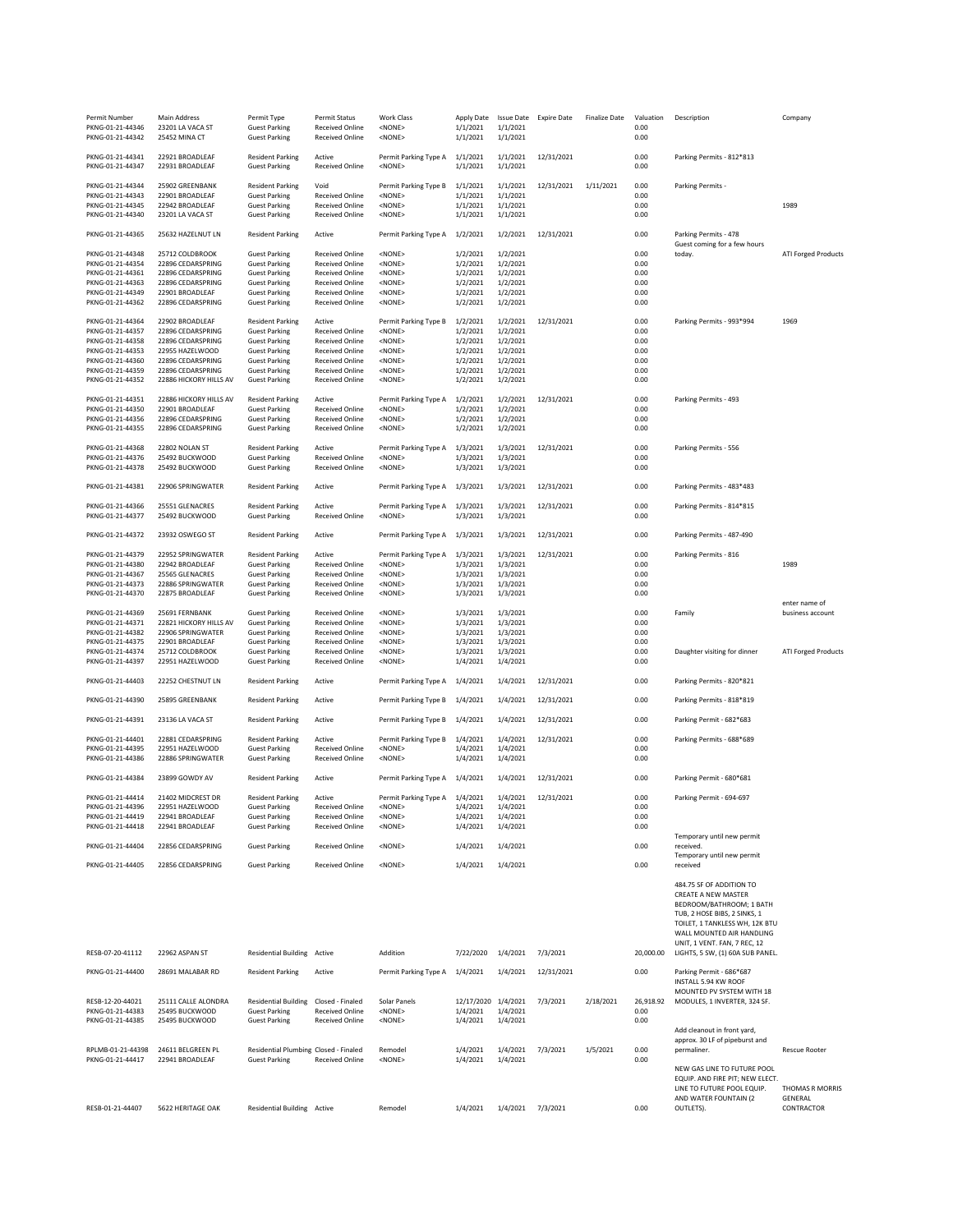| Permit Number<br>PKNG-01-21-44346<br>PKNG-01-21-44342    | Main Address<br>23201 LA VACA ST<br>25452 MINA CT       | Permit Type<br><b>Guest Parking</b><br><b>Guest Parking</b>                 | Permit Status<br>Received Online<br><b>Received Online</b> | Work Class<br><none><br/><none></none></none>   | Apply Date<br>1/1/2021<br>1/1/2021          | 1/1/2021<br>1/1/2021 | Issue Date Expire Date | <b>Finalize Date</b> | Valuation<br>0.00<br>0.00 | Description                                                                                                                                                                                                                                           | Company                           |
|----------------------------------------------------------|---------------------------------------------------------|-----------------------------------------------------------------------------|------------------------------------------------------------|-------------------------------------------------|---------------------------------------------|----------------------|------------------------|----------------------|---------------------------|-------------------------------------------------------------------------------------------------------------------------------------------------------------------------------------------------------------------------------------------------------|-----------------------------------|
| PKNG-01-21-44341<br>PKNG-01-21-44347                     | 22921 BROADLEAF<br>22931 BROADLEAF                      | <b>Resident Parking</b><br><b>Guest Parking</b>                             | Active<br>Received Online                                  | Permit Parking Type A 1/1/2021<br><none></none> | 1/1/2021                                    | 1/1/2021<br>1/1/2021 | 12/31/2021             |                      | 0.00<br>0.00              | Parking Permits - 812*813                                                                                                                                                                                                                             |                                   |
| PKNG-01-21-44344                                         | 25902 GREENBANK                                         | <b>Resident Parking</b>                                                     | Void                                                       | Permit Parking Type B                           | 1/1/2021                                    | 1/1/2021             | 12/31/2021             | 1/11/2021            | 0.00                      | Parking Permits -                                                                                                                                                                                                                                     |                                   |
| PKNG-01-21-44343<br>PKNG-01-21-44345                     | 22901 BROADLEAF<br>22942 BROADLEAF                      | <b>Guest Parking</b><br><b>Guest Parking</b>                                | Received Online<br>Received Online                         | <none><br/><none></none></none>                 | 1/1/2021<br>1/1/2021                        | 1/1/2021<br>1/1/2021 |                        |                      | 0.00<br>0.00              |                                                                                                                                                                                                                                                       | 1989                              |
| PKNG-01-21-44340                                         | 23201 LA VACA ST                                        | <b>Guest Parking</b>                                                        | <b>Received Online</b>                                     | <none></none>                                   | 1/1/2021                                    | 1/1/2021             |                        |                      | 0.00                      |                                                                                                                                                                                                                                                       |                                   |
| PKNG-01-21-44365                                         | 25632 HAZELNUT LN                                       | <b>Resident Parking</b>                                                     | Active                                                     | Permit Parking Type A                           | 1/2/2021                                    | 1/2/2021             | 12/31/2021             |                      | 0.00                      | Parking Permits - 478<br>Guest coming for a few hours                                                                                                                                                                                                 |                                   |
| PKNG-01-21-44348<br>PKNG-01-21-44354                     | 25712 COLDBROOK<br>22896 CEDARSPRING                    | <b>Guest Parking</b><br><b>Guest Parking</b>                                | Received Online<br>Received Online                         | <none><br/><none></none></none>                 | 1/2/2021<br>1/2/2021                        | 1/2/2021<br>1/2/2021 |                        |                      | 0.00<br>0.00              | today.                                                                                                                                                                                                                                                | <b>ATI Forged Products</b>        |
| PKNG-01-21-44361                                         | 22896 CEDARSPRING                                       | <b>Guest Parking</b>                                                        | <b>Received Online</b>                                     | <none></none>                                   | 1/2/2021                                    | 1/2/2021             |                        |                      | 0.00                      |                                                                                                                                                                                                                                                       |                                   |
| PKNG-01-21-44363<br>PKNG-01-21-44349                     | 22896 CEDARSPRING<br>22901 BROADLEAF                    | <b>Guest Parking</b><br><b>Guest Parking</b>                                | Received Online<br>Received Online                         | <none><br/><none></none></none>                 | 1/2/2021<br>1/2/2021                        | 1/2/2021<br>1/2/2021 |                        |                      | 0.00<br>0.00              |                                                                                                                                                                                                                                                       |                                   |
| PKNG-01-21-44362                                         | 22896 CEDARSPRING                                       | <b>Guest Parking</b>                                                        | Received Online                                            | <none></none>                                   | 1/2/2021                                    | 1/2/2021             |                        |                      | 0.00                      |                                                                                                                                                                                                                                                       |                                   |
| PKNG-01-21-44364                                         | 22902 BROADLEAF                                         | <b>Resident Parking</b>                                                     | Active                                                     | Permit Parking Type B                           | 1/2/2021                                    | 1/2/2021             | 12/31/2021             |                      | 0.00                      | Parking Permits - 993*994                                                                                                                                                                                                                             | 1969                              |
| PKNG-01-21-44357                                         | 22896 CEDARSPRING                                       | <b>Guest Parking</b>                                                        | <b>Received Online</b>                                     | <none></none>                                   | 1/2/2021                                    | 1/2/2021             |                        |                      | 0.00                      |                                                                                                                                                                                                                                                       |                                   |
| PKNG-01-21-44358<br>PKNG-01-21-44353                     | 22896 CEDARSPRING<br>22955 HAZELWOOD                    | <b>Guest Parking</b><br><b>Guest Parking</b>                                | <b>Received Online</b><br>Received Online                  | <none><br/><none></none></none>                 | 1/2/2021<br>1/2/2021                        | 1/2/2021<br>1/2/2021 |                        |                      | 0.00<br>0.00              |                                                                                                                                                                                                                                                       |                                   |
| PKNG-01-21-44360                                         | 22896 CEDARSPRING                                       | <b>Guest Parking</b>                                                        | Received Online                                            | <none></none>                                   | 1/2/2021                                    | 1/2/2021             |                        |                      | 0.00                      |                                                                                                                                                                                                                                                       |                                   |
| PKNG-01-21-44359<br>PKNG-01-21-44352                     | 22896 CEDARSPRING<br>22886 HICKORY HILLS AV             | <b>Guest Parking</b><br><b>Guest Parking</b>                                | Received Online<br>Received Online                         | <none><br/><none></none></none>                 | 1/2/2021<br>1/2/2021                        | 1/2/2021<br>1/2/2021 |                        |                      | 0.00<br>0.00              |                                                                                                                                                                                                                                                       |                                   |
|                                                          |                                                         |                                                                             |                                                            |                                                 |                                             |                      |                        |                      |                           |                                                                                                                                                                                                                                                       |                                   |
| PKNG-01-21-44351<br>PKNG-01-21-44350                     | 22886 HICKORY HILLS AV<br>22901 BROADLEAF               | <b>Resident Parking</b><br><b>Guest Parking</b>                             | Active<br>Received Online                                  | Permit Parking Type A<br><none></none>          | 1/2/2021<br>1/2/2021                        | 1/2/2021<br>1/2/2021 | 12/31/2021             |                      | 0.00<br>0.00              | Parking Permits - 493                                                                                                                                                                                                                                 |                                   |
| PKNG-01-21-44356                                         | 22896 CEDARSPRING                                       | <b>Guest Parking</b>                                                        | Received Online                                            | <none></none>                                   | 1/2/2021                                    | 1/2/2021             |                        |                      | 0.00                      |                                                                                                                                                                                                                                                       |                                   |
| PKNG-01-21-44355                                         | 22896 CEDARSPRING                                       | <b>Guest Parking</b>                                                        | Received Online                                            | <none></none>                                   | 1/2/2021                                    | 1/2/2021             |                        |                      | 0.00                      |                                                                                                                                                                                                                                                       |                                   |
| PKNG-01-21-44368                                         | 22802 NOLAN ST                                          | <b>Resident Parking</b>                                                     | Active                                                     | Permit Parking Type A                           | 1/3/2021                                    | 1/3/2021             | 12/31/2021             |                      | 0.00                      | Parking Permits - 556                                                                                                                                                                                                                                 |                                   |
| PKNG-01-21-44376                                         | 25492 BUCKWOOD                                          | <b>Guest Parking</b>                                                        | <b>Received Online</b>                                     | <none></none>                                   | 1/3/2021                                    | 1/3/2021             |                        |                      | 0.00                      |                                                                                                                                                                                                                                                       |                                   |
| PKNG-01-21-44378                                         | 25492 BUCKWOOD                                          | <b>Guest Parking</b>                                                        | <b>Received Online</b>                                     | <none></none>                                   | 1/3/2021                                    | 1/3/2021             |                        |                      | 0.00                      |                                                                                                                                                                                                                                                       |                                   |
| PKNG-01-21-44381                                         | 22906 SPRINGWATER                                       | <b>Resident Parking</b>                                                     | Active                                                     | Permit Parking Type A                           | 1/3/2021                                    | 1/3/2021             | 12/31/2021             |                      | 0.00                      | Parking Permits - 483*483                                                                                                                                                                                                                             |                                   |
| PKNG-01-21-44366<br>PKNG-01-21-44377                     | 25551 GLENACRES<br>25492 BUCKWOOD                       | <b>Resident Parking</b><br><b>Guest Parking</b>                             | Active<br><b>Received Online</b>                           | Permit Parking Type A<br>$<$ NONE $>$           | 1/3/2021<br>1/3/2021                        | 1/3/2021<br>1/3/2021 | 12/31/2021             |                      | 0.00<br>0.00              | Parking Permits - 814*815                                                                                                                                                                                                                             |                                   |
| PKNG-01-21-44372                                         | 23932 OSWEGO ST                                         | <b>Resident Parking</b>                                                     | Active                                                     | Permit Parking Type A 1/3/2021                  |                                             | 1/3/2021             | 12/31/2021             |                      | 0.00                      | Parking Permits - 487-490                                                                                                                                                                                                                             |                                   |
| PKNG-01-21-44379                                         | 22952 SPRINGWATER                                       | <b>Resident Parking</b>                                                     | Active                                                     | Permit Parking Type A                           | 1/3/2021                                    | 1/3/2021             | 12/31/2021             |                      | 0.00                      | Parking Permits - 816                                                                                                                                                                                                                                 |                                   |
| PKNG-01-21-44380                                         | 22942 BROADLEAF                                         | <b>Guest Parking</b>                                                        | Received Online                                            | <none></none>                                   | 1/3/2021                                    | 1/3/2021             |                        |                      | 0.00                      |                                                                                                                                                                                                                                                       | 1989                              |
| PKNG-01-21-44367<br>PKNG-01-21-44373                     | 25565 GLENACRES<br>22886 SPRINGWATER                    | <b>Guest Parking</b><br><b>Guest Parking</b>                                | <b>Received Online</b><br><b>Received Online</b>           | <none><br/><none></none></none>                 | 1/3/2021<br>1/3/2021                        | 1/3/2021<br>1/3/2021 |                        |                      | 0.00<br>0.00              |                                                                                                                                                                                                                                                       |                                   |
| PKNG-01-21-44370                                         | 22875 BROADLEAF                                         | <b>Guest Parking</b>                                                        | Received Online                                            | <none></none>                                   | 1/3/2021                                    | 1/3/2021             |                        |                      | 0.00                      |                                                                                                                                                                                                                                                       |                                   |
| PKNG-01-21-44369                                         | 25691 FERNBANK                                          | <b>Guest Parking</b>                                                        | Received Online                                            | <none></none>                                   | 1/3/2021                                    | 1/3/2021             |                        |                      | 0.00                      | Family                                                                                                                                                                                                                                                | enter name of<br>business account |
| PKNG-01-21-44371                                         | 22821 HICKORY HILLS AV                                  | <b>Guest Parking</b>                                                        | Received Online                                            | <none></none>                                   | 1/3/2021                                    | 1/3/2021             |                        |                      | 0.00                      |                                                                                                                                                                                                                                                       |                                   |
| PKNG-01-21-44382<br>PKNG-01-21-44375                     | 22906 SPRINGWATER<br>22901 BROADLEAF                    | <b>Guest Parking</b><br><b>Guest Parking</b>                                | <b>Received Online</b><br>Received Online                  | $<$ NONE $>$<br>$<$ NONE $>$                    | 1/3/2021<br>1/3/2021                        | 1/3/2021<br>1/3/2021 |                        |                      | 0.00<br>0.00              |                                                                                                                                                                                                                                                       |                                   |
| PKNG-01-21-44374                                         | 25712 COLDBROOK                                         | <b>Guest Parking</b>                                                        | Received Online                                            | $<$ NONE $>$                                    | 1/3/2021                                    | 1/3/2021             |                        |                      | 0.00                      | Daughter visiting for dinner                                                                                                                                                                                                                          | <b>ATI Forged Products</b>        |
| PKNG-01-21-44397                                         | 22951 HAZELWOOD                                         | <b>Guest Parking</b>                                                        | Received Online                                            | <none></none>                                   | 1/4/2021                                    | 1/4/2021             |                        |                      | 0.00                      |                                                                                                                                                                                                                                                       |                                   |
| PKNG-01-21-44403                                         | 22252 CHESTNUT LN                                       | <b>Resident Parking</b>                                                     | Active                                                     | Permit Parking Type A                           | 1/4/2021                                    | 1/4/2021             | 12/31/2021             |                      | 0.00                      | Parking Permits - 820*821                                                                                                                                                                                                                             |                                   |
| PKNG-01-21-44390                                         | 25895 GREENBANK                                         | <b>Resident Parking</b>                                                     | Active                                                     | Permit Parking Type B                           | 1/4/2021                                    | 1/4/2021             | 12/31/2021             |                      | 0.00                      | Parking Permits - 818*819                                                                                                                                                                                                                             |                                   |
| PKNG-01-21-44391                                         | 23136 LA VACA ST                                        | <b>Resident Parking</b>                                                     | Active                                                     | Permit Parking Type B                           | 1/4/2021                                    | 1/4/2021             | 12/31/2021             |                      | 0.00                      | Parking Permit - 682*683                                                                                                                                                                                                                              |                                   |
| PKNG-01-21-44401                                         | 22881 CEDARSPRING                                       | <b>Resident Parking</b>                                                     | Active                                                     | Permit Parking Type B                           | 1/4/2021                                    | 1/4/2021             | 12/31/2021             |                      | 0.00                      | Parking Permits - 688*689                                                                                                                                                                                                                             |                                   |
| PKNG-01-21-44395<br>PKNG-01-21-44386                     | 22951 HAZELWOOD<br>22886 SPRINGWATER                    | <b>Guest Parking</b><br><b>Guest Parking</b>                                | Received Online<br>Received Online                         | <none><br/><none></none></none>                 | 1/4/2021<br>1/4/2021                        | 1/4/2021<br>1/4/2021 |                        |                      | 0.00<br>0.00              |                                                                                                                                                                                                                                                       |                                   |
| PKNG-01-21-44384                                         | 23899 GOWDY AV                                          | <b>Resident Parking</b>                                                     | Active                                                     | Permit Parking Type A 1/4/2021                  |                                             | 1/4/2021             | 12/31/2021             |                      | 0.00                      | Parking Permit - 680*681                                                                                                                                                                                                                              |                                   |
|                                                          |                                                         |                                                                             |                                                            |                                                 |                                             |                      |                        |                      |                           |                                                                                                                                                                                                                                                       |                                   |
| PKNG-01-21-44414<br>PKNG-01-21-44396                     | 21402 MIDCREST DR<br>22951 HAZELWOOD                    | <b>Resident Parking</b><br><b>Guest Parking</b>                             | Active<br>Received Online                                  | Permit Parking Type A 1/4/2021<br><none></none> | 1/4/2021                                    | 1/4/2021             | 1/4/2021 12/31/2021    |                      | 0.00<br>0.00              | Parking Permit - 694-697                                                                                                                                                                                                                              |                                   |
| PKNG-01-21-44419                                         | 22941 BROADLEAF                                         | <b>Guest Parking</b>                                                        | <b>Received Online</b>                                     | <none></none>                                   | 1/4/2021                                    | 1/4/2021             |                        |                      | 0.00                      |                                                                                                                                                                                                                                                       |                                   |
| PKNG-01-21-44418                                         | 22941 BROADLEAF                                         | <b>Guest Parking</b>                                                        | <b>Received Online</b>                                     | <none></none>                                   | 1/4/2021                                    | 1/4/2021             |                        |                      | 0.00                      | Temporary until new permit                                                                                                                                                                                                                            |                                   |
| PKNG-01-21-44404                                         | 22856 CEDARSPRING                                       | <b>Guest Parking</b>                                                        | <b>Received Online</b>                                     | <none></none>                                   | 1/4/2021                                    | 1/4/2021             |                        |                      | 0.00                      | received.<br>Temporary until new permit                                                                                                                                                                                                               |                                   |
| PKNG-01-21-44405                                         | 22856 CEDARSPRING                                       | <b>Guest Parking</b>                                                        | Received Online                                            | <none></none>                                   | 1/4/2021                                    | 1/4/2021             |                        |                      | 0.00                      | received                                                                                                                                                                                                                                              |                                   |
| RESB-07-20-41112                                         | 22962 ASPAN ST                                          | Residential Building Active                                                 |                                                            | Addition                                        | 7/22/2020                                   | 1/4/2021             | 7/3/2021               |                      | 20,000.00                 | 484.75 SF OF ADDITION TO<br><b>CREATE A NEW MASTER</b><br>BEDROOM/BATHROOM; 1 BATH<br>TUB, 2 HOSE BIBS, 2 SINKS, 1<br>TOILET, 1 TANKLESS WH, 12K BTU<br>WALL MOUNTED AIR HANDLING<br>UNIT, 1 VENT. FAN, 7 REC, 12<br>LIGHTS, 5 SW, (1) 60A SUB PANEL. |                                   |
|                                                          |                                                         |                                                                             |                                                            |                                                 |                                             |                      |                        |                      |                           |                                                                                                                                                                                                                                                       |                                   |
| PKNG-01-21-44400                                         | 28691 MALABAR RD                                        | <b>Resident Parking</b>                                                     | Active                                                     | Permit Parking Type A                           | 1/4/2021                                    | 1/4/2021             | 12/31/2021             |                      | 0.00                      | Parking Permit - 686*687<br>INSTALL 5.94 KW ROOF                                                                                                                                                                                                      |                                   |
| RESB-12-20-44021<br>PKNG-01-21-44383<br>PKNG-01-21-44385 | 25111 CALLE ALONDRA<br>25495 BUCKWOOD<br>25495 BUCKWOOD | <b>Residential Building</b><br><b>Guest Parking</b><br><b>Guest Parking</b> | Closed - Finaled<br>Received Online<br>Received Online     | Solar Panels<br>$<$ NONE $>$<br><none></none>   | 12/17/2020 1/4/2021<br>1/4/2021<br>1/4/2021 | 1/4/2021<br>1/4/2021 | 7/3/2021               | 2/18/2021            | 26,918.92<br>0.00<br>0.00 | MOUNTED PV SYSTEM WITH 18<br>MODULES, 1 INVERTER, 324 SF.                                                                                                                                                                                             |                                   |
| RPLMB-01-21-44398<br>PKNG-01-21-44417                    | 24611 BELGREEN PL<br>22941 BROADLEAF                    | Residential Plumbing Closed - Finaled<br><b>Guest Parking</b>               | <b>Received Online</b>                                     | Remodel<br>$<$ NONE $>$                         | 1/4/2021<br>1/4/2021                        | 1/4/2021<br>1/4/2021 | 7/3/2021               | 1/5/2021             | 0.00<br>0.00              | Add cleanout in front yard,<br>approx. 30 LF of pipeburst and<br>permaliner.                                                                                                                                                                          | <b>Rescue Rooter</b>              |
|                                                          |                                                         |                                                                             |                                                            |                                                 |                                             |                      |                        |                      |                           | NEW GAS LINE TO FUTURE POOL<br>EQUIP. AND FIRE PIT; NEW ELECT.<br>LINE TO FUTURE POOL EQUIP.<br>AND WATER FOUNTAIN (2                                                                                                                                 | THOMAS R MORRIS<br>GENERAL        |
| RESB-01-21-44407                                         | 5622 HERITAGE OAK                                       | Residential Building Active                                                 |                                                            | Remodel                                         | 1/4/2021                                    | 1/4/2021 7/3/2021    |                        |                      | 0.00                      | OUTLETS).                                                                                                                                                                                                                                             | CONTRACTOR                        |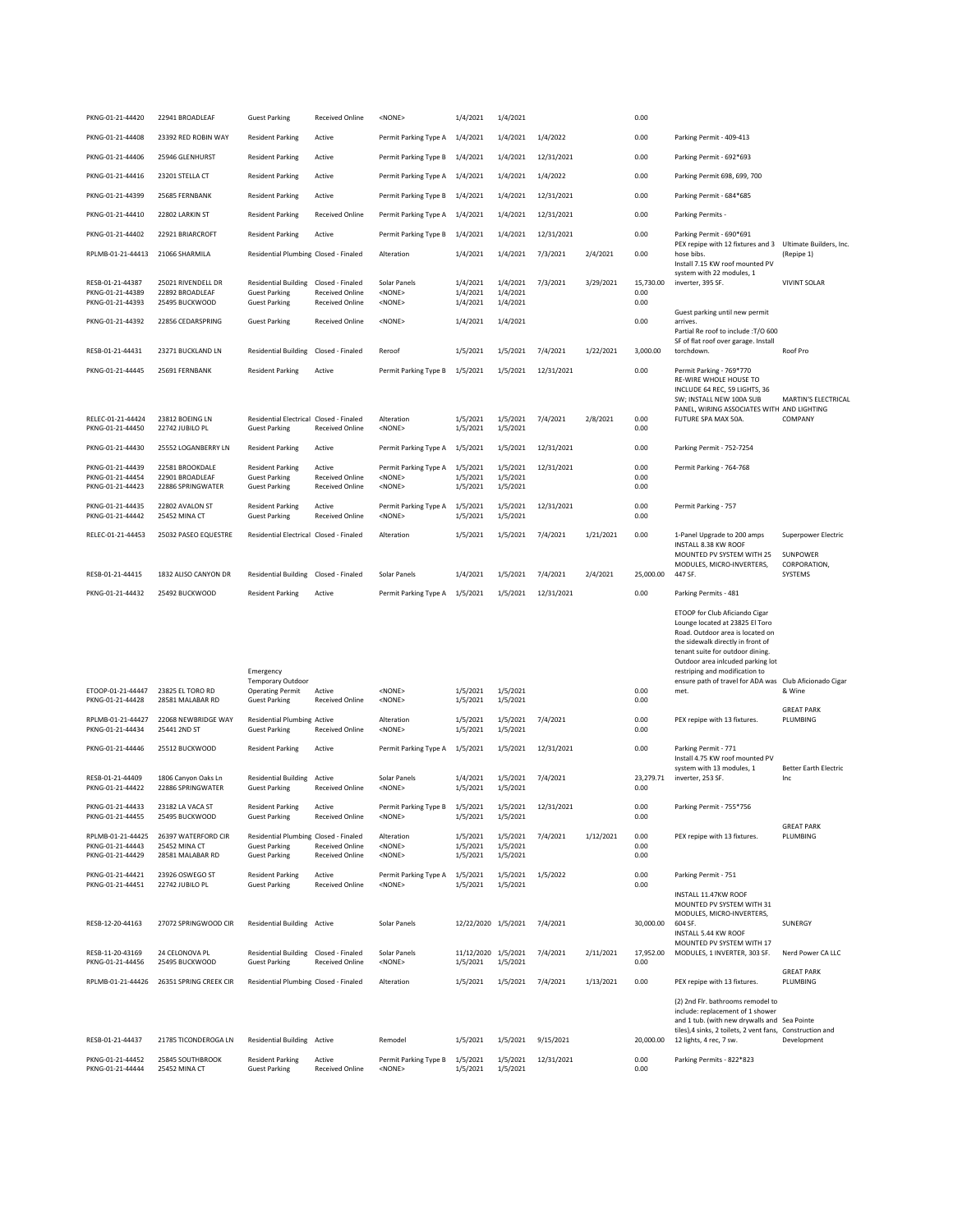| PKNG-01-21-44420                                          | 22941 BROADLEAF                                                 | <b>Guest Parking</b>                                                                  | <b>Received Online</b>                                               | $<$ NONE $>$                                             | 1/4/2021                         | 1/4/2021                         |                     |           | 0.00                      |                                                                                                                                                                                                              |                                                 |
|-----------------------------------------------------------|-----------------------------------------------------------------|---------------------------------------------------------------------------------------|----------------------------------------------------------------------|----------------------------------------------------------|----------------------------------|----------------------------------|---------------------|-----------|---------------------------|--------------------------------------------------------------------------------------------------------------------------------------------------------------------------------------------------------------|-------------------------------------------------|
| PKNG-01-21-44408                                          | 23392 RED ROBIN WAY                                             | <b>Resident Parking</b>                                                               | Active                                                               | Permit Parking Type A 1/4/2021                           |                                  | 1/4/2021                         | 1/4/2022            |           | 0.00                      | Parking Permit - 409-413                                                                                                                                                                                     |                                                 |
| PKNG-01-21-44406                                          | 25946 GLENHURST                                                 | <b>Resident Parking</b>                                                               | Active                                                               | Permit Parking Type B                                    | 1/4/2021                         | 1/4/2021                         | 12/31/2021          |           | 0.00                      | Parking Permit - 692*693                                                                                                                                                                                     |                                                 |
| PKNG-01-21-44416                                          | 23201 STELLA CT                                                 | <b>Resident Parking</b>                                                               | Active                                                               | Permit Parking Type A                                    | 1/4/2021                         | 1/4/2021                         | 1/4/2022            |           | 0.00                      | Parking Permit 698, 699, 700                                                                                                                                                                                 |                                                 |
| PKNG-01-21-44399                                          | 25685 FERNBANK                                                  | <b>Resident Parking</b>                                                               | Active                                                               | Permit Parking Type B                                    | 1/4/2021                         | 1/4/2021                         | 12/31/2021          |           | 0.00                      | Parking Permit - 684*685                                                                                                                                                                                     |                                                 |
| PKNG-01-21-44410                                          | 22802 LARKIN ST                                                 | <b>Resident Parking</b>                                                               | Received Online                                                      | Permit Parking Type A                                    | 1/4/2021                         | 1/4/2021                         | 12/31/2021          |           | 0.00                      | Parking Permits -                                                                                                                                                                                            |                                                 |
| PKNG-01-21-44402                                          | 22921 BRIARCROFT                                                | <b>Resident Parking</b>                                                               | Active                                                               | Permit Parking Type B                                    | 1/4/2021                         | 1/4/2021                         | 12/31/2021          |           | 0.00                      | Parking Permit - 690*691<br>PEX repipe with 12 fixtures and 3 Ultimate Builders, Inc.                                                                                                                        |                                                 |
| RPLMB-01-21-44413                                         | 21066 SHARMILA                                                  | Residential Plumbing Closed - Finaled                                                 |                                                                      | Alteration                                               | 1/4/2021                         | 1/4/2021                         | 7/3/2021            | 2/4/2021  | 0.00                      | hose bibs.<br>Install 7.15 KW roof mounted PV                                                                                                                                                                | (Repipe 1)                                      |
| RESB-01-21-44387<br>PKNG-01-21-44389<br>PKNG-01-21-44393  | 25021 RIVENDELL DR<br>22892 BROADLEAF<br>25495 BUCKWOOD         | <b>Residential Building</b><br><b>Guest Parking</b><br><b>Guest Parking</b>           | Closed - Finaled<br><b>Received Online</b><br><b>Received Online</b> | Solar Panels<br><none><br/><none></none></none>          | 1/4/2021<br>1/4/2021<br>1/4/2021 | 1/4/2021<br>1/4/2021<br>1/4/2021 | 7/3/2021            | 3/29/2021 | 15,730.00<br>0.00<br>0.00 | system with 22 modules, 1<br>inverter, 395 SF.                                                                                                                                                               | <b>VIVINT SOLAR</b>                             |
| PKNG-01-21-44392                                          | 22856 CEDARSPRING                                               | <b>Guest Parking</b>                                                                  | <b>Received Online</b>                                               | <none></none>                                            | 1/4/2021                         | 1/4/2021                         |                     |           | 0.00                      | Guest parking until new permit<br>arrives.<br>Partial Re roof to include : T/O 600                                                                                                                           |                                                 |
| RESB-01-21-44431                                          | 23271 BUCKLAND LN                                               | <b>Residential Building</b>                                                           | Closed - Finaled                                                     | Reroof                                                   | 1/5/2021                         | 1/5/2021                         | 7/4/2021            | 1/22/2021 | 3,000.00                  | SF of flat roof over garage. Install<br>torchdown.                                                                                                                                                           | Roof Pro                                        |
| PKNG-01-21-44445                                          | 25691 FERNBANK                                                  | <b>Resident Parking</b>                                                               | Active                                                               | Permit Parking Type B                                    | 1/5/2021                         | 1/5/2021                         | 12/31/2021          |           | 0.00                      | Permit Parking - 769*770<br>RE-WIRE WHOLE HOUSE TO<br>INCLUDE 64 REC, 59 LIGHTS, 36<br>SW; INSTALL NEW 100A SUB<br>PANEL, WIRING ASSOCIATES WITH AND LIGHTING                                                | MARTIN'S ELECTRICAL                             |
| RELEC-01-21-44424<br>PKNG-01-21-44450                     | 23812 BOEING LN<br>22742 JUBILO PL                              | Residential Electrical Closed - Finaled<br><b>Guest Parking</b>                       | <b>Received Online</b>                                               | Alteration<br><none></none>                              | 1/5/2021<br>1/5/2021             | 1/5/2021<br>1/5/2021             | 7/4/2021            | 2/8/2021  | 0.00<br>0.00              | FUTURE SPA MAX 50A.                                                                                                                                                                                          | COMPANY                                         |
| PKNG-01-21-44430                                          | 25552 LOGANBERRY LN                                             | <b>Resident Parking</b>                                                               | Active                                                               | Permit Parking Type A                                    | 1/5/2021                         | 1/5/2021                         | 12/31/2021          |           | 0.00                      | Parking Permit - 752-7254                                                                                                                                                                                    |                                                 |
| PKNG-01-21-44439<br>PKNG-01-21-44454<br>PKNG-01-21-44423  | 22581 BROOKDALE<br>22901 BROADLEAF<br>22886 SPRINGWATER         | <b>Resident Parking</b><br><b>Guest Parking</b><br><b>Guest Parking</b>               | Active<br><b>Received Online</b><br><b>Received Online</b>           | Permit Parking Type A<br><none><br/><none></none></none> | 1/5/2021<br>1/5/2021<br>1/5/2021 | 1/5/2021<br>1/5/2021<br>1/5/2021 | 12/31/2021          |           | 0.00<br>0.00<br>0.00      | Permit Parking - 764-768                                                                                                                                                                                     |                                                 |
| PKNG-01-21-44435<br>PKNG-01-21-44442                      | 22802 AVALON ST<br>25452 MINA CT                                | <b>Resident Parking</b><br><b>Guest Parking</b>                                       | Active<br><b>Received Online</b>                                     | Permit Parking Type A<br>$<$ NONE $>$                    | 1/5/2021<br>1/5/2021             | 1/5/2021<br>1/5/2021             | 12/31/2021          |           | 0.00<br>0.00              | Permit Parking - 757                                                                                                                                                                                         |                                                 |
| RELEC-01-21-44453                                         | 25032 PASEO EQUESTRE                                            | Residential Electrical Closed - Finaled                                               |                                                                      | Alteration                                               | 1/5/2021                         | 1/5/2021                         | 7/4/2021            | 1/21/2021 | 0.00                      | 1-Panel Upgrade to 200 amps<br>INSTALL 8.38 KW ROOF<br>MOUNTED PV SYSTEM WITH 25<br>MODULES, MICRO-INVERTERS,                                                                                                | Superpower Electric<br>SUNPOWER<br>CORPORATION, |
| RESB-01-21-44415                                          | 1832 ALISO CANYON DR                                            | <b>Residential Building</b>                                                           | Closed - Finaled                                                     | Solar Panels                                             | 1/4/2021                         | 1/5/2021                         | 7/4/2021            | 2/4/2021  | 25,000.00                 | 447 SF.                                                                                                                                                                                                      | SYSTEMS                                         |
| PKNG-01-21-44432                                          | 25492 BUCKWOOD                                                  | <b>Resident Parking</b>                                                               | Active                                                               | Permit Parking Type A                                    | 1/5/2021                         | 1/5/2021                         | 12/31/2021          |           | 0.00                      | Parking Permits - 481                                                                                                                                                                                        |                                                 |
|                                                           |                                                                 |                                                                                       |                                                                      |                                                          |                                  |                                  |                     |           |                           | ETOOP for Club Aficiando Cigar<br>Lounge located at 23825 El Toro<br>Road. Outdoor area is located on<br>the sidewalk directly in front of<br>tenant suite for outdoor dining.                               |                                                 |
| ETOOP-01-21-44447                                         | 23825 EL TORO RD                                                | Emergency<br><b>Temporary Outdoor</b><br><b>Operating Permit</b>                      | Active                                                               | <none></none>                                            | 1/5/2021                         | 1/5/2021                         |                     |           | 0.00                      | Outdoor area inlcuded parking lot<br>restriping and modification to<br>ensure path of travel for ADA was Club Aficionado Cigar<br>met.                                                                       | & Wine                                          |
| PKNG-01-21-44428                                          | 28581 MALABAR RD                                                | <b>Guest Parking</b>                                                                  | <b>Received Online</b>                                               | <none></none>                                            | 1/5/2021                         | 1/5/2021                         |                     |           | 0.00                      |                                                                                                                                                                                                              | <b>GREAT PARK</b>                               |
| RPLMB-01-21-44427<br>PKNG-01-21-44434                     | 22068 NEWBRIDGE WAY<br>25441 2ND ST                             | <b>Residential Plumbing Active</b><br><b>Guest Parking</b>                            | <b>Received Online</b>                                               | Alteration<br><none></none>                              | 1/5/2021<br>1/5/2021             | 1/5/2021<br>1/5/2021             | 7/4/2021            |           | 0.00<br>0.00              | PEX repipe with 13 fixtures.                                                                                                                                                                                 | PLUMBING                                        |
| PKNG-01-21-44446                                          | 25512 BUCKWOOD                                                  | <b>Resident Parking</b>                                                               | Active                                                               | Permit Parking Type A                                    | 1/5/2021                         | 1/5/2021                         | 12/31/2021          |           | 0.00                      | Parking Permit - 771<br>Install 4.75 KW roof mounted PV<br>system with 13 modules, 1                                                                                                                         | <b>Better Earth Electric</b>                    |
| RESB-01-21-44409<br>PKNG-01-21-44422                      | 1806 Canyon Oaks Ln<br>22886 SPRINGWATER                        | <b>Residential Building</b><br><b>Guest Parking</b>                                   | Active<br><b>Received Online</b>                                     | Solar Panels<br>$<$ NONE $>$                             | 1/4/2021<br>1/5/2021             | 1/5/2021<br>1/5/2021             | 7/4/2021            |           | 23,279.71<br>0.00         | inverter, 253 SF.                                                                                                                                                                                            | Inc                                             |
| PKNG-01-21-44433<br>PKNG-01-21-44455                      | 23182 J A VACA ST<br>25495 BUCKWOOD                             | <b>Resident Parking</b><br><b>Guest Parking</b>                                       | Active<br><b>Received Online</b>                                     | Permit Parking Type B 1/5/2021<br><none></none>          | 1/5/2021                         | 1/5/2021                         | 1/5/2021 12/31/2021 |           | 0.00<br>0.00              | Parking Permit - 755*756                                                                                                                                                                                     | <b>GREAT PARK</b>                               |
| RPLMB-01-21-44425<br>PKNG-01-21-44443<br>PKNG-01-21-44429 | 26397 WATERFORD CIR<br><b>25452 MINA CT</b><br>28581 MALABAR RD | Residential Plumbing Closed - Finaled<br><b>Guest Parking</b><br><b>Guest Parking</b> | Received Online<br>Received Online                                   | Alteration<br><none><br/><none></none></none>            | 1/5/2021<br>1/5/2021<br>1/5/2021 | 1/5/2021<br>1/5/2021<br>1/5/2021 | 7/4/2021            | 1/12/2021 | 0.00<br>0.00<br>0.00      | PEX repipe with 13 fixtures.                                                                                                                                                                                 | PLUMBING                                        |
| PKNG-01-21-44421                                          | 23926 OSWEGO ST                                                 | <b>Resident Parking</b>                                                               | Active                                                               | Permit Parking Type A                                    | 1/5/2021                         | 1/5/2021                         | 1/5/2022            |           | 0.00                      | Parking Permit - 751                                                                                                                                                                                         |                                                 |
| PKNG-01-21-44451                                          | 22742 JUBILO PL                                                 | <b>Guest Parking</b>                                                                  | <b>Received Online</b>                                               | <none></none>                                            | 1/5/2021                         | 1/5/2021                         |                     |           | 0.00                      | INSTALL 11.47KW ROOF<br>MOUNTED PV SYSTEM WITH 31<br>MODULES, MICRO-INVERTERS,                                                                                                                               |                                                 |
| RESB-12-20-44163                                          | 27072 SPRINGWOOD CIR                                            | Residential Building Active                                                           |                                                                      | Solar Panels                                             | 12/22/2020 1/5/2021              |                                  | 7/4/2021            |           | 30,000.00                 | 604 SF.<br>INSTALL 5.44 KW ROOF<br>MOUNTED PV SYSTEM WITH 17                                                                                                                                                 | SUNERGY                                         |
| RESB-11-20-43169<br>PKNG-01-21-44456                      | 24 CELONOVA PL<br>25495 BUCKWOOD                                | Residential Building Closed - Finaled<br><b>Guest Parking</b>                         | <b>Received Online</b>                                               | Solar Panels<br><none></none>                            | 11/12/2020 1/5/2021<br>1/5/2021  | 1/5/2021                         | 7/4/2021            | 2/11/2021 | 17,952.00<br>0.00         | MODULES, 1 INVERTER, 303 SF.                                                                                                                                                                                 | Nerd Power CA LLC<br><b>GREAT PARK</b>          |
|                                                           | RPLMB-01-21-44426 26351 SPRING CREEK CIR                        | Residential Plumbing Closed - Finaled                                                 |                                                                      | Alteration                                               | 1/5/2021                         | 1/5/2021                         | 7/4/2021            | 1/13/2021 | 0.00                      | PEX repipe with 13 fixtures.                                                                                                                                                                                 | PLUMBING                                        |
| RESB-01-21-44437                                          | 21785 TICONDEROGA LN                                            | <b>Residential Building</b>                                                           | Active                                                               | Remodel                                                  | 1/5/2021                         | 1/5/2021                         | 9/15/2021           |           | 20,000.00                 | (2) 2nd Flr. bathrooms remodel to<br>include: replacement of 1 shower<br>and 1 tub. (with new drywalls and Sea Pointe<br>tiles),4 sinks, 2 toilets, 2 vent fans, Construction and<br>12 lights, 4 rec, 7 sw. | Development                                     |
| PKNG-01-21-44452<br>PKNG-01-21-44444                      | 25845 SOUTHBROOK<br>25452 MINA CT                               | <b>Resident Parking</b><br><b>Guest Parking</b>                                       | Active<br>Received Online                                            | Permit Parking Type B<br><none></none>                   | 1/5/2021<br>1/5/2021             | 1/5/2021<br>1/5/2021             | 12/31/2021          |           | 0.00<br>0.00              | Parking Permits - 822*823                                                                                                                                                                                    |                                                 |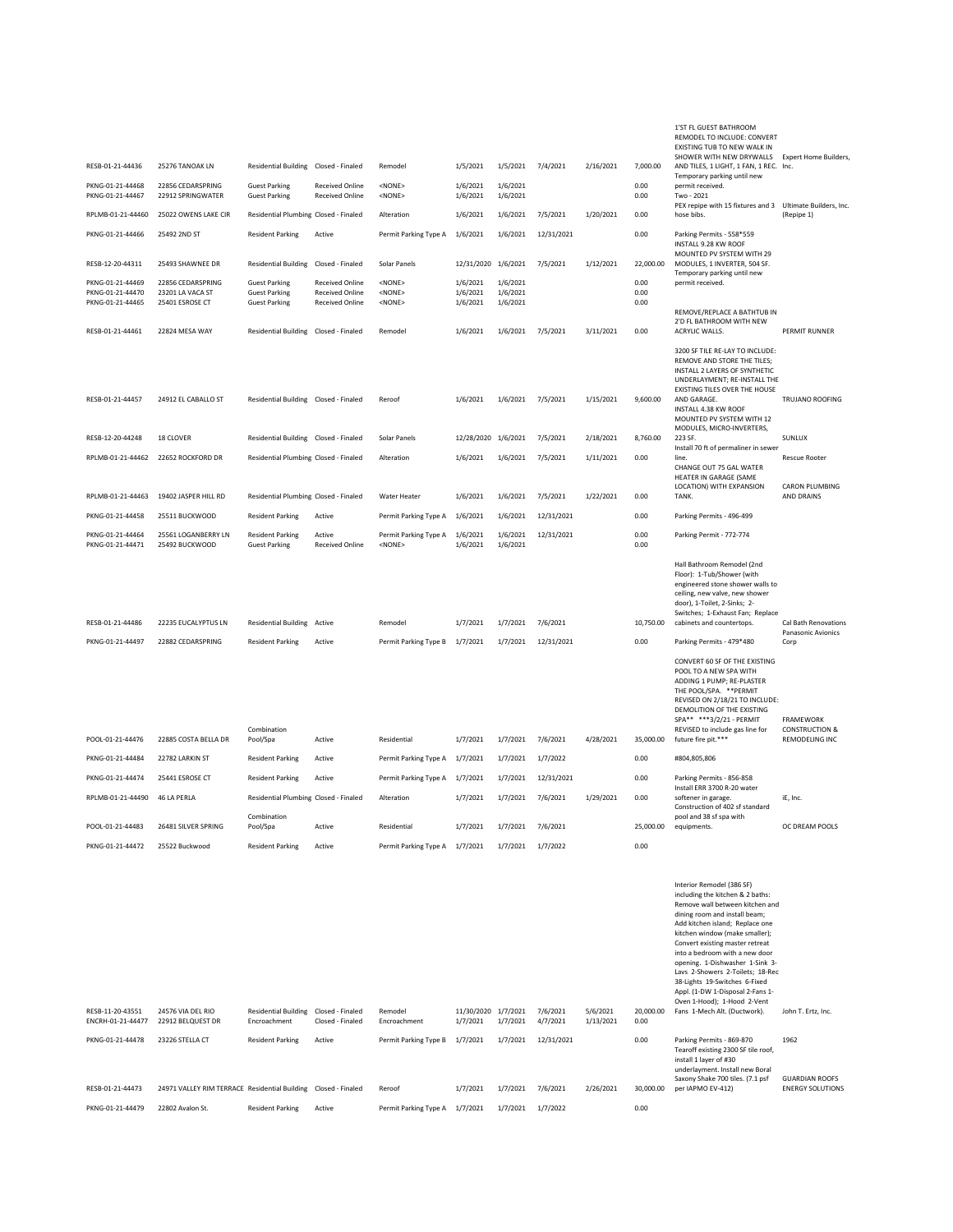| RESB-01-21-44436                      | 25276 TANOAK LN                               | Residential Building Closed - Finaled                |                                      | Remodel                         | 1/5/2021                        | 1/5/2021             | 7/4/2021             | 2/16/2021             | 7,000.00          | 1'ST FL GUEST BATHROOM<br>REMODEL TO INCLUDE: CONVERT<br>EXISTING TUB TO NEW WALK IN<br>SHOWER WITH NEW DRYWALLS Expert Home Builders,<br>AND TILES, 1 LIGHT, 1 FAN, 1 REC. Inc.                                                                                                                                                                                                                                                                       |                                                  |
|---------------------------------------|-----------------------------------------------|------------------------------------------------------|--------------------------------------|---------------------------------|---------------------------------|----------------------|----------------------|-----------------------|-------------------|--------------------------------------------------------------------------------------------------------------------------------------------------------------------------------------------------------------------------------------------------------------------------------------------------------------------------------------------------------------------------------------------------------------------------------------------------------|--------------------------------------------------|
| PKNG-01-21-44468                      | 22856 CEDARSPRING                             | <b>Guest Parking</b>                                 | <b>Received Online</b>               | <none></none>                   | 1/6/2021                        | 1/6/2021             |                      |                       | 0.00              | Temporary parking until new<br>permit received.                                                                                                                                                                                                                                                                                                                                                                                                        |                                                  |
| PKNG-01-21-44467                      | 22912 SPRINGWATER                             | <b>Guest Parking</b>                                 | Received Online                      | <none></none>                   | 1/6/2021                        | 1/6/2021             |                      |                       | 0.00              | Two - 2021<br>PEX repipe with 15 fixtures and 3 Ultimate Builders, Inc.                                                                                                                                                                                                                                                                                                                                                                                |                                                  |
| RPLMB-01-21-44460                     | 25022 OWENS LAKE CIR                          | Residential Plumbing Closed - Finaled                |                                      | Alteration                      | 1/6/2021                        | 1/6/2021             | 7/5/2021             | 1/20/2021             | 0.00              | hose bibs.                                                                                                                                                                                                                                                                                                                                                                                                                                             | (Repipe 1)                                       |
| PKNG-01-21-44466                      | 25492 2ND ST                                  | <b>Resident Parking</b>                              | Active                               | Permit Parking Type A           | 1/6/2021                        | 1/6/2021             | 12/31/2021           |                       | 0.00              | Parking Permits - 558*559<br>INSTALL 9.28 KW ROOF                                                                                                                                                                                                                                                                                                                                                                                                      |                                                  |
| RESB-12-20-44311                      | 25493 SHAWNEE DR                              | <b>Residential Building</b>                          | Closed - Finaled                     | Solar Panels                    | 12/31/2020 1/6/2021             |                      | 7/5/2021             | 1/12/2021             | 22,000.00         | MOUNTED PV SYSTEM WITH 29<br>MODULES, 1 INVERTER, 504 SF.<br>Temporary parking until new                                                                                                                                                                                                                                                                                                                                                               |                                                  |
| PKNG-01-21-44469<br>PKNG-01-21-44470  | 22856 CEDARSPRING<br>23201 LA VACA ST         | <b>Guest Parking</b><br><b>Guest Parking</b>         | Received Online<br>Received Online   | <none><br/><none></none></none> | 1/6/2021<br>1/6/2021            | 1/6/2021<br>1/6/2021 |                      |                       | 0.00<br>0.00      | permit received.                                                                                                                                                                                                                                                                                                                                                                                                                                       |                                                  |
| PKNG-01-21-44465                      | 25401 ESROSE CT                               | <b>Guest Parking</b>                                 | <b>Received Online</b>               | <none></none>                   | 1/6/2021                        | 1/6/2021             |                      |                       | 0.00              | REMOVE/REPLACE A BATHTUB IN                                                                                                                                                                                                                                                                                                                                                                                                                            |                                                  |
| RESB-01-21-44461                      | 22824 MESA WAY                                | Residential Building Closed - Finaled                |                                      | Remodel                         | 1/6/2021                        | 1/6/2021             | 7/5/2021             | 3/11/2021             | 0.00              | 2'D FL BATHROOM WITH NEW<br>ACRYLIC WALLS.                                                                                                                                                                                                                                                                                                                                                                                                             | PERMIT RUNNER                                    |
|                                       |                                               |                                                      |                                      |                                 |                                 |                      |                      |                       |                   | 3200 SF TILE RE-LAY TO INCLUDE:<br>REMOVE AND STORE THE TILES;<br>INSTALL 2 LAYERS OF SYNTHETIC<br>UNDERLAYMENT; RE-INSTALL THE<br>EXISTING TILES OVER THE HOUSE                                                                                                                                                                                                                                                                                       |                                                  |
| RESB-01-21-44457                      | 24912 EL CABALLO ST                           | Residential Building Closed - Finaled                |                                      | Reroof                          | 1/6/2021                        | 1/6/2021             | 7/5/2021             | 1/15/2021             | 9,600.00          | AND GARAGE.<br>INSTALL 4.38 KW ROOF<br>MOUNTED PV SYSTEM WITH 12<br>MODULES, MICRO-INVERTERS,                                                                                                                                                                                                                                                                                                                                                          | TRUJANO ROOFING                                  |
| RESB-12-20-44248                      | 18 CLOVER                                     | Residential Building Closed - Finaled                |                                      | Solar Panels                    | 12/28/2020 1/6/2021             |                      | 7/5/2021             | 2/18/2021             | 8,760.00          | 223 SF.<br>Install 70 ft of permaliner in sewer                                                                                                                                                                                                                                                                                                                                                                                                        | SUNLUX                                           |
| RPLMB-01-21-44462                     | 22652 ROCKFORD DR                             | Residential Plumbing Closed - Finaled                |                                      | Alteration                      | 1/6/2021                        | 1/6/2021             | 7/5/2021             | 1/11/2021             | 0.00              | line.<br>CHANGE OUT 75 GAL WATER                                                                                                                                                                                                                                                                                                                                                                                                                       | Rescue Rooter                                    |
| RPLMB-01-21-44463                     | 19402 JASPER HILL RD                          | Residential Plumbing Closed - Finaled                |                                      | <b>Water Heater</b>             | 1/6/2021                        | 1/6/2021             | 7/5/2021             | 1/22/2021             | 0.00              | HEATER IN GARAGE (SAME<br>LOCATION) WITH EXPANSION<br>TANK.                                                                                                                                                                                                                                                                                                                                                                                            | CARON PLUMBING<br><b>AND DRAINS</b>              |
| PKNG-01-21-44458                      | 25511 BUCKWOOD                                | <b>Resident Parking</b>                              | Active                               | Permit Parking Type A           | 1/6/2021                        | 1/6/2021             | 12/31/2021           |                       | 0.00              | Parking Permits - 496-499                                                                                                                                                                                                                                                                                                                                                                                                                              |                                                  |
| PKNG-01-21-44464                      | 25561 LOGANBERRY LN                           | <b>Resident Parking</b>                              | Active                               | Permit Parking Type A           | 1/6/2021                        | 1/6/2021             | 12/31/2021           |                       | 0.00              | Parking Permit - 772-774                                                                                                                                                                                                                                                                                                                                                                                                                               |                                                  |
| PKNG-01-21-44471                      | 25492 BUCKWOOD                                | <b>Guest Parking</b>                                 | <b>Received Online</b>               | <none></none>                   | 1/6/2021                        | 1/6/2021             |                      |                       | 0.00              |                                                                                                                                                                                                                                                                                                                                                                                                                                                        |                                                  |
| RESB-01-21-44486                      | 22235 EUCALYPTUS LN                           | <b>Residential Building</b>                          | Active                               | Remodel                         | 1/7/2021                        | 1/7/2021             | 7/6/2021             |                       | 10,750.00         | Hall Bathroom Remodel (2nd<br>Floor): 1-Tub/Shower (with<br>engineered stone shower walls to<br>ceiling, new valve, new shower<br>door), 1-Toilet, 2-Sinks; 2-<br>Switches; 1-Exhaust Fan; Replace<br>cabinets and countertops.                                                                                                                                                                                                                        | Cal Bath Renovations                             |
| PKNG-01-21-44497                      | 22882 CEDARSPRING                             | <b>Resident Parking</b>                              | Active                               | Permit Parking Type B 1/7/2021  |                                 | 1/7/2021             | 12/31/2021           |                       | 0.00              | Parking Permits - 479*480                                                                                                                                                                                                                                                                                                                                                                                                                              | Panasonic Avionics<br>Corp                       |
|                                       |                                               | Combination                                          |                                      |                                 |                                 |                      |                      |                       |                   | CONVERT 60 SF OF THE EXISTING<br>POOL TO A NEW SPA WITH<br>ADDING 1 PUMP; RE-PLASTER<br>THE POOL/SPA. ** PERMIT<br>REVISED ON 2/18/21 TO INCLUDE:<br>DEMOLITION OF THE EXISTING<br>SPA** ***3/2/21 - PERMIT<br>REVISED to include gas line for                                                                                                                                                                                                         | FRAMEWORK<br><b>CONSTRUCTION &amp;</b>           |
| POOL-01-21-44476                      | 22885 COSTA BELLA DR                          | Pool/Spa                                             | Active                               | Residential                     | 1/7/2021                        | 1/7/2021             | 7/6/2021             | 4/28/2021             | 35,000.00         | future fire pit.***                                                                                                                                                                                                                                                                                                                                                                                                                                    | REMODELING INC                                   |
| PKNG-01-21-44484                      | 22782 LARKIN ST                               | <b>Resident Parking</b>                              | Active                               | Permit Parking Type A           | 1/7/2021                        | 1/7/2021             | 1/7/2022             |                       | 0.00              | #804,805,806                                                                                                                                                                                                                                                                                                                                                                                                                                           |                                                  |
| PKNG-01-21-44474                      | 25441 ESROSE CT                               | <b>Resident Parking</b>                              | Active                               | Permit Parking Type A           | 1/7/2021                        | 1/7/2021             | 12/31/2021           |                       | 0.00              | Parking Permits - 856-858<br>Install ERR 3700 R-20 water                                                                                                                                                                                                                                                                                                                                                                                               |                                                  |
| RPLMB-01-21-44490                     | 46 LA PERLA                                   | Residential Plumbing Closed - Finaled<br>Combination |                                      | Alteration                      | 1/7/2021                        | 1/7/2021             | 7/6/2021             | 1/29/2021             | 0.00              | softener in garage.<br>Construction of 402 sf standard<br>pool and 38 sf spa with                                                                                                                                                                                                                                                                                                                                                                      | iE, Inc.                                         |
| POOL-01-21-44483                      | 26481 SILVER SPRING                           | Pool/Spa                                             | Active                               | Residential                     | 1/7/2021                        | 1/7/2021             | 7/6/2021             |                       | 25,000.00         | equipments.                                                                                                                                                                                                                                                                                                                                                                                                                                            | OC DREAM POOLS                                   |
| PKNG-01-21-44472                      | 25522 Buckwood                                | <b>Resident Parking</b>                              | Active                               | Permit Parking Type A 1/7/2021  |                                 | 1/7/2021             | 1/7/2022             |                       | 0.00              |                                                                                                                                                                                                                                                                                                                                                                                                                                                        |                                                  |
|                                       |                                               |                                                      |                                      |                                 |                                 |                      |                      |                       |                   | Interior Remodel (386 SF)<br>including the kitchen & 2 baths:<br>Remove wall between kitchen and<br>dining room and install beam;<br>Add kitchen island; Replace one<br>kitchen window (make smaller);<br>Convert existing master retreat<br>into a bedroom with a new door<br>opening. 1-Dishwasher 1-Sink 3-<br>Lavs 2-Showers 2-Toilets; 18-Rec<br>38-Lights 19-Switches 6-Fixed<br>Appl. (1-DW 1-Disposal 2-Fans 1-<br>Oven 1-Hood); 1-Hood 2-Vent |                                                  |
| RESB-11-20-43551<br>ENCRH-01-21-44477 | 24576 VIA DEL RIO<br>22912 BELQUEST DR        | <b>Residential Building</b><br>Encroachment          | Closed - Finaled<br>Closed - Finaled | Remodel<br>Encroachment         | 11/30/2020 1/7/2021<br>1/7/2021 | 1/7/2021             | 7/6/2021<br>4/7/2021 | 5/6/2021<br>1/13/2021 | 20,000.00<br>0.00 | Fans 1-Mech Alt. (Ductwork).                                                                                                                                                                                                                                                                                                                                                                                                                           | John T. Ertz, Inc.                               |
| PKNG-01-21-44478                      | 23226 STELLA CT                               | <b>Resident Parking</b>                              | Active                               | Permit Parking Type B 1/7/2021  |                                 | 1/7/2021             | 12/31/2021           |                       | 0.00              | Parking Permits - 869-870<br>Tearoff existing 2300 SF tile roof,<br>install 1 layer of #30<br>underlayment. Install new Boral                                                                                                                                                                                                                                                                                                                          | 1962                                             |
| RESB-01-21-44473                      | 24971 VALLEY RIM TERRACE Residential Building |                                                      | Closed - Finaled                     | Reroof                          | 1/7/2021                        | 1/7/2021             | 7/6/2021             | 2/26/2021             | 30,000.00         | Saxony Shake 700 tiles. (7.1 psf<br>per IAPMO EV-412)                                                                                                                                                                                                                                                                                                                                                                                                  | <b>GUARDIAN ROOFS</b><br><b>ENERGY SOLUTIONS</b> |
| PKNG-01-21-44479                      | 22802 Avalon St.                              | <b>Resident Parking</b>                              | Active                               | Permit Parking Type A 1/7/2021  |                                 | 1/7/2021             | 1/7/2022             |                       | 0.00              |                                                                                                                                                                                                                                                                                                                                                                                                                                                        |                                                  |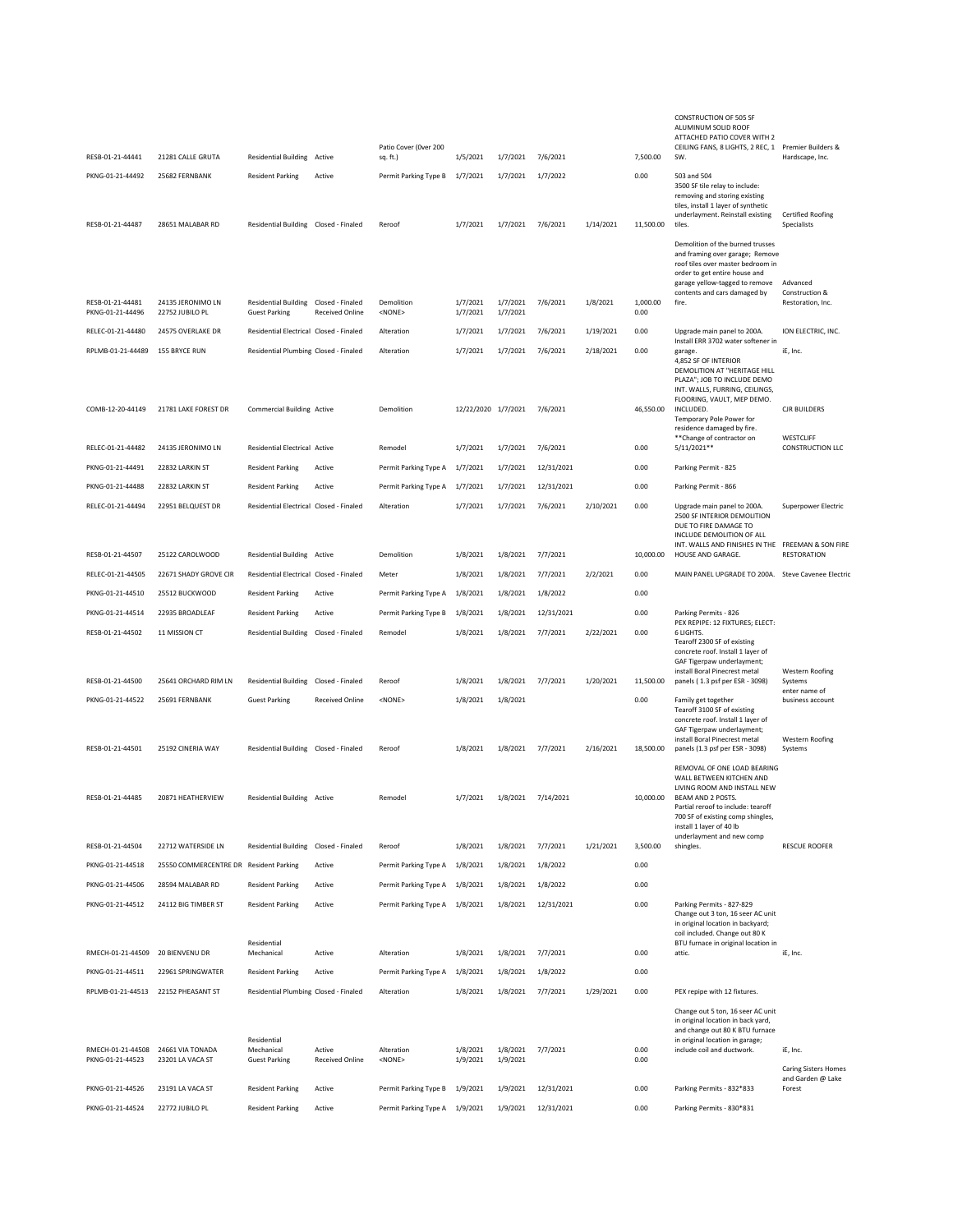| RESB-01-21-44441                      | 21281 CALLE GRUTA                      | Residential Building Active                                   |                                  | Patio Cover (Over 200<br>sq. ft.) | 1/5/2021             | 1/7/2021                      | 7/6/2021   |           | 7,500.00         | CONSTRUCTION OF 505 SF<br>ALUMINUM SOLID ROOF<br>ATTACHED PATIO COVER WITH 2<br>CEILING FANS, 8 LIGHTS, 2 REC, 1<br>SW.                                                                                          | Premier Builders &<br>Hardscape, Inc.   |
|---------------------------------------|----------------------------------------|---------------------------------------------------------------|----------------------------------|-----------------------------------|----------------------|-------------------------------|------------|-----------|------------------|------------------------------------------------------------------------------------------------------------------------------------------------------------------------------------------------------------------|-----------------------------------------|
| PKNG-01-21-44492                      | 25682 FERNBANK                         | <b>Resident Parking</b>                                       | Active                           | Permit Parking Type B             | 1/7/2021             | 1/7/2021                      | 1/7/2022   |           | 0.00             | 503 and 504                                                                                                                                                                                                      |                                         |
| RESB-01-21-44487                      | 28651 MALABAR RD                       | Residential Building Closed - Finaled                         |                                  | Reroof                            | 1/7/2021             | 1/7/2021                      | 7/6/2021   | 1/14/2021 | 11,500.00        | 3500 SF tile relay to include:<br>removing and storing existing<br>tiles, install 1 layer of synthetic<br>underlayment. Reinstall existing<br>tiles.                                                             | Certified Roofing<br>Specialists        |
|                                       |                                        |                                                               |                                  |                                   |                      |                               |            |           |                  | Demolition of the burned trusses<br>and framing over garage; Remove<br>roof tiles over master bedroom in<br>order to get entire house and<br>garage yellow-tagged to remove<br>contents and cars damaged by      | Advanced<br>Construction &              |
| RESB-01-21-44481<br>PKNG-01-21-44496  | 24135 JERONIMO LN<br>22752 JUBILO PL   | Residential Building Closed - Finaled<br><b>Guest Parking</b> | <b>Received Online</b>           | Demolition<br>$<$ NONE $>$        | 1/7/2021<br>1/7/2021 | 1/7/2021<br>1/7/2021          | 7/6/2021   | 1/8/2021  | 1,000.00<br>0.00 | fire.                                                                                                                                                                                                            | Restoration, Inc.                       |
| RELEC-01-21-44480                     | 24575 OVERLAKE DR                      | Residential Electrical Closed - Finaled                       |                                  | Alteration                        | 1/7/2021             | 1/7/2021                      | 7/6/2021   | 1/19/2021 | 0.00             | Upgrade main panel to 200A.<br>Install ERR 3702 water softener in                                                                                                                                                | ION ELECTRIC, INC.                      |
| RPLMB-01-21-44489                     | 155 BRYCE RUN                          | Residential Plumbing Closed - Finaled                         |                                  | Alteration                        | 1/7/2021             | 1/7/2021                      | 7/6/2021   | 2/18/2021 | 0.00             | garage.<br>4,852 SF OF INTERIOR<br>DEMOLITION AT "HERITAGE HILL<br>PLAZA"; JOB TO INCLUDE DEMO<br>INT. WALLS, FURRING, CEILINGS,                                                                                 | iE, Inc.                                |
| COMB-12-20-44149                      | 21781 LAKE FOREST DR                   | Commercial Building Active                                    |                                  | Demolition                        | 12/22/2020 1/7/2021  |                               | 7/6/2021   |           | 46,550.00        | FLOORING, VAULT, MEP DEMO.<br>INCLUDED.<br>Temporary Pole Power for<br>residence damaged by fire.                                                                                                                | <b>CJR BUILDERS</b>                     |
| RELEC-01-21-44482                     | 24135 JERONIMO LN                      | Residential Electrical Active                                 |                                  | Remodel                           | 1/7/2021             | 1/7/2021                      | 7/6/2021   |           | 0.00             | **Change of contractor on<br>$5/11/2021**$                                                                                                                                                                       | WESTCLIFF<br><b>CONSTRUCTION LLC</b>    |
| PKNG-01-21-44491                      | 22832 LARKIN ST                        | <b>Resident Parking</b>                                       | Active                           | Permit Parking Type A             | 1/7/2021             | 1/7/2021                      | 12/31/2021 |           | 0.00             | Parking Permit - 825                                                                                                                                                                                             |                                         |
| PKNG-01-21-44488                      | 22832 LARKIN ST                        | <b>Resident Parking</b>                                       | Active                           | Permit Parking Type A             | 1/7/2021             | 1/7/2021                      | 12/31/2021 |           | 0.00             | Parking Permit - 866                                                                                                                                                                                             |                                         |
| RELEC-01-21-44494                     | 22951 BELQUEST DR                      | Residential Electrical Closed - Finaled                       |                                  | Alteration                        | 1/7/2021             | 1/7/2021                      | 7/6/2021   | 2/10/2021 | 0.00             | Upgrade main panel to 200A.<br>2500 SF INTERIOR DEMOLITION<br>DUE TO FIRE DAMAGE TO<br>INCLUDE DEMOLITION OF ALL<br>INT. WALLS AND FINISHES IN THE FREEMAN & SON FIRE                                            | Superpower Electric                     |
| RESB-01-21-44507                      | 25122 CAROLWOOD                        | Residential Building Active                                   |                                  | Demolition                        | 1/8/2021             | 1/8/2021                      | 7/7/2021   |           | 10,000.00        | HOUSE AND GARAGE.                                                                                                                                                                                                | <b>RESTORATION</b>                      |
| RELEC-01-21-44505                     | 22671 SHADY GROVE CIR                  | Residential Electrical Closed - Finaled                       |                                  | Meter                             | 1/8/2021             | 1/8/2021                      | 7/7/2021   | 2/2/2021  | 0.00             | MAIN PANEL UPGRADE TO 200A. Steve Cavenee Electric                                                                                                                                                               |                                         |
| PKNG-01-21-44510                      | 25512 BUCKWOOD                         | <b>Resident Parking</b>                                       | Active                           | Permit Parking Type A             | 1/8/2021             | 1/8/2021                      | 1/8/2022   |           | 0.00             |                                                                                                                                                                                                                  |                                         |
| PKNG-01-21-44514                      | 22935 BROADLEAF                        | <b>Resident Parking</b>                                       | Active                           | Permit Parking Type B             | 1/8/2021             | 1/8/2021                      | 12/31/2021 |           | 0.00             | Parking Permits - 826<br>PEX REPIPE: 12 FIXTURES; ELECT:                                                                                                                                                         |                                         |
| RESB-01-21-44502                      | 11 MISSION CT                          | <b>Residential Building</b>                                   | Closed - Finaled                 | Remodel                           | 1/8/2021             | 1/8/2021                      | 7/7/2021   | 2/22/2021 | 0.00             | 6 LIGHTS.<br>Tearoff 2300 SF of existing<br>concrete roof. Install 1 layer of<br>GAF Tigerpaw underlayment;<br>install Boral Pinecrest metal                                                                     | <b>Western Roofing</b>                  |
| RESB-01-21-44500                      | 25641 ORCHARD RIM LN                   | Residential Building Closed - Finaled                         |                                  | Reroof                            | 1/8/2021             | 1/8/2021                      | 7/7/2021   | 1/20/2021 | 11,500.00        | panels (1.3 psf per ESR - 3098)                                                                                                                                                                                  | Systems<br>enter name of                |
| PKNG-01-21-44522                      | 25691 FERNBANK                         | <b>Guest Parking</b>                                          | <b>Received Online</b>           | <none></none>                     | 1/8/2021             | 1/8/2021                      |            |           | 0.00             | Family get together<br>Tearoff 3100 SF of existing<br>concrete roof. Install 1 layer of<br>GAF Tigerpaw underlayment;<br>install Boral Pinecrest metal                                                           | business account<br>Western Roofing     |
| RESB-01-21-44501                      | 25192 CINERIA WAY                      | Residential Building Closed - Finaled                         |                                  | Reroof                            | 1/8/2021             | 1/8/2021                      | 7/7/2021   | 2/16/2021 | 18,500.00        | panels (1.3 psf per ESR - 3098)<br>REMOVAL OF ONE LOAD BEARING                                                                                                                                                   | Systems                                 |
| RESB-01-21-44485                      | 20871 HEATHERVIEW                      | Residential Building Active                                   |                                  | Remodel                           | 1/7/2021             | 1/8/2021 7/14/2021            |            |           | 10,000.00        | WALL BETWEEN KITCHEN AND<br>LIVING ROOM AND INSTALL NEW<br>BEAM AND 2 POSTS.<br>Partial reroof to include: tearoff<br>700 SF of existing comp shingles,<br>install 1 layer of 40 lb<br>underlayment and new comp |                                         |
| RESB-01-21-44504                      | 22712 WATERSIDE LN                     | Residential Building Closed - Finaled                         |                                  | Reroof                            | 1/8/2021             | 1/8/2021                      | 7/7/2021   | 1/21/2021 | 3,500.00         | shingles.                                                                                                                                                                                                        | <b>RESCUE ROOFER</b>                    |
| PKNG-01-21-44518                      | 25550 COMMERCENTRE DR Resident Parking |                                                               | Active                           | Permit Parking Type A 1/8/2021    |                      | 1/8/2021                      | 1/8/2022   |           | 0.00             |                                                                                                                                                                                                                  |                                         |
| PKNG-01-21-44506                      | 28594 MALABAR RD                       | <b>Resident Parking</b>                                       | Active                           | Permit Parking Type A 1/8/2021    |                      | 1/8/2021                      | 1/8/2022   |           | 0.00             |                                                                                                                                                                                                                  |                                         |
| PKNG-01-21-44512                      | 24112 BIG TIMBER ST                    | <b>Resident Parking</b><br>Residential                        | Active                           | Permit Parking Type A 1/8/2021    |                      | 1/8/2021                      | 12/31/2021 |           | 0.00             | Parking Permits - 827-829<br>Change out 3 ton, 16 seer AC unit<br>in original location in backyard;<br>coil included. Change out 80 K<br>BTU furnace in original location in                                     |                                         |
| RMECH-01-21-44509                     | 20 BIENVENU DR                         | Mechanical                                                    | Active                           | Alteration                        | 1/8/2021             | 1/8/2021                      | 7/7/2021   |           | 0.00             | attic.                                                                                                                                                                                                           | iE, Inc.                                |
| PKNG-01-21-44511                      | 22961 SPRINGWATER                      | <b>Resident Parking</b>                                       | Active                           | Permit Parking Type A             | 1/8/2021             | 1/8/2021                      | 1/8/2022   |           | 0.00             |                                                                                                                                                                                                                  |                                         |
| RPLMB-01-21-44513 22152 PHEASANT ST   |                                        | Residential Plumbing Closed - Finaled                         |                                  | Alteration                        | 1/8/2021             | 1/8/2021 7/7/2021             |            | 1/29/2021 | 0.00             | PEX repipe with 12 fixtures.                                                                                                                                                                                     |                                         |
| RMECH-01-21-44508<br>PKNG-01-21-44523 | 24661 VIA TONADA<br>23201 LA VACA ST   | Residential<br>Mechanical<br><b>Guest Parking</b>             | Active<br><b>Received Online</b> | Alteration<br><none></none>       | 1/8/2021<br>1/9/2021 | 1/8/2021 7/7/2021<br>1/9/2021 |            |           | 0.00<br>0.00     | Change out 5 ton, 16 seer AC unit<br>in original location in back yard,<br>and change out 80 K BTU furnace<br>in original location in garage;<br>include coil and ductwork.                                      | iE, Inc.<br><b>Caring Sisters Homes</b> |
| PKNG-01-21-44526                      | 23191 LA VACA ST                       | <b>Resident Parking</b>                                       | Active                           | Permit Parking Type B             | 1/9/2021             | 1/9/2021                      | 12/31/2021 |           | 0.00             | Parking Permits - 832*833                                                                                                                                                                                        | and Garden @ Lake<br>Forest             |
| PKNG-01-21-44524                      | 22772 JUBILO PL                        | <b>Resident Parking</b>                                       | Active                           | Permit Parking Type A 1/9/2021    |                      | 1/9/2021                      | 12/31/2021 |           | 0.00             | Parking Permits - 830*831                                                                                                                                                                                        |                                         |
|                                       |                                        |                                                               |                                  |                                   |                      |                               |            |           |                  |                                                                                                                                                                                                                  |                                         |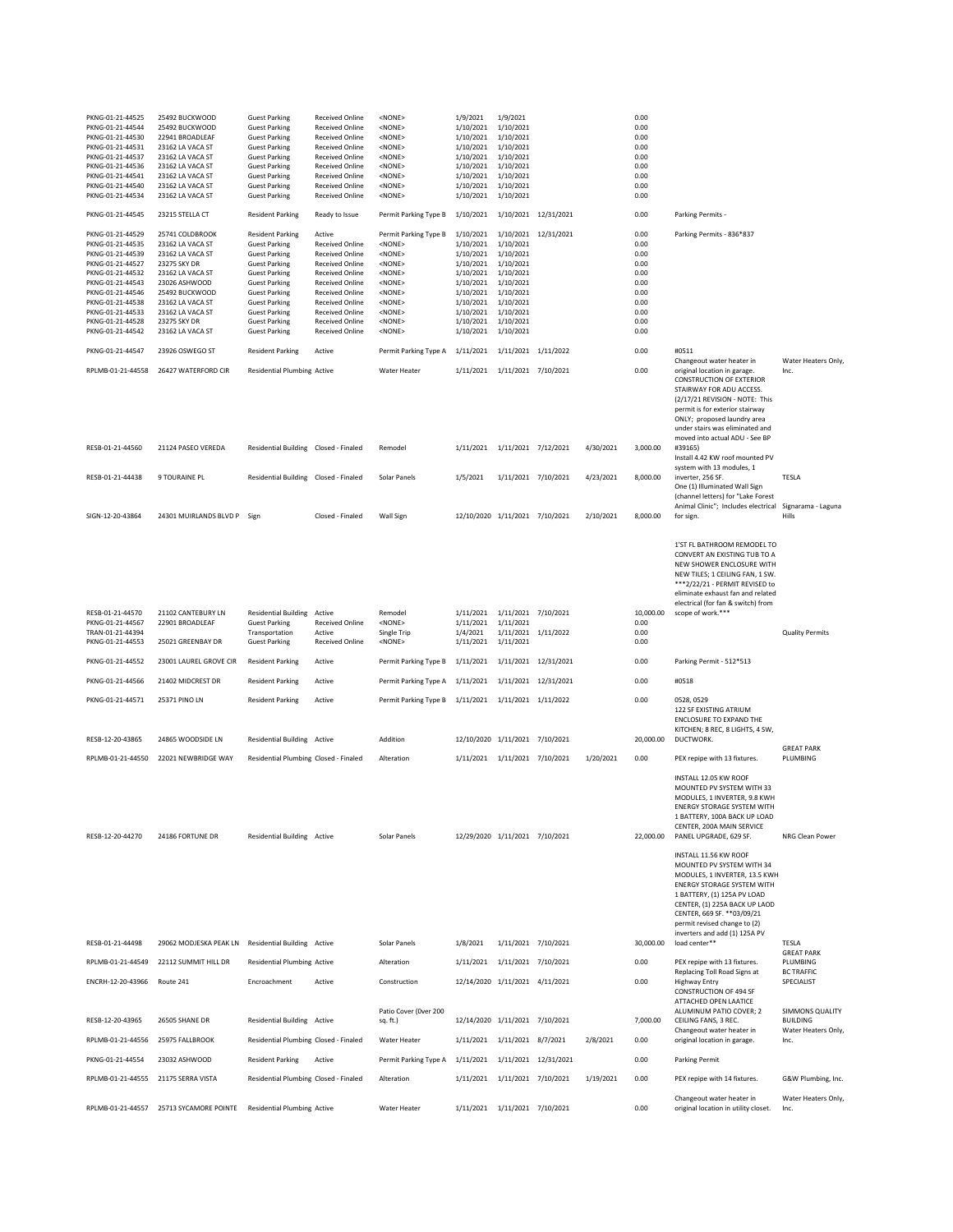| PKNG-01-21-44525<br>PKNG-01-21-44544<br>PKNG-01-21-44530<br>PKNG-01-21-44531<br>PKNG-01-21-44537<br>PKNG-01-21-44536<br>PKNG-01-21-44541<br>PKNG-01-21-44540<br>PKNG-01-21-44534                                         | 25492 BUCKWOOD<br>25492 BUCKWOOD<br>22941 BROADLEAF<br>23162 LA VACA ST<br>23162 LA VACA ST<br>23162 J A VACA ST<br>23162 LA VACA ST<br>23162 LA VACA ST<br>23162 LA VACA ST                               | <b>Guest Parking</b><br><b>Guest Parking</b><br><b>Guest Parking</b><br><b>Guest Parking</b><br><b>Guest Parking</b><br><b>Guest Parking</b><br><b>Guest Parking</b><br><b>Guest Parking</b><br><b>Guest Parking</b>                                                    | <b>Received Online</b><br>Received Online<br><b>Received Online</b><br>Received Online<br>Received Online<br><b>Received Online</b><br><b>Received Online</b><br>Received Online<br><b>Received Online</b>                                     | <none><br/><none><br/><none><br/><none><br/><none><br/><none><br/><none><br/><none><br/><none></none></none></none></none></none></none></none></none></none>                                            | 1/9/2021<br>1/10/2021 1/10/2021<br>1/10/2021 1/10/2021<br>1/10/2021 1/10/2021<br>1/10/2021 1/10/2021<br>1/10/2021 1/10/2021<br>1/10/2021<br>1/10/2021<br>1/10/2021 | 1/9/2021<br>1/10/2021<br>1/10/2021<br>1/10/2021                                                                                                        |           | 0.00<br>0.00<br>0.00<br>0.00<br>0.00<br>0.00<br>0.00<br>0.00<br>0.00                 |                                                                                                                                                                                                                                                                                                              |                                    |
|--------------------------------------------------------------------------------------------------------------------------------------------------------------------------------------------------------------------------|------------------------------------------------------------------------------------------------------------------------------------------------------------------------------------------------------------|-------------------------------------------------------------------------------------------------------------------------------------------------------------------------------------------------------------------------------------------------------------------------|------------------------------------------------------------------------------------------------------------------------------------------------------------------------------------------------------------------------------------------------|----------------------------------------------------------------------------------------------------------------------------------------------------------------------------------------------------------|--------------------------------------------------------------------------------------------------------------------------------------------------------------------|--------------------------------------------------------------------------------------------------------------------------------------------------------|-----------|--------------------------------------------------------------------------------------|--------------------------------------------------------------------------------------------------------------------------------------------------------------------------------------------------------------------------------------------------------------------------------------------------------------|------------------------------------|
| PKNG-01-21-44545                                                                                                                                                                                                         | 23215 STELLA CT                                                                                                                                                                                            | <b>Resident Parking</b>                                                                                                                                                                                                                                                 | Ready to Issue                                                                                                                                                                                                                                 | Permit Parking Type B                                                                                                                                                                                    | 1/10/2021                                                                                                                                                          | 1/10/2021 12/31/2021                                                                                                                                   |           | 0.00                                                                                 | Parking Permits -                                                                                                                                                                                                                                                                                            |                                    |
| PKNG-01-21-44529<br>PKNG-01-21-44535<br>PKNG-01-21-44539<br>PKNG-01-21-44527<br>PKNG-01-21-44532<br>PKNG-01-21-44543<br>PKNG-01-21-44546<br>PKNG-01-21-44538<br>PKNG-01-21-44533<br>PKNG-01-21-44528<br>PKNG-01-21-44542 | 25741 COLDBROOK<br>23162 LA VACA ST<br>23162 LA VACA ST<br>23275 SKY DR<br>23162 LA VACA ST<br>23026 ASHWOOD<br>25492 BUCKWOOD<br>23162 LA VACA ST<br>23162 LA VACA ST<br>23275 SKY DR<br>23162 LA VACA ST | <b>Resident Parking</b><br><b>Guest Parking</b><br><b>Guest Parking</b><br><b>Guest Parking</b><br><b>Guest Parking</b><br><b>Guest Parking</b><br><b>Guest Parking</b><br><b>Guest Parking</b><br><b>Guest Parking</b><br><b>Guest Parking</b><br><b>Guest Parking</b> | Active<br><b>Received Online</b><br><b>Received Online</b><br><b>Received Online</b><br><b>Received Online</b><br>Received Online<br><b>Received Online</b><br>Received Online<br><b>Received Online</b><br>Received Online<br>Received Online | Permit Parking Type B<br><none><br/><none><br/><none><br/><none><br/><none><br/><none><br/><none><br/><none><br/><none><br/><none></none></none></none></none></none></none></none></none></none></none> | 1/10/2021<br>1/10/2021<br>1/10/2021<br>1/10/2021<br>1/10/2021<br>1/10/2021<br>1/10/2021<br>1/10/2021<br>1/10/2021<br>1/10/2021<br>1/10/2021                        | 1/10/2021 12/31/2021<br>1/10/2021<br>1/10/2021<br>1/10/2021<br>1/10/2021<br>1/10/2021<br>1/10/2021<br>1/10/2021<br>1/10/2021<br>1/10/2021<br>1/10/2021 |           | 0.00<br>0.00<br>0.00<br>0.00<br>0.00<br>0.00<br>0.00<br>0.00<br>0.00<br>0.00<br>0.00 | Parking Permits - 836*837                                                                                                                                                                                                                                                                                    |                                    |
| PKNG-01-21-44547                                                                                                                                                                                                         | 23926 OSWEGO ST                                                                                                                                                                                            | <b>Resident Parking</b>                                                                                                                                                                                                                                                 | Active                                                                                                                                                                                                                                         | Permit Parking Type A                                                                                                                                                                                    | 1/11/2021                                                                                                                                                          | 1/11/2021 1/11/2022                                                                                                                                    |           | 0.00                                                                                 | #0511                                                                                                                                                                                                                                                                                                        |                                    |
| RPLMB-01-21-44558<br>RESB-01-21-44560                                                                                                                                                                                    | 26427 WATERFORD CIR<br>21124 PASEO VEREDA                                                                                                                                                                  | <b>Residential Plumbing Active</b><br>Residential Building Closed - Finaled                                                                                                                                                                                             |                                                                                                                                                                                                                                                | Water Heater<br>Remodel                                                                                                                                                                                  | 1/11/2021 1/11/2021 7/10/2021<br>1/11/2021                                                                                                                         | 1/11/2021 7/12/2021                                                                                                                                    | 4/30/2021 | 0.00<br>3,000.00                                                                     | Changeout water heater in<br>original location in garage.<br><b>CONSTRUCTION OF EXTERIOR</b><br>STAIRWAY FOR ADU ACCESS.<br>(2/17/21 REVISION - NOTE: This<br>permit is for exterior stairway<br>ONLY; proposed laundry area<br>under stairs was eliminated and<br>moved into actual ADU - See BP<br>#39165) | Water Heaters Only,<br>Inc.        |
| RESB-01-21-44438                                                                                                                                                                                                         | 9 TOURAINE PL                                                                                                                                                                                              | Residential Building Closed - Finaled                                                                                                                                                                                                                                   |                                                                                                                                                                                                                                                | Solar Panels                                                                                                                                                                                             | 1/5/2021                                                                                                                                                           | 1/11/2021 7/10/2021                                                                                                                                    | 4/23/2021 | 8,000.00                                                                             | Install 4.42 KW roof mounted PV<br>system with 13 modules, 1<br>inverter, 256 SF.                                                                                                                                                                                                                            | TESLA                              |
|                                                                                                                                                                                                                          |                                                                                                                                                                                                            |                                                                                                                                                                                                                                                                         |                                                                                                                                                                                                                                                |                                                                                                                                                                                                          |                                                                                                                                                                    |                                                                                                                                                        |           |                                                                                      | One (1) Illuminated Wall Sign<br>(channel letters) for "Lake Forest                                                                                                                                                                                                                                          |                                    |
| SIGN-12-20-43864                                                                                                                                                                                                         | 24301 MUIRLANDS BLVD P Sign                                                                                                                                                                                |                                                                                                                                                                                                                                                                         | Closed - Finaled                                                                                                                                                                                                                               | Wall Sign                                                                                                                                                                                                | 12/10/2020 1/11/2021 7/10/2021                                                                                                                                     |                                                                                                                                                        | 2/10/2021 | 8,000.00                                                                             | Animal Clinic"; Includes electrical<br>for sign.                                                                                                                                                                                                                                                             | Signarama - Laguna<br>Hills        |
| RESB-01-21-44570<br>PKNG-01-21-44567                                                                                                                                                                                     | 21102 CANTEBURY LN<br>22901 BROADLEAF                                                                                                                                                                      | <b>Residential Building</b><br><b>Guest Parking</b>                                                                                                                                                                                                                     | Active<br><b>Received Online</b>                                                                                                                                                                                                               | Remodel<br><none></none>                                                                                                                                                                                 | 1/11/2021 1/11/2021 7/10/2021<br>1/11/2021 1/11/2021                                                                                                               |                                                                                                                                                        |           | 10,000.00<br>0.00                                                                    | 1'ST FL BATHROOM REMODEL TO<br>CONVERT AN EXISTING TUB TO A<br>NEW SHOWER ENCLOSURE WITH<br>NEW TILES; 1 CEILING FAN, 1 SW.<br>***2/22/21 - PERMIT REVISED to<br>eliminate exhaust fan and related<br>electrical (for fan & switch) from<br>scope of work.***                                                |                                    |
| TRAN-01-21-44394<br>PKNG-01-21-44553                                                                                                                                                                                     | 25021 GREENBAY DR                                                                                                                                                                                          | Transportation<br><b>Guest Parking</b>                                                                                                                                                                                                                                  | Active<br>Received Online                                                                                                                                                                                                                      | Single Trip<br><none></none>                                                                                                                                                                             | 1/4/2021<br>1/11/2021                                                                                                                                              | 1/11/2021 1/11/2022<br>1/11/2021                                                                                                                       |           | 0.00<br>0.00                                                                         |                                                                                                                                                                                                                                                                                                              | <b>Quality Permits</b>             |
| PKNG-01-21-44552                                                                                                                                                                                                         | 23001 LAUREL GROVE CIR                                                                                                                                                                                     | <b>Resident Parking</b>                                                                                                                                                                                                                                                 | Active                                                                                                                                                                                                                                         | Permit Parking Type B                                                                                                                                                                                    | 1/11/2021                                                                                                                                                          | 1/11/2021 12/31/2021                                                                                                                                   |           | 0.00                                                                                 | Parking Permit - 512*513                                                                                                                                                                                                                                                                                     |                                    |
| PKNG-01-21-44566                                                                                                                                                                                                         | 21402 MIDCREST DR                                                                                                                                                                                          | <b>Resident Parking</b>                                                                                                                                                                                                                                                 | Active                                                                                                                                                                                                                                         | Permit Parking Type A                                                                                                                                                                                    | 1/11/2021                                                                                                                                                          | 1/11/2021 12/31/2021                                                                                                                                   |           | 0.00                                                                                 | #0518                                                                                                                                                                                                                                                                                                        |                                    |
| PKNG-01-21-44571                                                                                                                                                                                                         | 25371 PINO LN                                                                                                                                                                                              | <b>Resident Parking</b>                                                                                                                                                                                                                                                 | Active                                                                                                                                                                                                                                         | Permit Parking Type B 1/11/2021 1/11/2021 1/11/2022                                                                                                                                                      |                                                                                                                                                                    |                                                                                                                                                        |           | 0.00                                                                                 | 0528, 0529<br>122 SF EXISTING ATRIUM<br>ENCLOSURE TO EXPAND THE<br>KITCHEN; 8 REC, 8 LIGHTS, 4 SW,                                                                                                                                                                                                           |                                    |
| RESB-12-20-43865                                                                                                                                                                                                         | 24865 WOODSIDE LN                                                                                                                                                                                          | Residential Building Active                                                                                                                                                                                                                                             |                                                                                                                                                                                                                                                | Addition                                                                                                                                                                                                 | 12/10/2020 1/11/2021 7/10/2021                                                                                                                                     |                                                                                                                                                        |           | 20,000.00                                                                            | DUCTWORK.                                                                                                                                                                                                                                                                                                    | <b>GREAT PARK</b>                  |
| RPLMB-01-21-44550                                                                                                                                                                                                        | 22021 NEWBRIDGE WAY                                                                                                                                                                                        | Residential Plumbing Closed - Finaled                                                                                                                                                                                                                                   |                                                                                                                                                                                                                                                | Alteration                                                                                                                                                                                               | 1/11/2021 1/11/2021 7/10/2021                                                                                                                                      |                                                                                                                                                        | 1/20/2021 | 0.00                                                                                 | PEX repipe with 13 fixtures.                                                                                                                                                                                                                                                                                 | PLUMBING                           |
| RESB-12-20-44270                                                                                                                                                                                                         | 24186 FORTUNE DR                                                                                                                                                                                           | Residential Building Active                                                                                                                                                                                                                                             |                                                                                                                                                                                                                                                | Solar Panels                                                                                                                                                                                             | 12/29/2020 1/11/2021 7/10/2021                                                                                                                                     |                                                                                                                                                        |           | 22,000.00                                                                            | INSTALL 12.05 KW ROOF<br>MOUNTED PV SYSTEM WITH 33<br>MODULES, 1 INVERTER, 9.8 KWH<br><b>ENERGY STORAGE SYSTEM WITH</b><br>1 BATTERY, 100A BACK UP LOAD<br>CENTER, 200A MAIN SERVICE<br>PANEL UPGRADE, 629 SF.<br>INSTALL 11.56 KW ROOF<br>MOUNTED PV SYSTEM WITH 34<br>MODULES, 1 INVERTER, 13.5 KWH        | NRG Clean Power                    |
| RESB-01-21-44498                                                                                                                                                                                                         | 29062 MODJESKA PEAK LN                                                                                                                                                                                     | Residential Building Active                                                                                                                                                                                                                                             |                                                                                                                                                                                                                                                | Solar Panels                                                                                                                                                                                             | 1/8/2021                                                                                                                                                           | 1/11/2021 7/10/2021                                                                                                                                    |           | 30,000.00                                                                            | <b>ENERGY STORAGE SYSTEM WITH</b><br>1 BATTERY, (1) 125A PV LOAD<br>CENTER, (1) 225A BACK UP LAOD<br>CENTER, 669 SF. ** 03/09/21<br>permit revised change to (2)<br>inverters and add (1) 125A PV<br>load center**                                                                                           | TESLA                              |
| RPLMB-01-21-44549                                                                                                                                                                                                        | 22112 SUMMIT HILL DR                                                                                                                                                                                       | <b>Residential Plumbing Active</b>                                                                                                                                                                                                                                      |                                                                                                                                                                                                                                                | Alteration                                                                                                                                                                                               | 1/11/2021 1/11/2021 7/10/2021                                                                                                                                      |                                                                                                                                                        |           | 0.00                                                                                 | PEX repipe with 13 fixtures.                                                                                                                                                                                                                                                                                 | <b>GREAT PARK</b><br>PLUMBING      |
| ENCRH-12-20-43966                                                                                                                                                                                                        | Route 241                                                                                                                                                                                                  | Encroachment                                                                                                                                                                                                                                                            | Active                                                                                                                                                                                                                                         | Construction                                                                                                                                                                                             | 12/14/2020 1/11/2021 4/11/2021                                                                                                                                     |                                                                                                                                                        |           | 0.00                                                                                 | Replacing Toll Road Signs at<br>Highway Entry<br>CONSTRUCTION OF 494 SF                                                                                                                                                                                                                                      | <b>BC TRAFFIC</b><br>SPECIALIST    |
| RESB-12-20-43965                                                                                                                                                                                                         | 26505 SHANE DR                                                                                                                                                                                             | <b>Residential Building Active</b>                                                                                                                                                                                                                                      |                                                                                                                                                                                                                                                | Patio Cover (Over 200<br>sq. ft.)                                                                                                                                                                        | 12/14/2020 1/11/2021 7/10/2021                                                                                                                                     |                                                                                                                                                        |           | 7,000.00                                                                             | ATTACHED OPEN LAATICE<br>ALUMINUM PATIO COVER; 2<br>CEILING FANS, 3 REC.                                                                                                                                                                                                                                     | SIMMONS QUALITY<br><b>BUILDING</b> |
| RPLMB-01-21-44556                                                                                                                                                                                                        | 25975 FALLBROOK                                                                                                                                                                                            | Residential Plumbing Closed - Finaled                                                                                                                                                                                                                                   |                                                                                                                                                                                                                                                | Water Heater                                                                                                                                                                                             | 1/11/2021                                                                                                                                                          | 1/11/2021 8/7/2021                                                                                                                                     | 2/8/2021  | 0.00                                                                                 | Changeout water heater in<br>original location in garage.                                                                                                                                                                                                                                                    | Water Heaters Only,<br>Inc.        |
| PKNG-01-21-44554                                                                                                                                                                                                         | 23032 ASHWOOD                                                                                                                                                                                              | <b>Resident Parking</b>                                                                                                                                                                                                                                                 | Active                                                                                                                                                                                                                                         | Permit Parking Type A                                                                                                                                                                                    | 1/11/2021                                                                                                                                                          | 1/11/2021 12/31/2021                                                                                                                                   |           | 0.00                                                                                 | <b>Parking Permit</b>                                                                                                                                                                                                                                                                                        |                                    |
| RPLMB-01-21-44555                                                                                                                                                                                                        | 21175 SERRA VISTA                                                                                                                                                                                          | Residential Plumbing Closed - Finaled                                                                                                                                                                                                                                   |                                                                                                                                                                                                                                                | Alteration                                                                                                                                                                                               | 1/11/2021 1/11/2021 7/10/2021                                                                                                                                      |                                                                                                                                                        | 1/19/2021 | 0.00                                                                                 | PEX repipe with 14 fixtures.                                                                                                                                                                                                                                                                                 | G&W Plumbing, Inc.                 |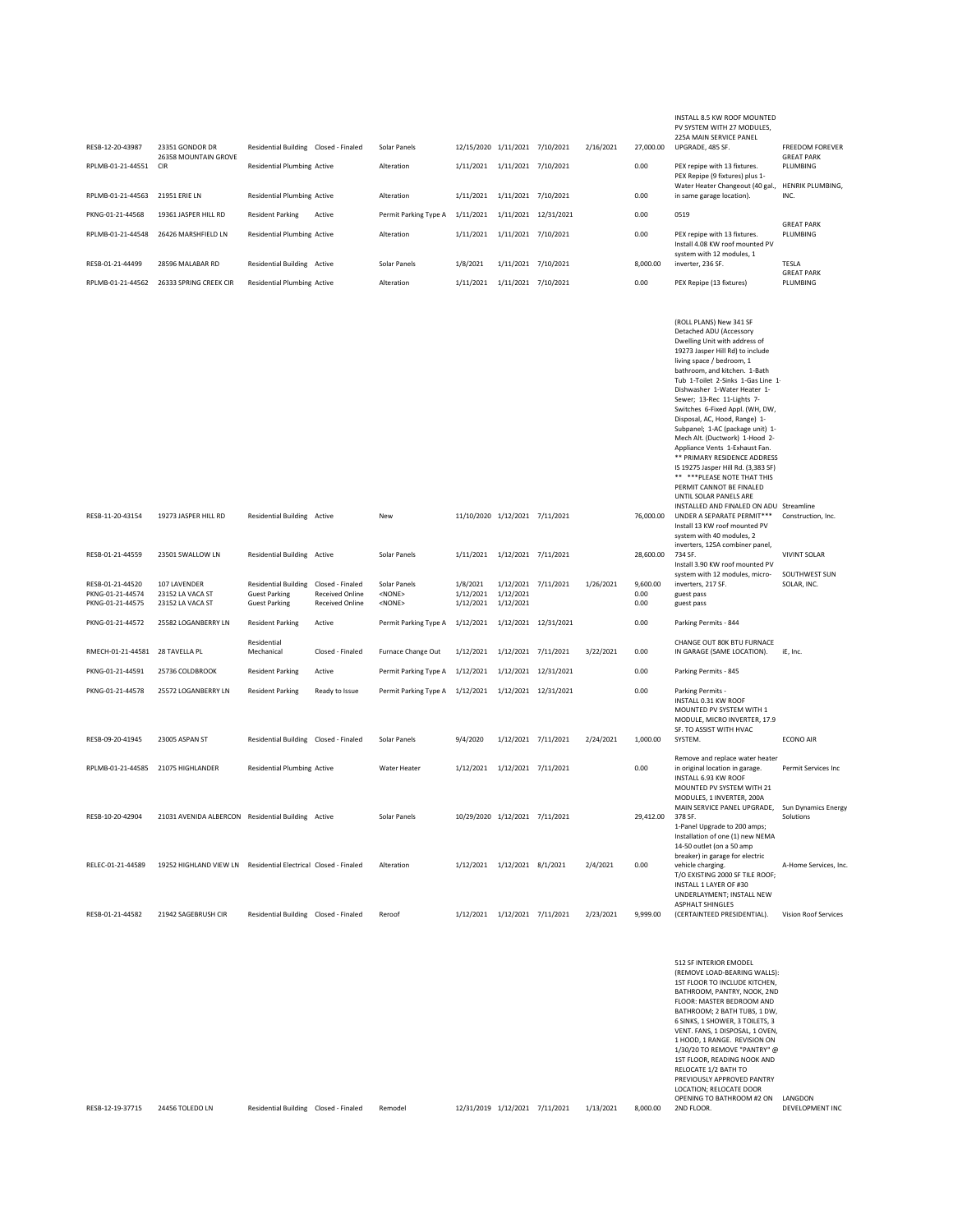| RESB-12-20-43987                                         | 23351 GONDOR DR                                                | Residential Building Closed - Finaled                                       |                                                                      | Solar Panels                                         | 12/15/2020 1/11/2021 7/10/2021               |                                  |                      | 2/16/2021 | 27,000.00                | INSTALL 8.5 KW ROOF MOUNTED<br>PV SYSTEM WITH 27 MODULES,<br>225A MAIN SERVICE PANEL<br>UPGRADE, 485 SF.                                                                                                                                                                                                                                                                                                                                                                                                                                                                                                                                                                      | <b>FREEDOM FOREVER</b>               |
|----------------------------------------------------------|----------------------------------------------------------------|-----------------------------------------------------------------------------|----------------------------------------------------------------------|------------------------------------------------------|----------------------------------------------|----------------------------------|----------------------|-----------|--------------------------|-------------------------------------------------------------------------------------------------------------------------------------------------------------------------------------------------------------------------------------------------------------------------------------------------------------------------------------------------------------------------------------------------------------------------------------------------------------------------------------------------------------------------------------------------------------------------------------------------------------------------------------------------------------------------------|--------------------------------------|
| RPLMB-01-21-44551                                        | 26358 MOUNTAIN GROVE<br>CIR                                    | Residential Plumbing Active                                                 |                                                                      | Alteration                                           | 1/11/2021                                    | 1/11/2021 7/10/2021              |                      |           | 0.00                     | PEX repipe with 13 fixtures.                                                                                                                                                                                                                                                                                                                                                                                                                                                                                                                                                                                                                                                  | <b>GREAT PARK</b><br>PLUMBING        |
| RPLMB-01-21-44563                                        | 21951 ERIE LN                                                  | <b>Residential Plumbing Active</b>                                          |                                                                      | Alteration                                           | 1/11/2021                                    | 1/11/2021 7/10/2021              |                      |           | 0.00                     | PEX Repipe (9 fixtures) plus 1-<br>Water Heater Changeout (40 gal.,<br>in same garage location).                                                                                                                                                                                                                                                                                                                                                                                                                                                                                                                                                                              | <b>HENRIK PLUMBING,</b><br>INC.      |
| PKNG-01-21-44568                                         | 19361 JASPER HILL RD                                           | <b>Resident Parking</b>                                                     | Active                                                               | Permit Parking Type A 1/11/2021 1/11/2021 12/31/2021 |                                              |                                  |                      |           | 0.00                     | 0519                                                                                                                                                                                                                                                                                                                                                                                                                                                                                                                                                                                                                                                                          |                                      |
| RPLMB-01-21-44548                                        | 26426 MARSHFIELD LN                                            | Residential Plumbing Active                                                 |                                                                      | Alteration                                           | 1/11/2021 1/11/2021 7/10/2021                |                                  |                      |           | 0.00                     | PEX repipe with 13 fixtures.<br>Install 4.08 KW roof mounted PV                                                                                                                                                                                                                                                                                                                                                                                                                                                                                                                                                                                                               | <b>GREAT PARK</b><br>PLUMBING        |
| RESB-01-21-44499                                         | 28596 MALABAR RD                                               | Residential Building Active                                                 |                                                                      | Solar Panels                                         | 1/8/2021                                     | 1/11/2021 7/10/2021              |                      |           | 8,000.00                 | system with 12 modules, 1<br>inverter, 236 SF.                                                                                                                                                                                                                                                                                                                                                                                                                                                                                                                                                                                                                                | TESLA<br><b>GREAT PARK</b>           |
| RPLMB-01-21-44562                                        | 26333 SPRING CREEK CIR                                         | <b>Residential Plumbing Active</b>                                          |                                                                      | Alteration                                           | 1/11/2021 1/11/2021 7/10/2021                |                                  |                      |           | 0.00                     | PEX Repipe (13 fixtures)                                                                                                                                                                                                                                                                                                                                                                                                                                                                                                                                                                                                                                                      | PLUMBING                             |
|                                                          |                                                                |                                                                             |                                                                      |                                                      |                                              |                                  |                      |           |                          | (ROLL PLANS) New 341 SF<br>Detached ADU (Accessory<br>Dwelling Unit with address of<br>19273 Jasper Hill Rd) to include<br>living space / bedroom, 1<br>bathroom, and kitchen. 1-Bath<br>Tub 1-Toilet 2-Sinks 1-Gas Line 1-<br>Dishwasher 1-Water Heater 1-<br>Sewer; 13-Rec 11-Lights 7-<br>Switches 6-Fixed Appl. (WH, DW,<br>Disposal, AC, Hood, Range) 1-<br>Subpanel; 1-AC (package unit) 1-<br>Mech Alt. (Ductwork) 1-Hood 2-<br>Appliance Vents 1-Exhaust Fan.<br>** PRIMARY RESIDENCE ADDRESS<br>IS 19275 Jasper Hill Rd. (3,383 SF)<br>** *** PLEASE NOTE THAT THIS<br>PERMIT CANNOT BE FINALED<br>UNTIL SOLAR PANELS ARE<br>INSTALLED AND FINALED ON ADU Streamline |                                      |
| RESB-11-20-43154                                         | 19273 JASPER HILL RD                                           | Residential Building Active                                                 |                                                                      | New                                                  | 11/10/2020 1/12/2021 7/11/2021               |                                  |                      |           | 76,000.00                | UNDER A SEPARATE PERMIT***<br>Install 13 KW roof mounted PV<br>system with 40 modules, 2<br>inverters, 125A combiner panel,                                                                                                                                                                                                                                                                                                                                                                                                                                                                                                                                                   | Construction, Inc.                   |
| RESB-01-21-44559                                         | 23501 SWALLOW LN                                               | Residential Building Active                                                 |                                                                      | Solar Panels                                         | 1/11/2021 1/12/2021 7/11/2021                |                                  |                      |           | 28,600.00                | 734 SF.<br>Install 3.90 KW roof mounted PV<br>system with 12 modules, micro-                                                                                                                                                                                                                                                                                                                                                                                                                                                                                                                                                                                                  | <b>VIVINT SOLAR</b><br>SOUTHWEST SUN |
| RESB-01-21-44520<br>PKNG-01-21-44574<br>PKNG-01-21-44575 | 107 LAVENDER<br>23152 LA VACA ST<br>23152 LA VACA ST           | <b>Residential Building</b><br><b>Guest Parking</b><br><b>Guest Parking</b> | Closed - Finaled<br><b>Received Online</b><br><b>Received Online</b> | Solar Panels<br><none><br/><none></none></none>      | 1/8/2021<br>1/12/2021<br>1/12/2021 1/12/2021 | 1/12/2021 7/11/2021<br>1/12/2021 |                      | 1/26/2021 | 9,600.00<br>0.00<br>0.00 | inverters, 217 SF.<br>guest pass<br>guest pass                                                                                                                                                                                                                                                                                                                                                                                                                                                                                                                                                                                                                                | SOLAR, INC.                          |
| PKNG-01-21-44572                                         | 25582 LOGANBERRY LN                                            | <b>Resident Parking</b>                                                     | Active                                                               | Permit Parking Type A                                | 1/12/2021                                    |                                  | 1/12/2021 12/31/2021 |           | 0.00                     | Parking Permits - 844                                                                                                                                                                                                                                                                                                                                                                                                                                                                                                                                                                                                                                                         |                                      |
| RMECH-01-21-44581                                        | 28 TAVELLA PL                                                  | Residential<br>Mechanical                                                   | Closed - Finaled                                                     | Furnace Change Out                                   | 1/12/2021                                    | 1/12/2021 7/11/2021              |                      | 3/22/2021 | 0.00                     | CHANGE OUT 80K BTU FURNACE<br>IN GARAGE (SAME LOCATION).                                                                                                                                                                                                                                                                                                                                                                                                                                                                                                                                                                                                                      | iE, Inc.                             |
| PKNG-01-21-44591                                         | 25736 COLDBROOK                                                | <b>Resident Parking</b>                                                     | Active                                                               | Permit Parking Type A                                | 1/12/2021                                    |                                  | 1/12/2021 12/31/2021 |           | 0.00                     | Parking Permits - 845                                                                                                                                                                                                                                                                                                                                                                                                                                                                                                                                                                                                                                                         |                                      |
| PKNG-01-21-44578                                         | 25572 LOGANBERRY LN<br>23005 ASPAN ST                          | <b>Resident Parking</b>                                                     | Ready to Issue                                                       | Permit Parking Type A 1/12/2021 1/12/2021 12/31/2021 |                                              | 1/12/2021 7/11/2021              |                      |           | 0.00<br>1,000.00         | Parking Permits -<br>INSTALL 0.31 KW ROOF<br>MOUNTED PV SYSTEM WITH 1<br>MODULE, MICRO INVERTER, 17.9<br>SF. TO ASSIST WITH HVAC                                                                                                                                                                                                                                                                                                                                                                                                                                                                                                                                              | ECONO AIR                            |
| RESB-09-20-41945                                         |                                                                | Residential Building Closed - Finaled                                       |                                                                      | Solar Panels                                         | 9/4/2020                                     |                                  |                      | 2/24/2021 |                          | SYSTEM.                                                                                                                                                                                                                                                                                                                                                                                                                                                                                                                                                                                                                                                                       |                                      |
| RPLMB-01-21-44585 21075 HIGHLANDER                       |                                                                | Residential Plumbing Active                                                 |                                                                      | Water Heater                                         | 1/12/2021 1/12/2021 7/11/2021                |                                  |                      |           | 0.00                     | Remove and replace water heater<br>in original location in garage.<br>INSTALL 6.93 KW ROOF<br>MOUNTED PV SYSTEM WITH 21<br>MODULES, 1 INVERTER, 200A                                                                                                                                                                                                                                                                                                                                                                                                                                                                                                                          | Permit Services Inc                  |
| RESB-10-20-42904                                         | 21031 AVENIDA ALBERCON Residential Building Active             |                                                                             |                                                                      | Solar Panels                                         | 10/29/2020 1/12/2021 7/11/2021               |                                  |                      |           | 29,412.00                | MAIN SERVICE PANEL UPGRADE,<br>378 SF.<br>1-Panel Upgrade to 200 amps;<br>Installation of one (1) new NEMA                                                                                                                                                                                                                                                                                                                                                                                                                                                                                                                                                                    | Sun Dynamics Energy<br>Solutions     |
| RELEC-01-21-44589                                        | 19252 HIGHLAND VIEW LN Residential Electrical Closed - Finaled |                                                                             |                                                                      | Alteration                                           | 1/12/2021 1/12/2021 8/1/2021                 |                                  |                      | 2/4/2021  | 0.00                     | 14-50 outlet (on a 50 amp<br>breaker) in garage for electric<br>vehicle charging.<br>T/O EXISTING 2000 SF TILE ROOF;<br>INSTALL 1 LAYER OF #30<br>UNDERLAYMENT; INSTALL NEW                                                                                                                                                                                                                                                                                                                                                                                                                                                                                                   | A-Home Services, Inc.                |
| RESB-01-21-44582                                         | 21942 SAGEBRUSH CIR                                            | Residential Building Closed - Finaled                                       |                                                                      | Reroof                                               | 1/12/2021 1/12/2021 7/11/2021                |                                  |                      | 2/23/2021 | 9,999.00                 | ASPHALT SHINGLES<br>(CERTAINTEED PRESIDENTIAL).                                                                                                                                                                                                                                                                                                                                                                                                                                                                                                                                                                                                                               | Vision Roof Services                 |
| RESB-12-19-37715                                         | 24456 TOLEDO LN                                                | Residential Building Closed - Finaled                                       |                                                                      | Remodel                                              | 12/31/2019 1/12/2021 7/11/2021               |                                  |                      | 1/13/2021 | 8,000.00                 | 512 SF INTERIOR EMODEL<br>(REMOVE LOAD-BEARING WALLS):<br>1ST FLOOR TO INCLUDE KITCHEN,<br>BATHROOM, PANTRY, NOOK, 2ND<br>FLOOR: MASTER BEDROOM AND<br>BATHROOM; 2 BATH TUBS, 1 DW,<br>6 SINKS, 1 SHOWER, 3 TOILETS, 3<br>VENT. FANS, 1 DISPOSAL, 1 OVEN,<br>1 HOOD, 1 RANGE. REVISION ON<br>1/30/20 TO REMOVE "PANTRY" @<br>1ST FLOOR, READING NOOK AND<br>RELOCATE 1/2 BATH TO<br>PREVIOUSLY APPROVED PANTRY<br>LOCATION; RELOCATE DOOR<br>OPENING TO BATHROOM #2 ON<br>2ND FLOOR.                                                                                                                                                                                          | LANGDON<br>DEVELOPMENT INC           |
|                                                          |                                                                |                                                                             |                                                                      |                                                      |                                              |                                  |                      |           |                          |                                                                                                                                                                                                                                                                                                                                                                                                                                                                                                                                                                                                                                                                               |                                      |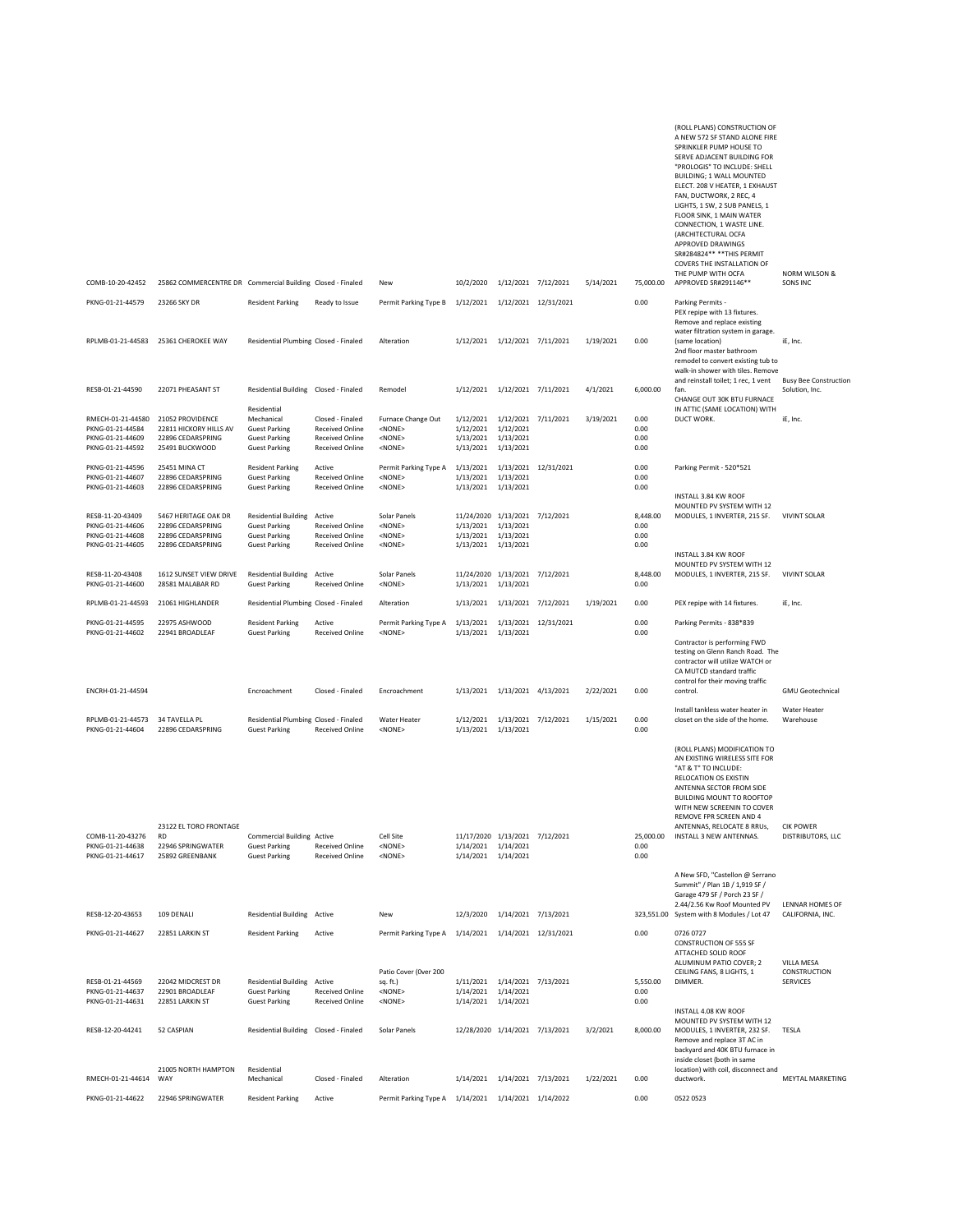|                                                                               |                                                                                     |                                                                                                     |                                                                                         |                                                                                                  |                                                                                                     |                                                            |           |                                  | (ROLL PLANS) CONSTRUCTION OF<br>A NEW 572 SF STAND ALONE FIRE<br>SPRINKLER PUMP HOUSE TO<br>SERVE ADJACENT BUILDING FOR<br>"PROLOGIS" TO INCLUDE: SHELL<br>BUILDING; 1 WALL MOUNTED<br>ELECT. 208 V HEATER, 1 EXHAUST<br>FAN, DUCTWORK, 2 REC, 4<br>LIGHTS, 1 SW, 2 SUB PANELS, 1<br>FLOOR SINK, 1 MAIN WATER<br>CONNECTION, 1 WASTE LINE.<br>(ARCHITECTURAL OCFA<br>APPROVED DRAWINGS<br>SR#284824** ** THIS PERMIT<br>COVERS THE INSTALLATION OF<br>THE PUMP WITH OCFA | <b>NORM WILSON &amp;</b>                 |
|-------------------------------------------------------------------------------|-------------------------------------------------------------------------------------|-----------------------------------------------------------------------------------------------------|-----------------------------------------------------------------------------------------|--------------------------------------------------------------------------------------------------|-----------------------------------------------------------------------------------------------------|------------------------------------------------------------|-----------|----------------------------------|--------------------------------------------------------------------------------------------------------------------------------------------------------------------------------------------------------------------------------------------------------------------------------------------------------------------------------------------------------------------------------------------------------------------------------------------------------------------------|------------------------------------------|
| COMB-10-20-42452                                                              | 25862 COMMERCENTRE DR Commercial Building Closed - Finaled                          |                                                                                                     |                                                                                         | New                                                                                              | 10/2/2020                                                                                           | 1/12/2021 7/12/2021                                        | 5/14/2021 | 75,000.00                        | APPROVED SR#291146**                                                                                                                                                                                                                                                                                                                                                                                                                                                     | SONS INC                                 |
| PKNG-01-21-44579                                                              | 23266 SKY DR                                                                        | <b>Resident Parking</b>                                                                             | Ready to Issue                                                                          | Permit Parking Type B 1/12/2021 1/12/2021 12/31/2021                                             |                                                                                                     |                                                            |           | 0.00                             | Parking Permits -<br>PEX repipe with 13 fixtures.<br>Remove and replace existing<br>water filtration system in garage.                                                                                                                                                                                                                                                                                                                                                   |                                          |
| RPLMB-01-21-44583                                                             | 25361 CHEROKEE WAY                                                                  | Residential Plumbing Closed - Finaled                                                               |                                                                                         | Alteration                                                                                       |                                                                                                     | 1/12/2021 1/12/2021 7/11/2021                              | 1/19/2021 | 0.00                             | (same location)<br>2nd floor master bathroom<br>remodel to convert existing tub to<br>walk-in shower with tiles. Remove<br>and reinstall toilet; 1 rec, 1 vent                                                                                                                                                                                                                                                                                                           | iE, Inc.<br><b>Busy Bee Construction</b> |
| RESB-01-21-44590                                                              | 22071 PHEASANT ST                                                                   | Residential Building Closed - Finaled                                                               |                                                                                         | Remodel                                                                                          | 1/12/2021 1/12/2021 7/11/2021                                                                       |                                                            | 4/1/2021  | 6,000.00                         | fan.<br>CHANGE OUT 30K BTU FURNACE                                                                                                                                                                                                                                                                                                                                                                                                                                       | Solution, Inc.                           |
| RMECH-01-21-44580<br>PKNG-01-21-44584<br>PKNG-01-21-44609<br>PKNG-01-21-44592 | 21052 PROVIDENCE<br>22811 HICKORY HILLS AV<br>22896 CEDARSPRING<br>25491 BUCKWOOD   | Residential<br>Mechanical<br><b>Guest Parking</b><br><b>Guest Parking</b><br><b>Guest Parking</b>   | Closed - Finaled<br><b>Received Online</b><br><b>Received Online</b><br>Received Online | Furnace Change Out<br><none><br/><none><br/><math>&lt;</math>NONE<math>&gt;</math></none></none> | 1/12/2021<br>1/12/2021<br>1/13/2021<br>1/13/2021                                                    | 1/12/2021 7/11/2021<br>1/12/2021<br>1/13/2021<br>1/13/2021 | 3/19/2021 | 0.00<br>0.00<br>0.00<br>0.00     | IN ATTIC (SAME LOCATION) WITH<br>DUCT WORK.                                                                                                                                                                                                                                                                                                                                                                                                                              | iE, Inc.                                 |
| PKNG-01-21-44596<br>PKNG-01-21-44607<br>PKNG-01-21-44603                      | 25451 MINA CT<br>22896 CEDARSPRING<br>22896 CEDARSPRING                             | <b>Resident Parking</b><br><b>Guest Parking</b><br><b>Guest Parking</b>                             | Active<br>Received Online<br>Received Online                                            | Permit Parking Type A<br><none><br/><math>&lt;</math>NONE<math>&gt;</math></none>                | 1/13/2021<br>1/13/2021<br>1/13/2021                                                                 | 1/13/2021 12/31/2021<br>1/13/2021<br>1/13/2021             |           | 0.00<br>0.00<br>0.00             | Parking Permit - 520*521<br>INSTALL 3.84 KW ROOF                                                                                                                                                                                                                                                                                                                                                                                                                         |                                          |
| RESB-11-20-43409<br>PKNG-01-21-44606<br>PKNG-01-21-44608<br>PKNG-01-21-44605  | 5467 HERITAGE OAK DR<br>22896 CEDARSPRING<br>22896 CEDARSPRING<br>22896 CEDARSPRING | <b>Residential Building</b><br><b>Guest Parking</b><br><b>Guest Parking</b><br><b>Guest Parking</b> | Active<br>Received Online<br>Received Online<br>Received Online                         | Solar Panels<br>$<$ NONE $>$<br><none><br/><none></none></none>                                  | 11/24/2020 1/13/2021 7/12/2021<br>1/13/2021 1/13/2021<br>1/13/2021 1/13/2021<br>1/13/2021 1/13/2021 |                                                            |           | 8,448.00<br>0.00<br>0.00<br>0.00 | MOUNTED PV SYSTEM WITH 12<br>MODULES, 1 INVERTER, 215 SF.                                                                                                                                                                                                                                                                                                                                                                                                                | VIVINT SOLAR                             |
| RESB-11-20-43408<br>PKNG-01-21-44600                                          | 1612 SUNSET VIEW DRIVE<br>28581 MALABAR RD                                          | <b>Residential Building</b><br><b>Guest Parking</b>                                                 | Active<br><b>Received Online</b>                                                        | Solar Panels<br>$<$ NONE $>$                                                                     | 11/24/2020 1/13/2021 7/12/2021<br>1/13/2021                                                         | 1/13/2021                                                  |           | 8,448.00<br>0.00                 | INSTALL 3.84 KW ROOF<br>MOUNTED PV SYSTEM WITH 12<br>MODULES, 1 INVERTER, 215 SF.                                                                                                                                                                                                                                                                                                                                                                                        | <b>VIVINT SOLAR</b>                      |
| RPLMB-01-21-44593                                                             | 21061 HIGHLANDER                                                                    | Residential Plumbing Closed - Finaled                                                               |                                                                                         | Alteration                                                                                       | 1/13/2021                                                                                           | 1/13/2021 7/12/2021                                        | 1/19/2021 | 0.00                             | PEX repipe with 14 fixtures.                                                                                                                                                                                                                                                                                                                                                                                                                                             | iE, Inc.                                 |
| PKNG-01-21-44595<br>PKNG-01-21-44602                                          | 22975 ASHWOOD<br>22941 BROADLEAF                                                    | <b>Resident Parking</b><br><b>Guest Parking</b>                                                     | Active<br>Received Online                                                               | Permit Parking Type A<br>$<$ NONE $>$                                                            | 1/13/2021 1/13/2021 12/31/2021<br>1/13/2021 1/13/2021                                               |                                                            |           | 0.00<br>0.00                     | Parking Permits - 838*839<br>Contractor is performing FWD<br>testing on Glenn Ranch Road. The<br>contractor will utilize WATCH or<br>CA MUTCD standard traffic                                                                                                                                                                                                                                                                                                           |                                          |
| ENCRH-01-21-44594                                                             |                                                                                     | Encroachment                                                                                        | Closed - Finaled                                                                        | Encroachment                                                                                     | 1/13/2021 1/13/2021 4/13/2021                                                                       |                                                            | 2/22/2021 | 0.00                             | control for their moving traffic<br>control.                                                                                                                                                                                                                                                                                                                                                                                                                             | <b>GMU Geotechnical</b>                  |
| RPLMB-01-21-44573<br>PKNG-01-21-44604                                         | 34 TAVELLA PL<br>22896 CEDARSPRING                                                  | Residential Plumbing Closed - Finaled<br><b>Guest Parking</b>                                       | <b>Received Online</b>                                                                  | Water Heater<br><none></none>                                                                    | 1/12/2021<br>1/13/2021                                                                              | 1/13/2021 7/12/2021<br>1/13/2021                           | 1/15/2021 | 0.00<br>0.00                     | Install tankless water heater in<br>closet on the side of the home.                                                                                                                                                                                                                                                                                                                                                                                                      | Water Heater<br>Warehouse                |
| COMB-11-20-43276                                                              | 23122 EL TORO FRONTAGE<br>RD                                                        | Commercial Building Active                                                                          |                                                                                         | Cell Site                                                                                        |                                                                                                     | 11/17/2020 1/13/2021 7/12/2021                             |           | 25,000.00                        | (ROLL PLANS) MODIFICATION TO<br>AN EXISTING WIRELESS SITE FOR<br>"AT & T" TO INCLUDE:<br>RELOCATION OS EXISTIN<br>ANTENNA SECTOR FROM SIDE<br>BUILDING MOUNT TO ROOFTOP<br>WITH NEW SCREENIN TO COVER<br>REMOVE FPR SCREEN AND 4<br>ANTENNAS, RELOCATE 8 RRUs,<br>INSTALL 3 NEW ANTENNAS.                                                                                                                                                                                | <b>CIK POWER</b><br>DISTRIBUTORS, LLC    |
| PKNG-01-21-44638<br>PKNG-01-21-44617                                          | 22946 SPRINGWATER<br>25892 GREENBANK                                                | <b>Guest Parking</b><br><b>Guest Parking</b>                                                        | Received Online<br><b>Received Online</b>                                               | <none><br/><math>&lt;</math>NONE<math>&gt;</math></none>                                         | 1/14/2021<br>1/14/2021 1/14/2021                                                                    | 1/14/2021                                                  |           | 0.00<br>0.00                     | A New SFD, "Castellon @ Serrano                                                                                                                                                                                                                                                                                                                                                                                                                                          |                                          |
| RESB-12-20-43653                                                              | 109 DENALI                                                                          | <b>Residential Building Active</b>                                                                  |                                                                                         | New                                                                                              | 12/3/2020                                                                                           | 1/14/2021 7/13/2021                                        |           |                                  | Summit" / Plan 1B / 1,919 SF /<br>Garage 479 SF / Porch 23 SF /<br>2.44/2.56 Kw Roof Mounted PV<br>323,551.00 System with 8 Modules / Lot 47                                                                                                                                                                                                                                                                                                                             | LENNAR HOMES OF<br>CALIFORNIA, INC.      |
| PKNG-01-21-44627                                                              | 22851 LARKIN ST                                                                     | <b>Resident Parking</b>                                                                             | Active                                                                                  | Permit Parking Type A 1/14/2021 1/14/2021 12/31/2021                                             |                                                                                                     |                                                            |           | 0.00                             | 0726 0727<br>CONSTRUCTION OF 555 SF                                                                                                                                                                                                                                                                                                                                                                                                                                      |                                          |
| RESB-01-21-44569<br>PKNG-01-21-44637                                          | 22042 MIDCREST DR<br>22901 BROADLEAF                                                | <b>Residential Building</b><br><b>Guest Parking</b>                                                 | Active<br>Received Online                                                               | Patio Cover (Over 200<br>sq. ft.)<br>$<$ NONE $>$                                                | 1/11/2021 1/14/2021 7/13/2021<br>1/14/2021 1/14/2021                                                |                                                            |           | 5,550.00<br>0.00                 | ATTACHED SOLID ROOF<br>ALUMINUM PATIO COVER; 2<br>CEILING FANS, 8 LIGHTS, 1<br>DIMMER.                                                                                                                                                                                                                                                                                                                                                                                   | VILLA MESA<br>CONSTRUCTION<br>SERVICES   |
| PKNG-01-21-44631                                                              | 22851 LARKIN ST                                                                     | <b>Guest Parking</b>                                                                                | Received Online                                                                         | $<$ NONE $>$                                                                                     | 1/14/2021 1/14/2021                                                                                 |                                                            |           | 0.00                             | INSTALL 4.08 KW ROOF                                                                                                                                                                                                                                                                                                                                                                                                                                                     |                                          |
| RESB-12-20-44241                                                              | 52 CASPIAN                                                                          | Residential Building Closed - Finaled                                                               |                                                                                         | Solar Panels                                                                                     |                                                                                                     | 12/28/2020 1/14/2021 7/13/2021                             | 3/2/2021  | 8,000.00                         | MOUNTED PV SYSTEM WITH 12<br>MODULES, 1 INVERTER, 232 SF.<br>Remove and replace 3T AC in<br>backyard and 40K BTU furnace in<br>inside closet (both in same                                                                                                                                                                                                                                                                                                               | TESLA                                    |
| RMECH-01-21-44614                                                             | 21005 NORTH HAMPTON<br>WAY                                                          | Residential<br>Mechanical                                                                           | Closed - Finaled                                                                        | Alteration                                                                                       |                                                                                                     | 1/14/2021 1/14/2021 7/13/2021                              | 1/22/2021 | 0.00                             | location) with coil, disconnect and<br>ductwork.                                                                                                                                                                                                                                                                                                                                                                                                                         | MEYTAL MARKETING                         |
| PKNG-01-21-44622                                                              | 22946 SPRINGWATER                                                                   | <b>Resident Parking</b>                                                                             | Active                                                                                  | Permit Parking Type A 1/14/2021 1/14/2021 1/14/2022                                              |                                                                                                     |                                                            |           | 0.00                             | 0522 0523                                                                                                                                                                                                                                                                                                                                                                                                                                                                |                                          |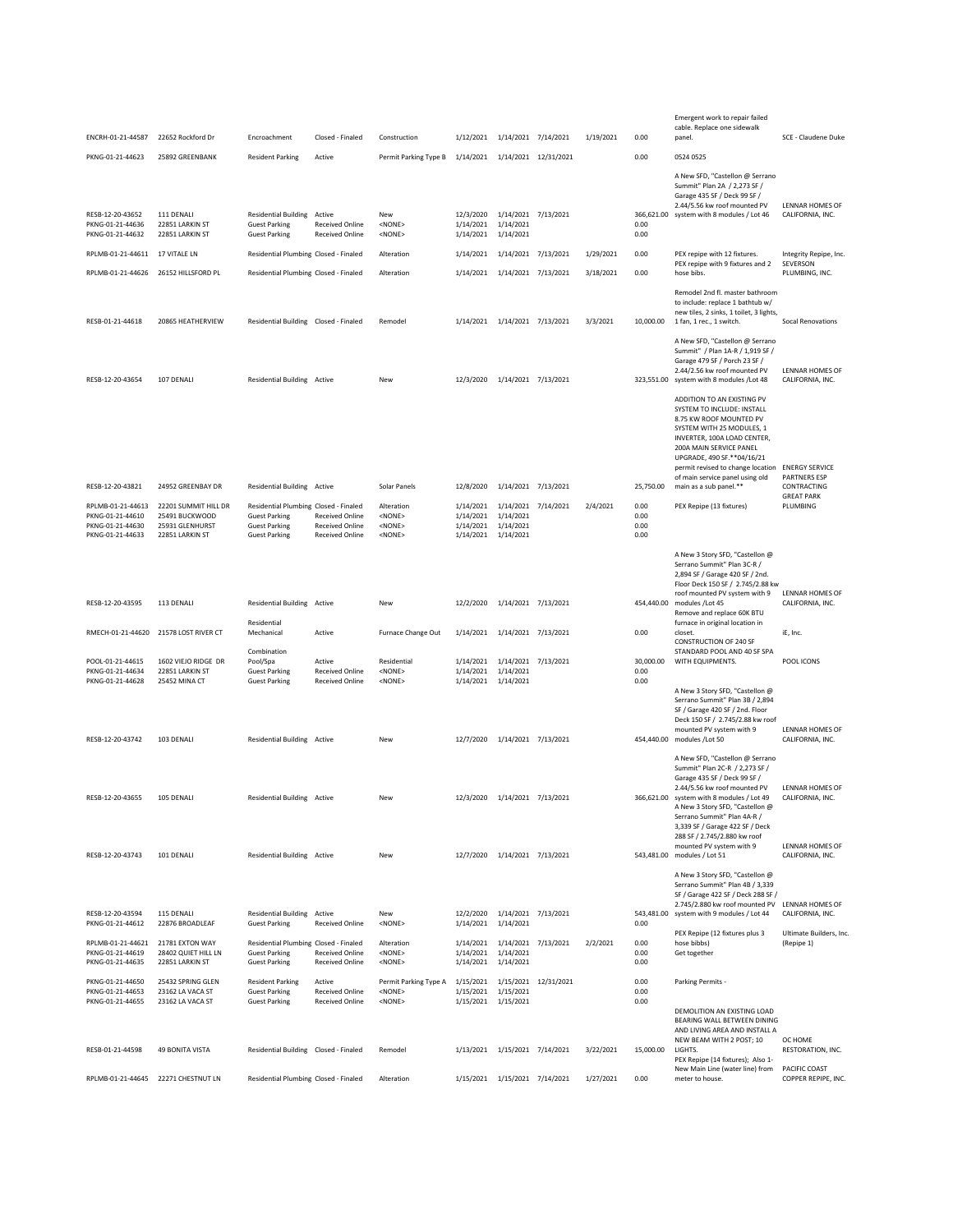| ENCRH-01-21-44587                                         | 22652 Rockford Dr                                         | Encroachment                                                                          | Closed - Finaled                                             | Construction                                             |                                               | 1/12/2021 1/14/2021 7/14/2021                 |                      | 1/19/2021 | 0.00                      | Emergent work to repair failed<br>cable. Replace one sidewalk<br>panel.                                                                                                                                                                                                                                    | SCE - Claudene Duke                                  |
|-----------------------------------------------------------|-----------------------------------------------------------|---------------------------------------------------------------------------------------|--------------------------------------------------------------|----------------------------------------------------------|-----------------------------------------------|-----------------------------------------------|----------------------|-----------|---------------------------|------------------------------------------------------------------------------------------------------------------------------------------------------------------------------------------------------------------------------------------------------------------------------------------------------------|------------------------------------------------------|
| PKNG-01-21-44623                                          | 25892 GREENBANK                                           | <b>Resident Parking</b>                                                               | Active                                                       | Permit Parking Type B 1/14/2021 1/14/2021 12/31/2021     |                                               |                                               |                      |           | 0.00                      | 0524 0525                                                                                                                                                                                                                                                                                                  |                                                      |
| RESB-12-20-43652<br>PKNG-01-21-44636<br>PKNG-01-21-44632  | 111 DENALI<br>22851 LARKIN ST<br>22851 LARKIN ST          | Residential Building Active<br><b>Guest Parking</b><br><b>Guest Parking</b>           | <b>Received Online</b><br>Received Online                    | New<br><none><br/><none></none></none>                   | 12/3/2020<br>1/14/2021<br>1/14/2021           | 1/14/2021 7/13/2021<br>1/14/2021<br>1/14/2021 |                      |           | 0.00<br>0.00              | A New SFD, "Castellon @ Serrano<br>Summit" Plan 2A / 2,273 SF /<br>Garage 435 SF / Deck 99 SF /<br>2.44/5.56 kw roof mounted PV<br>366,621.00 system with 8 modules / Lot 46                                                                                                                               | LENNAR HOMES OF<br>CALIFORNIA, INC.                  |
| RPLMB-01-21-44611 17 VITALE LN                            |                                                           | Residential Plumbing Closed - Finaled                                                 |                                                              | Alteration                                               | 1/14/2021                                     | 1/14/2021 7/13/2021                           |                      | 1/29/2021 | 0.00                      | PEX repipe with 12 fixtures.                                                                                                                                                                                                                                                                               | Integrity Repipe, Inc.                               |
| RPLMB-01-21-44626                                         | 26152 HILLSFORD PL                                        | Residential Plumbing Closed - Finaled                                                 |                                                              | Alteration                                               | 1/14/2021                                     | 1/14/2021 7/13/2021                           |                      | 3/18/2021 | 0.00                      | PEX repipe with 9 fixtures and 2<br>hose bibs.                                                                                                                                                                                                                                                             | SEVERSON<br>PLUMBING, INC.                           |
| RESB-01-21-44618                                          | 20865 HEATHERVIEW                                         | Residential Building Closed - Finaled                                                 |                                                              | Remodel                                                  |                                               | 1/14/2021 1/14/2021 7/13/2021                 |                      | 3/3/2021  | 10,000.00                 | Remodel 2nd fl. master bathroom<br>to include: replace 1 bathtub w/<br>new tiles, 2 sinks, 1 toilet, 3 lights,<br>1 fan, 1 rec., 1 switch.                                                                                                                                                                 | <b>Socal Renovations</b>                             |
|                                                           |                                                           |                                                                                       |                                                              |                                                          |                                               |                                               |                      |           |                           | A New SFD, "Castellon @ Serrano<br>Summit" / Plan 1A-R / 1,919 SF /<br>Garage 479 SF / Porch 23 SF /<br>2.44/2.56 kw roof mounted PV                                                                                                                                                                       | LENNAR HOMES OF                                      |
| RESB-12-20-43654                                          | 107 DENALI                                                | Residential Building Active                                                           |                                                              | New                                                      | 12/3/2020                                     | 1/14/2021 7/13/2021                           |                      |           |                           | 323,551.00 system with 8 modules /Lot 48                                                                                                                                                                                                                                                                   | CALIFORNIA, INC.                                     |
| RESB-12-20-43821                                          | 24952 GREENBAY DR                                         | Residential Building Active                                                           |                                                              | Solar Panels                                             | 12/8/2020                                     | 1/14/2021 7/13/2021                           |                      |           | 25,750.00                 | ADDITION TO AN EXISTING PV<br>SYSTEM TO INCLUDE: INSTALL<br>8.75 KW ROOF MOUNTED PV<br>SYSTEM WITH 25 MODULES, 1<br>INVERTER, 100A LOAD CENTER,<br>200A MAIN SERVICE PANEL<br>UPGRADE, 490 SF.**04/16/21<br>permit revised to change location<br>of main service panel using old<br>main as a sub panel.** | <b>ENERGY SERVICE</b><br>PARTNERS ESP<br>CONTRACTING |
| RPLMB-01-21-44613                                         | 22201 SUMMIT HILL DR                                      | Residential Plumbing Closed - Finaled                                                 |                                                              | Alteration                                               | 1/14/2021                                     | 1/14/2021 7/14/2021                           |                      | 2/4/2021  | 0.00                      | PEX Repipe (13 fixtures)                                                                                                                                                                                                                                                                                   | <b>GREAT PARK</b><br>PLUMBING                        |
| PKNG-01-21-44610<br>PKNG-01-21-44630<br>PKNG-01-21-44633  | 25491 BUCKWOOD<br>25931 GLENHURST<br>22851 LARKIN ST      | <b>Guest Parking</b><br><b>Guest Parking</b><br><b>Guest Parking</b>                  | <b>Received Online</b><br>Received Online<br>Received Online | <none><br/><none><br/><none></none></none></none>        | 1/14/2021<br>1/14/2021<br>1/14/2021           | 1/14/2021<br>1/14/2021<br>1/14/2021           |                      |           | 0.00<br>0.00<br>0.00      |                                                                                                                                                                                                                                                                                                            |                                                      |
| RESB-12-20-43595                                          | 113 DENALI                                                | <b>Residential Building Active</b>                                                    |                                                              | New                                                      | 12/2/2020                                     | 1/14/2021 7/13/2021                           |                      |           | 454,440.00                | A New 3 Story SFD, "Castellon @<br>Serrano Summit" Plan 3C-R /<br>2,894 SF / Garage 420 SF / 2nd.<br>Floor Deck 150 SF / 2.745/2.88 kw<br>roof mounted PV system with 9<br>modules /Lot 45<br>Remove and replace 60K BTU                                                                                   | LENNAR HOMES OF<br>CALIFORNIA, INC.                  |
| RMECH-01-21-44620                                         | 21578 LOST RIVER CT                                       | Residential<br>Mechanical                                                             | Active                                                       | Furnace Change Out                                       |                                               | 1/14/2021 1/14/2021 7/13/2021                 |                      |           | 0.00                      | furnace in original location in<br>closet.                                                                                                                                                                                                                                                                 | iE, Inc.                                             |
| POOL-01-21-44615<br>PKNG-01-21-44634<br>PKNG-01-21-44628  | 1602 VIEJO RIDGE DR<br>22851 LARKIN ST<br>25452 MINA CT   | Combination<br>Pool/Spa<br><b>Guest Parking</b><br><b>Guest Parking</b>               | Active<br><b>Received Online</b><br><b>Received Online</b>   | Residential<br><none><br/><none></none></none>           | 1/14/2021<br>1/14/2021<br>1/14/2021 1/14/2021 | 1/14/2021 7/13/2021<br>1/14/2021              |                      |           | 30,000.00<br>0.00<br>0.00 | <b>CONSTRUCTION OF 240 SF</b><br>STANDARD POOL AND 40 SF SPA<br>WITH EQUIPMENTS.<br>A New 3 Story SFD, "Castellon @                                                                                                                                                                                        | POOL ICONS                                           |
| RESB-12-20-43742                                          | 103 DENALI                                                | Residential Building Active                                                           |                                                              | New                                                      | 12/7/2020                                     | 1/14/2021 7/13/2021                           |                      |           |                           | Serrano Summit" Plan 3B / 2,894<br>SF / Garage 420 SF / 2nd. Floor<br>Deck 150 SF / 2.745/2.88 kw roof<br>mounted PV system with 9<br>454,440.00 modules /Lot 50                                                                                                                                           | LENNAR HOMES OF<br>CALIFORNIA, INC.                  |
|                                                           |                                                           |                                                                                       |                                                              |                                                          |                                               |                                               |                      |           |                           | A New SFD, "Castellon @ Serrano<br>Summit" Plan 2C-R / 2,273 SF /<br>Garage 435 SF / Deck 99 SF /                                                                                                                                                                                                          |                                                      |
| RESB-12-20-43655                                          | 105 DENALI                                                | <b>Residential Building Active</b>                                                    |                                                              | New                                                      | 12/3/2020                                     | 1/14/2021 7/13/2021                           |                      |           |                           | 2.44/5.56 kw roof mounted PV<br>366,621.00 system with 8 modules / Lot 49<br>A New 3 Story SFD, "Castellon @<br>Serrano Summit" Plan 4A-R /<br>3,339 SF / Garage 422 SF / Deck                                                                                                                             | LENNAR HOMES OF<br>CALIFORNIA, INC.                  |
| RESB-12-20-43743                                          | 101 DENALI                                                | Residential Building Active                                                           |                                                              | New                                                      | 12/7/2020                                     | 1/14/2021 7/13/2021                           |                      |           |                           | 288 SF / 2.745/2.880 kw roof<br>mounted PV system with 9<br>543,481.00 modules / Lot 51<br>A New 3 Story SFD, "Castellon @                                                                                                                                                                                 | LENNAR HOMES OF<br>CALIFORNIA, INC.                  |
| RESB-12-20-43594                                          | 115 DENALI                                                | Residential Building Active                                                           |                                                              | New                                                      | 12/2/2020                                     | 1/14/2021 7/13/2021                           |                      |           |                           | Serrano Summit" Plan 4B / 3,339<br>SF / Garage 422 SF / Deck 288 SF /<br>2.745/2.880 kw roof mounted PV<br>543,481.00 system with 9 modules / Lot 44                                                                                                                                                       | LENNAR HOMES OF<br>CALIFORNIA, INC.                  |
| PKNG-01-21-44612                                          | 22876 BROADLEAF                                           | <b>Guest Parking</b>                                                                  | <b>Received Online</b>                                       | $<$ NONE $>$                                             | 1/14/2021                                     | 1/14/2021                                     |                      |           | 0.00                      | PEX Repipe (12 fixtures plus 3                                                                                                                                                                                                                                                                             | Ultimate Builders, Inc.                              |
| RPLMB-01-21-44621<br>PKNG-01-21-44619<br>PKNG-01-21-44635 | 21781 EXTON WAY<br>28402 QUIET HILL LN<br>22851 LARKIN ST | Residential Plumbing Closed - Finaled<br><b>Guest Parking</b><br><b>Guest Parking</b> | Received Online<br>Received Online                           | Alteration<br><none><br/><none></none></none>            | 1/14/2021 1/14/2021<br>1/14/2021              | 1/14/2021 1/14/2021 7/13/2021<br>1/14/2021    |                      | 2/2/2021  | 0.00<br>0.00<br>0.00      | hose bibbs)<br>Get together                                                                                                                                                                                                                                                                                | (Repipe 1)                                           |
| PKNG-01-21-44650<br>PKNG-01-21-44653<br>PKNG-01-21-44655  | 25432 SPRING GLEN<br>23162 LA VACA ST<br>23162 LA VACA ST | <b>Resident Parking</b><br><b>Guest Parking</b><br><b>Guest Parking</b>               | Active<br><b>Received Online</b><br>Received Online          | Permit Parking Type A<br><none><br/><none></none></none> | 1/15/2021<br>1/15/2021<br>1/15/2021           | 1/15/2021<br>1/15/2021                        | 1/15/2021 12/31/2021 |           | 0.00<br>0.00<br>0.00      | Parking Permits -                                                                                                                                                                                                                                                                                          |                                                      |
|                                                           |                                                           |                                                                                       |                                                              |                                                          |                                               |                                               |                      |           |                           | DEMOLITION AN EXISTING LOAD<br>BEARING WALL BETWEEN DINING<br>AND LIVING AREA AND INSTALL A<br>NEW BEAM WITH 2 POST; 10                                                                                                                                                                                    | OC HOME                                              |
| RESB-01-21-44598                                          | 49 BONITA VISTA                                           | Residential Building Closed - Finaled                                                 |                                                              | Remodel                                                  |                                               | 1/13/2021 1/15/2021 7/14/2021                 |                      | 3/22/2021 | 15,000.00                 | LIGHTS.<br>PEX Repipe (14 fixtures); Also 1-                                                                                                                                                                                                                                                               | RESTORATION, INC.                                    |
| RPLMB-01-21-44645 22271 CHESTNUT LN                       |                                                           | Residential Plumbing Closed - Finaled                                                 |                                                              | Alteration                                               |                                               | 1/15/2021 1/15/2021 7/14/2021                 |                      | 1/27/2021 | 0.00                      | New Main Line (water line) from<br>meter to house.                                                                                                                                                                                                                                                         | PACIFIC COAST<br>COPPER REPIPE, INC.                 |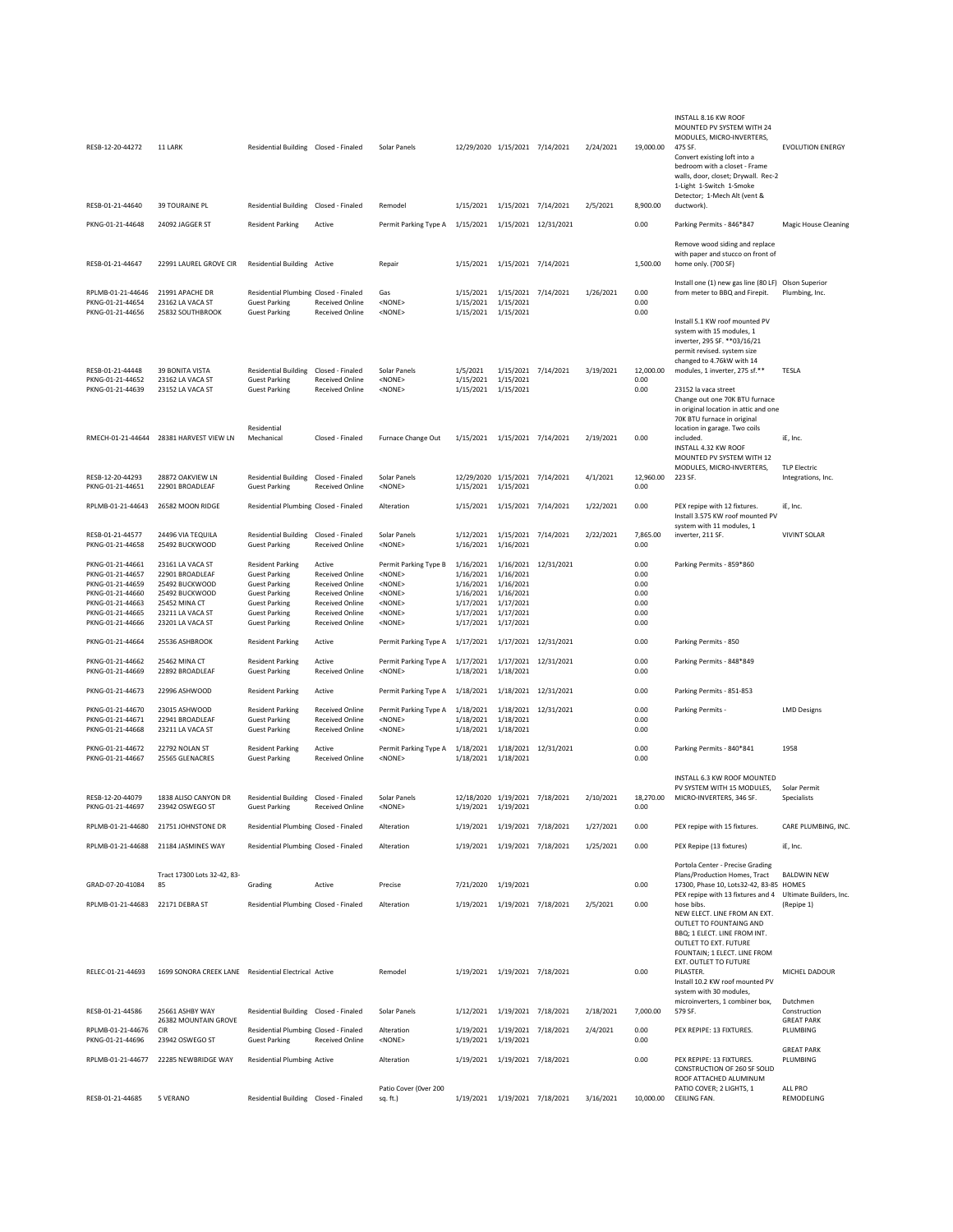| RESB-12-20-44272                                          | 11 LARK                                                 | Residential Building Closed - Finaled                                                 |                                                                     | Solar Panels                                             | 12/29/2020 1/15/2021 7/14/2021                                    |                                            |                      | 2/24/2021 | 19,000.00            | INSTALL 8.16 KW ROOF<br>MOUNTED PV SYSTEM WITH 24<br>MODULES, MICRO-INVERTERS,<br>475 SF.<br>Convert existing loft into a<br>bedroom with a closet - Frame<br>walls, door, closet; Drywall. Rec-2<br>1-Light 1-Switch 1-Smoke<br>Detector; 1-Mech Alt (vent & | <b>EVOLUTION ENERGY</b>           |
|-----------------------------------------------------------|---------------------------------------------------------|---------------------------------------------------------------------------------------|---------------------------------------------------------------------|----------------------------------------------------------|-------------------------------------------------------------------|--------------------------------------------|----------------------|-----------|----------------------|---------------------------------------------------------------------------------------------------------------------------------------------------------------------------------------------------------------------------------------------------------------|-----------------------------------|
| RESB-01-21-44640                                          | <b>39 TOURAINE PL</b>                                   | <b>Residential Building</b>                                                           | Closed - Finaled                                                    | Remodel                                                  | 1/15/2021 1/15/2021 7/14/2021                                     |                                            |                      | 2/5/2021  | 8,900.00             | ductwork).                                                                                                                                                                                                                                                    |                                   |
| PKNG-01-21-44648                                          | 24092 JAGGER ST                                         | <b>Resident Parking</b>                                                               | Active                                                              | Permit Parking Type A                                    | 1/15/2021                                                         |                                            | 1/15/2021 12/31/2021 |           | 0.00                 | Parking Permits - 846*847                                                                                                                                                                                                                                     | <b>Magic House Cleaning</b>       |
| RESB-01-21-44647                                          | 22991 LAUREL GROVE CIR                                  | Residential Building Active                                                           |                                                                     | Repair                                                   | 1/15/2021                                                         | 1/15/2021 7/14/2021                        |                      |           | 1,500.00             | Remove wood siding and replace<br>with paper and stucco on front of<br>home only. (700 SF)                                                                                                                                                                    |                                   |
| RPLMB-01-21-44646<br>PKNG-01-21-44654<br>PKNG-01-21-44656 | 21991 APACHE DR<br>23162 LA VACA ST<br>25832 SOUTHBROOK | Residential Plumbing Closed - Finaled<br><b>Guest Parking</b><br><b>Guest Parking</b> | <b>Received Online</b><br><b>Received Online</b>                    | Gas<br><none><br/><none></none></none>                   | 1/15/2021 1/15/2021 7/14/2021<br>1/15/2021<br>1/15/2021 1/15/2021 | 1/15/2021                                  |                      | 1/26/2021 | 0.00<br>0.00<br>0.00 | Install one (1) new gas line (80 LF) Olson Superior<br>from meter to BBQ and Firepit.                                                                                                                                                                         | Plumbing, Inc.                    |
|                                                           |                                                         |                                                                                       |                                                                     |                                                          |                                                                   |                                            |                      |           |                      | Install 5.1 KW roof mounted PV<br>system with 15 modules, 1<br>inverter, 295 SF. ** 03/16/21<br>permit revised. system size<br>changed to 4.76kW with 14                                                                                                      |                                   |
| RESB-01-21-44448<br>PKNG-01-21-44652                      | <b>39 BONITA VISTA</b><br>23162 LA VACA ST              | <b>Residential Building</b><br><b>Guest Parking</b>                                   | Closed - Finaled<br><b>Received Online</b>                          | Solar Panels<br><none></none>                            | 1/5/2021<br>1/15/2021                                             | 1/15/2021 7/14/2021<br>1/15/2021           |                      | 3/19/2021 | 12,000.00<br>0.00    | modules, 1 inverter, 275 sf.**                                                                                                                                                                                                                                | TESLA                             |
| PKNG-01-21-44639                                          | 23152 LA VACA ST                                        | <b>Guest Parking</b><br>Residential                                                   | Received Online                                                     | <none></none>                                            | 1/15/2021                                                         | 1/15/2021                                  |                      |           | 0.00                 | 23152 la vaca street<br>Change out one 70K BTU furnace<br>in original location in attic and one<br>70K BTU furnace in original<br>location in garage. Two coils                                                                                               |                                   |
| RMECH-01-21-44644                                         | 28381 HARVEST VIEW LN                                   | Mechanical                                                                            | Closed - Finaled                                                    | Furnace Change Out                                       | 1/15/2021                                                         | 1/15/2021 7/14/2021                        |                      | 2/19/2021 | 0.00                 | included<br>INSTALL 4.32 KW ROOF<br>MOUNTED PV SYSTEM WITH 12<br>MODULES, MICRO-INVERTERS,                                                                                                                                                                    | iE, Inc.<br><b>TLP Electric</b>   |
| RESB-12-20-44293<br>PKNG-01-21-44651                      | 28872 OAKVIEW LN<br>22901 BROADLEAF                     | <b>Residential Building</b><br><b>Guest Parking</b>                                   | Closed - Finaled<br><b>Received Online</b>                          | Solar Panels<br><none></none>                            | 12/29/2020 1/15/2021<br>1/15/2021                                 | 1/15/2021                                  | 7/14/2021            | 4/1/2021  | 12,960.00<br>0.00    | 223 SF.                                                                                                                                                                                                                                                       | Integrations, Inc.                |
| RPLMB-01-21-44643                                         | 26582 MOON RIDGE                                        | Residential Plumbing Closed - Finaled                                                 |                                                                     | Alteration                                               |                                                                   | 1/15/2021 1/15/2021 7/14/2021              |                      | 1/22/2021 | 0.00                 | PEX repipe with 12 fixtures.<br>Install 3.575 KW roof mounted PV<br>system with 11 modules, 1                                                                                                                                                                 | iE, Inc.                          |
| RESB-01-21-44577<br>PKNG-01-21-44658                      | 24496 VIA TEQUILA<br>25492 BUCKWOOD                     | <b>Residential Building</b><br><b>Guest Parking</b>                                   | Closed - Finaled<br><b>Received Online</b>                          | Solar Panels<br><none></none>                            | 1/16/2021                                                         | 1/12/2021 1/15/2021 7/14/2021<br>1/16/2021 |                      | 2/22/2021 | 7,865.00<br>0.00     | inverter, 211 SF.                                                                                                                                                                                                                                             | <b>VIVINT SOLAR</b>               |
| PKNG-01-21-44661<br>PKNG-01-21-44657                      | 23161 LA VACA ST<br>22901 BROADLEAF                     | <b>Resident Parking</b><br><b>Guest Parking</b>                                       | Active<br>Received Online                                           | Permit Parking Type B<br><none></none>                   | 1/16/2021 1/16/2021 12/31/2021<br>1/16/2021                       | 1/16/2021                                  |                      |           | 0.00<br>0.00         | Parking Permits - 859*860                                                                                                                                                                                                                                     |                                   |
| PKNG-01-21-44659<br>PKNG-01-21-44660                      | 25492 BUCKWOOD<br>25492 BUCKWOOD                        | <b>Guest Parking</b><br><b>Guest Parking</b>                                          | Received Online<br>Received Online                                  | <none><br/><none></none></none>                          | 1/16/2021<br>1/16/2021                                            | 1/16/2021<br>1/16/2021                     |                      |           | 0.00<br>0.00         |                                                                                                                                                                                                                                                               |                                   |
| PKNG-01-21-44663<br>PKNG-01-21-44665                      | <b>25452 MINA CT</b><br>23211 LA VACA ST                | <b>Guest Parking</b><br><b>Guest Parking</b>                                          | <b>Received Online</b><br><b>Received Online</b>                    | <none><br/><none></none></none>                          | 1/17/2021<br>1/17/2021                                            | 1/17/2021<br>1/17/2021                     |                      |           | 0.00<br>0.00         |                                                                                                                                                                                                                                                               |                                   |
| PKNG-01-21-44666                                          | 23201 LA VACA ST                                        | <b>Guest Parking</b>                                                                  | Received Online                                                     | <none></none>                                            | 1/17/2021                                                         | 1/17/2021                                  |                      |           | 0.00                 |                                                                                                                                                                                                                                                               |                                   |
| PKNG-01-21-44664                                          | 25536 ASHBROOK                                          | <b>Resident Parking</b>                                                               | Active                                                              | Permit Parking Type A                                    | 1/17/2021                                                         |                                            | 1/17/2021 12/31/2021 |           | 0.00                 | Parking Permits - 850                                                                                                                                                                                                                                         |                                   |
| PKNG-01-21-44662<br>PKNG-01-21-44669                      | 25462 MINA CT<br>22892 BROADLEAF                        | <b>Resident Parking</b><br><b>Guest Parking</b>                                       | Active<br><b>Received Online</b>                                    | Permit Parking Type A<br><none></none>                   | 1/17/2021<br>1/18/2021                                            | 1/18/2021                                  | 1/17/2021 12/31/2021 |           | 0.00<br>0.00         | Parking Permits - 848*849                                                                                                                                                                                                                                     |                                   |
| PKNG-01-21-44673                                          | 22996 ASHWOOD                                           | <b>Resident Parking</b>                                                               | Active                                                              | Permit Parking Type A                                    | 1/18/2021                                                         |                                            | 1/18/2021 12/31/2021 |           | 0.00                 | Parking Permits - 851-853                                                                                                                                                                                                                                     |                                   |
| PKNG-01-21-44670<br>PKNG-01-21-44671<br>PKNG-01-21-44668  | 23015 ASHWOOD<br>22941 BROADLEAF<br>23211 LA VACA ST    | <b>Resident Parking</b><br><b>Guest Parking</b><br><b>Guest Parking</b>               | <b>Received Online</b><br>Received Online<br><b>Received Online</b> | Permit Parking Type A<br><none><br/><none></none></none> | 1/18/2021<br>1/18/2021<br>1/18/2021                               | 1/18/2021<br>1/18/2021                     | 1/18/2021 12/31/2021 |           | 0.00<br>0.00<br>0.00 | Parking Permits -                                                                                                                                                                                                                                             | <b>LMD Designs</b>                |
| PKNG-01-21-44672<br>PKNG-01-21-44667                      | 22792 NOLAN ST<br>25565 GLENACRES                       | <b>Resident Parking</b><br><b>Guest Parking</b>                                       | Active<br>Received Online                                           | Permit Parking Type A<br><none></none>                   | 1/18/2021 1/18/2021 12/31/2021<br>1/18/2021                       | 1/18/2021                                  |                      |           | 0.00<br>0.00         | Parking Permits - 840*841                                                                                                                                                                                                                                     | 1958                              |
| RESB-12-20-44079<br>PKNG-01-21-44697                      | 1838 ALISO CANYON DR<br>23942 OSWEGO ST                 | <b>Residential Building</b><br><b>Guest Parking</b>                                   | Closed - Finaled<br><b>Received Online</b>                          | Solar Panels<br><nonf></nonf>                            | 12/18/2020 1/19/2021 7/18/2021<br>1/19/2021 1/19/2021             |                                            |                      | 2/10/2021 | 18,270.00<br>0.00    | INSTALL 6.3 KW ROOF MOUNTED<br>PV SYSTEM WITH 15 MODULES,<br>MICRO-INVERTERS, 346 SF.                                                                                                                                                                         | Solar Permit<br>Specialists       |
| RPLMB-01-21-44680                                         | 21751 JOHNSTONE DR                                      | Residential Plumbing Closed - Finaled                                                 |                                                                     | Alteration                                               | 1/19/2021                                                         | 1/19/2021 7/18/2021                        |                      | 1/27/2021 | 0.00                 | PEX repipe with 15 fixtures.                                                                                                                                                                                                                                  | CARE PLUMBING, INC.               |
| RPLMB-01-21-44688                                         | 21184 JASMINES WAY                                      | Residential Plumbing Closed - Finaled                                                 |                                                                     | Alteration                                               |                                                                   | 1/19/2021 1/19/2021 7/18/2021              |                      | 1/25/2021 | 0.00                 | PEX Repipe (13 fixtures)                                                                                                                                                                                                                                      | iE. Inc.                          |
|                                                           | Tract 17300 Lots 32-42, 83-                             |                                                                                       |                                                                     |                                                          |                                                                   |                                            |                      |           |                      | Portola Center - Precise Grading<br>Plans/Production Homes, Tract                                                                                                                                                                                             | <b>BALDWIN NEW</b>                |
| GRAD-07-20-41084                                          | 85                                                      | Grading                                                                               | Active                                                              | Precise                                                  | 7/21/2020 1/19/2021                                               |                                            |                      |           | 0.00                 | 17300, Phase 10, Lots32-42, 83-85 HOMES<br>PEX repipe with 13 fixtures and 4 Ultimate Builders, Inc.                                                                                                                                                          |                                   |
| RPLMB-01-21-44683                                         | 22171 DEBRA ST                                          | Residential Plumbing Closed - Finaled                                                 |                                                                     | Alteration                                               | 1/19/2021                                                         | 1/19/2021 7/18/2021                        |                      | 2/5/2021  | 0.00                 | hose bibs.<br>NEW ELECT. LINE FROM AN EXT.<br>OUTLET TO FOUNTAING AND<br>BBQ; 1 ELECT. LINE FROM INT.<br>OUTLET TO EXT. FUTURE                                                                                                                                | (Repipe 1)                        |
| RELEC-01-21-44693                                         | 1699 SONORA CREEK LANE Residential Electrical Active    |                                                                                       |                                                                     | Remodel                                                  | 1/19/2021 1/19/2021 7/18/2021                                     |                                            |                      |           | 0.00                 | FOUNTAIN; 1 ELECT. LINE FROM<br>EXT. OUTLET TO FUTURE<br>PILASTER.<br>Install 10.2 KW roof mounted PV<br>system with 30 modules,<br>microinverters, 1 combiner box,                                                                                           | MICHEL DADOUR<br>Dutchmen         |
| RESB-01-21-44586                                          | 25661 ASHBY WAY<br>26382 MOUNTAIN GROVE                 | Residential Building Closed - Finaled                                                 |                                                                     | Solar Panels                                             | 1/12/2021                                                         | 1/19/2021 7/18/2021                        |                      | 2/18/2021 | 7,000.00             | 579 SF.                                                                                                                                                                                                                                                       | Construction<br><b>GREAT PARK</b> |
| RPLMB-01-21-44676<br>PKNG-01-21-44696                     | <b>CIR</b><br>23942 OSWEGO ST                           | Residential Plumbing Closed - Finaled<br><b>Guest Parking</b>                         | <b>Received Online</b>                                              | Alteration<br><none></none>                              | 1/19/2021                                                         | 1/19/2021 1/19/2021 7/18/2021<br>1/19/2021 |                      | 2/4/2021  | 0.00<br>0.00         | PEX REPIPE: 13 FIXTURES.                                                                                                                                                                                                                                      | PLUMBING<br><b>GREAT PARK</b>     |
| RPLMB-01-21-44677                                         | 22285 NEWBRIDGE WAY                                     | <b>Residential Plumbing Active</b>                                                    |                                                                     | Alteration                                               |                                                                   | 1/19/2021 1/19/2021 7/18/2021              |                      |           | 0.00                 | PEX REPIPE: 13 FIXTURES.<br>CONSTRUCTION OF 260 SF SOLID<br>ROOF ATTACHED ALUMINUM                                                                                                                                                                            | PLUMBING                          |
| RESB-01-21-44685                                          | 5 VERANO                                                | Residential Building Closed - Finaled                                                 |                                                                     | Patio Cover (Over 200<br>sq. ft.)                        | 1/19/2021 1/19/2021 7/18/2021                                     |                                            |                      | 3/16/2021 | 10,000.00            | PATIO COVER; 2 LIGHTS, 1<br>CEILING FAN.                                                                                                                                                                                                                      | ALL PRO<br>REMODELING             |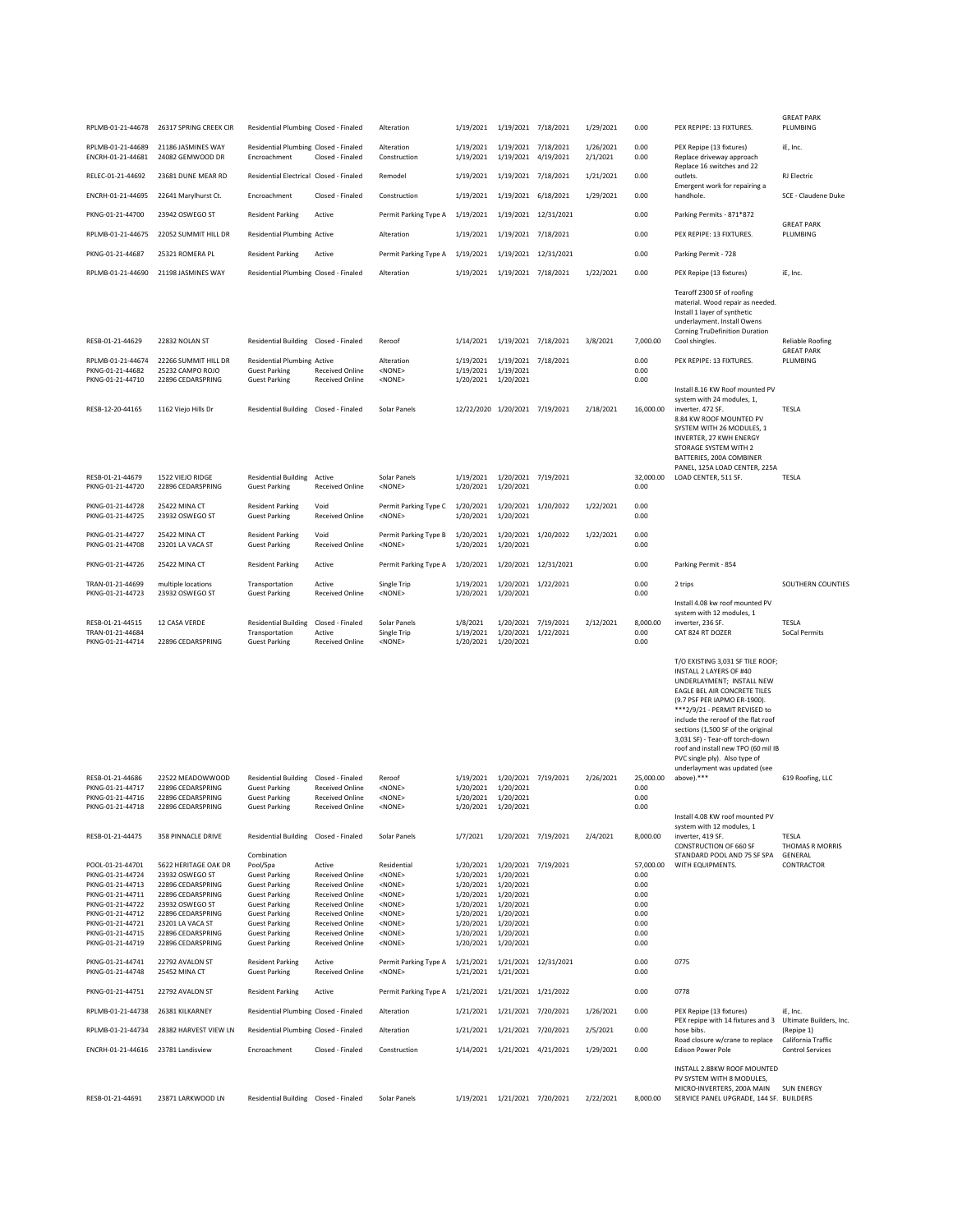|                                                                                                                                                                                                      | RPLMB-01-21-44678 26317 SPRING CREEK CIR                                                                                                                                                                      | Residential Plumbing Closed - Finaled                                                                                                                                                                                                                            |                                                                                                                                                                                                                 | Alteration                                                                                                                                                                 | 1/19/2021 1/19/2021 7/18/2021                                                                                                 |                                                                                                                                                    |                      | 1/29/2021             | 0.00                                                                                  | PEX REPIPE: 13 FIXTURES.                                                                                                                                                                                                                                                                                                                                                                                                         | <b>GREAT PARK</b><br>PLUMBING                     |
|------------------------------------------------------------------------------------------------------------------------------------------------------------------------------------------------------|---------------------------------------------------------------------------------------------------------------------------------------------------------------------------------------------------------------|------------------------------------------------------------------------------------------------------------------------------------------------------------------------------------------------------------------------------------------------------------------|-----------------------------------------------------------------------------------------------------------------------------------------------------------------------------------------------------------------|----------------------------------------------------------------------------------------------------------------------------------------------------------------------------|-------------------------------------------------------------------------------------------------------------------------------|----------------------------------------------------------------------------------------------------------------------------------------------------|----------------------|-----------------------|---------------------------------------------------------------------------------------|----------------------------------------------------------------------------------------------------------------------------------------------------------------------------------------------------------------------------------------------------------------------------------------------------------------------------------------------------------------------------------------------------------------------------------|---------------------------------------------------|
| RPLMB-01-21-44689<br>ENCRH-01-21-44681                                                                                                                                                               | 21186 JASMINES WAY<br>24082 GEMWOOD DR                                                                                                                                                                        | Residential Plumbing Closed - Finaled<br>Encroachment                                                                                                                                                                                                            | Closed - Finaled                                                                                                                                                                                                | Alteration<br>Construction                                                                                                                                                 | 1/19/2021<br>1/19/2021                                                                                                        | 1/19/2021 7/18/2021<br>1/19/2021                                                                                                                   | 4/19/2021            | 1/26/2021<br>2/1/2021 | 0.00<br>0.00                                                                          | PEX Repipe (13 fixtures)<br>Replace driveway approach                                                                                                                                                                                                                                                                                                                                                                            | iE, Inc.                                          |
| RELEC-01-21-44692                                                                                                                                                                                    | 23681 DUNE MEAR RD                                                                                                                                                                                            | Residential Electrical Closed - Finaled                                                                                                                                                                                                                          |                                                                                                                                                                                                                 | Remodel                                                                                                                                                                    | 1/19/2021                                                                                                                     | 1/19/2021 7/18/2021                                                                                                                                |                      | 1/21/2021             | 0.00                                                                                  | Replace 16 switches and 22<br>outlets.                                                                                                                                                                                                                                                                                                                                                                                           | RJ Electric                                       |
| ENCRH-01-21-44695                                                                                                                                                                                    | 22641 Marylhurst Ct.                                                                                                                                                                                          | Encroachment                                                                                                                                                                                                                                                     | Closed - Finaled                                                                                                                                                                                                | Construction                                                                                                                                                               | 1/19/2021                                                                                                                     | 1/19/2021 6/18/2021                                                                                                                                |                      | 1/29/2021             | 0.00                                                                                  | Emergent work for repairing a<br>handhole.                                                                                                                                                                                                                                                                                                                                                                                       | SCE - Claudene Duke                               |
| PKNG-01-21-44700                                                                                                                                                                                     | 23942 OSWEGO ST                                                                                                                                                                                               | <b>Resident Parking</b>                                                                                                                                                                                                                                          | Active                                                                                                                                                                                                          | Permit Parking Type A                                                                                                                                                      | 1/19/2021                                                                                                                     | 1/19/2021 12/31/2021                                                                                                                               |                      |                       | 0.00                                                                                  | Parking Permits - 871*872                                                                                                                                                                                                                                                                                                                                                                                                        |                                                   |
| RPLMB-01-21-44675                                                                                                                                                                                    | 22052 SUMMIT HILL DR                                                                                                                                                                                          | <b>Residential Plumbing Active</b>                                                                                                                                                                                                                               |                                                                                                                                                                                                                 | Alteration                                                                                                                                                                 | 1/19/2021 1/19/2021 7/18/2021                                                                                                 |                                                                                                                                                    |                      |                       | 0.00                                                                                  | PEX REPIPE: 13 FIXTURES.                                                                                                                                                                                                                                                                                                                                                                                                         | <b>GREAT PARK</b><br>PLUMBING                     |
| PKNG-01-21-44687                                                                                                                                                                                     | 25321 ROMERA PL                                                                                                                                                                                               | <b>Resident Parking</b>                                                                                                                                                                                                                                          | Active                                                                                                                                                                                                          | Permit Parking Type A                                                                                                                                                      | 1/19/2021                                                                                                                     | 1/19/2021 12/31/2021                                                                                                                               |                      |                       | 0.00                                                                                  | Parking Permit - 728                                                                                                                                                                                                                                                                                                                                                                                                             |                                                   |
| RPLMB-01-21-44690                                                                                                                                                                                    | 21198 JASMINES WAY                                                                                                                                                                                            | Residential Plumbing Closed - Finaled                                                                                                                                                                                                                            |                                                                                                                                                                                                                 | Alteration                                                                                                                                                                 | 1/19/2021                                                                                                                     | 1/19/2021 7/18/2021                                                                                                                                |                      | 1/22/2021             | 0.00                                                                                  | PEX Repipe (13 fixtures)                                                                                                                                                                                                                                                                                                                                                                                                         | iE, Inc.                                          |
| RESB-01-21-44629                                                                                                                                                                                     | 22832 NOLAN ST                                                                                                                                                                                                | Residential Building Closed - Finaled                                                                                                                                                                                                                            |                                                                                                                                                                                                                 | Reroof                                                                                                                                                                     | 1/14/2021                                                                                                                     | 1/19/2021 7/18/2021                                                                                                                                |                      | 3/8/2021              | 7,000.00                                                                              | Tearoff 2300 SF of roofing<br>material. Wood repair as needed.<br>Install 1 layer of synthetic<br>underlayment. Install Owens<br>Corning TruDefinition Duration<br>Cool shingles.                                                                                                                                                                                                                                                | <b>Reliable Roofing</b>                           |
| RPLMB-01-21-44674                                                                                                                                                                                    | 22266 SUMMIT HILL DR                                                                                                                                                                                          | <b>Residential Plumbing Active</b>                                                                                                                                                                                                                               |                                                                                                                                                                                                                 | Alteration                                                                                                                                                                 | 1/19/2021 1/19/2021 7/18/2021                                                                                                 |                                                                                                                                                    |                      |                       | 0.00                                                                                  | PEX REPIPE: 13 FIXTURES.                                                                                                                                                                                                                                                                                                                                                                                                         | <b>GREAT PARK</b><br>PLUMBING                     |
| PKNG-01-21-44682<br>PKNG-01-21-44710                                                                                                                                                                 | 25232 CAMPO ROJO<br>22896 CEDARSPRING                                                                                                                                                                         | <b>Guest Parking</b><br><b>Guest Parking</b>                                                                                                                                                                                                                     | <b>Received Online</b><br><b>Received Online</b>                                                                                                                                                                | <none><br/><none></none></none>                                                                                                                                            | 1/19/2021<br>1/20/2021                                                                                                        | 1/19/2021<br>1/20/2021                                                                                                                             |                      |                       | 0.00<br>0.00                                                                          | Install 8.16 KW Roof mounted PV                                                                                                                                                                                                                                                                                                                                                                                                  |                                                   |
| RESB-12-20-44165                                                                                                                                                                                     | 1162 Viejo Hills Dr                                                                                                                                                                                           | <b>Residential Building</b>                                                                                                                                                                                                                                      | Closed - Finaled                                                                                                                                                                                                | Solar Panels                                                                                                                                                               | 12/22/2020 1/20/2021 7/19/2021                                                                                                |                                                                                                                                                    |                      | 2/18/2021             | 16,000.00                                                                             | system with 24 modules, 1,<br>inverter, 472 SF.<br>8.84 KW ROOF MOUNTED PV<br>SYSTEM WITH 26 MODULES, 1<br>INVERTER, 27 KWH ENERGY<br>STORAGE SYSTEM WITH 2<br>BATTERIES, 200A COMBINER<br>PANEL, 125A LOAD CENTER, 225A                                                                                                                                                                                                         | TESLA                                             |
| RESB-01-21-44679<br>PKNG-01-21-44720                                                                                                                                                                 | 1522 VIEJO RIDGE<br>22896 CEDARSPRING                                                                                                                                                                         | <b>Residential Building</b><br><b>Guest Parking</b>                                                                                                                                                                                                              | Active<br>Received Online                                                                                                                                                                                       | Solar Panels<br>$<$ NONF>                                                                                                                                                  | 1/19/2021<br>1/20/2021                                                                                                        | 1/20/2021 7/19/2021<br>1/20/2021                                                                                                                   |                      |                       | 32,000.00<br>0.00                                                                     | LOAD CENTER, 511 SF.                                                                                                                                                                                                                                                                                                                                                                                                             | TESLA                                             |
| PKNG-01-21-44728<br>PKNG-01-21-44725                                                                                                                                                                 | 25422 MINA CT<br>23932 OSWEGO ST                                                                                                                                                                              | <b>Resident Parking</b><br><b>Guest Parking</b>                                                                                                                                                                                                                  | Void<br>Received Online                                                                                                                                                                                         | Permit Parking Type C 1/20/2021 1/20/2021 1/20/2022<br><none></none>                                                                                                       | 1/20/2021                                                                                                                     | 1/20/2021                                                                                                                                          |                      | 1/22/2021             | 0.00<br>0.00                                                                          |                                                                                                                                                                                                                                                                                                                                                                                                                                  |                                                   |
| PKNG-01-21-44727<br>PKNG-01-21-44708                                                                                                                                                                 | 25422 MINA CT<br>23201 LA VACA ST                                                                                                                                                                             | <b>Resident Parking</b><br><b>Guest Parking</b>                                                                                                                                                                                                                  | Void<br>Received Online                                                                                                                                                                                         | Permit Parking Type B<br><none></none>                                                                                                                                     | 1/20/2021<br>1/20/2021                                                                                                        | 1/20/2021 1/20/2022<br>1/20/2021                                                                                                                   |                      | 1/22/2021             | 0.00<br>0.00                                                                          |                                                                                                                                                                                                                                                                                                                                                                                                                                  |                                                   |
| PKNG-01-21-44726                                                                                                                                                                                     | 25422 MINA CT                                                                                                                                                                                                 | <b>Resident Parking</b>                                                                                                                                                                                                                                          | Active                                                                                                                                                                                                          | Permit Parking Type A                                                                                                                                                      | 1/20/2021                                                                                                                     | 1/20/2021 12/31/2021                                                                                                                               |                      |                       | 0.00                                                                                  | Parking Permit - 854                                                                                                                                                                                                                                                                                                                                                                                                             |                                                   |
| TRAN-01-21-44699<br>PKNG-01-21-44723                                                                                                                                                                 | multiple locations<br>23932 OSWEGO ST                                                                                                                                                                         | Transportation<br><b>Guest Parking</b>                                                                                                                                                                                                                           | Active<br><b>Received Online</b>                                                                                                                                                                                | Single Trip<br>$<$ NONE $>$                                                                                                                                                | 1/19/2021<br>1/20/2021                                                                                                        | 1/20/2021 1/22/2021<br>1/20/2021                                                                                                                   |                      |                       | 0.00<br>0.00                                                                          | 2 trips<br>Install 4.08 kw roof mounted PV                                                                                                                                                                                                                                                                                                                                                                                       | SOUTHERN COUNTIES                                 |
| RESB-01-21-44515                                                                                                                                                                                     | 12 CASA VERDE                                                                                                                                                                                                 | <b>Residential Building</b>                                                                                                                                                                                                                                      | Closed - Finaled                                                                                                                                                                                                | Solar Panels                                                                                                                                                               | 1/8/2021                                                                                                                      |                                                                                                                                                    | 1/20/2021 7/19/2021  | 2/12/2021             | 8,000.00                                                                              | system with 12 modules, 1<br>inverter, 236 SF.                                                                                                                                                                                                                                                                                                                                                                                   | TESLA                                             |
| TRAN-01-21-44684<br>PKNG-01-21-44714                                                                                                                                                                 | 22896 CEDARSPRING                                                                                                                                                                                             | Transportation<br><b>Guest Parking</b>                                                                                                                                                                                                                           | Active<br>Received Online                                                                                                                                                                                       | Single Trip<br><none></none>                                                                                                                                               | 1/19/2021<br>1/20/2021                                                                                                        | 1/20/2021 1/22/2021<br>1/20/2021                                                                                                                   |                      |                       | 0.00<br>0.00                                                                          | CAT 824 RT DOZER                                                                                                                                                                                                                                                                                                                                                                                                                 | SoCal Permits                                     |
| RESB-01-21-44686<br>PKNG-01-21-44717<br>PKNG-01-21-44716                                                                                                                                             | 22522 MEADOWWOOD<br>22896 CEDARSPRING<br>22896 CEDARSPRING                                                                                                                                                    | <b>Residential Building</b><br><b>Guest Parking</b><br><b>Guest Parking</b>                                                                                                                                                                                      | Closed - Finaled<br><b>Received Online</b><br><b>Received Online</b>                                                                                                                                            | Reroof<br><none><br/><none></none></none>                                                                                                                                  | 1/19/2021 1/20/2021 7/19/2021<br>1/20/2021<br>1/20/2021 1/20/2021                                                             | 1/20/2021                                                                                                                                          |                      | 2/26/2021             | 25,000.00<br>0.00<br>0.00                                                             | T/O EXISTING 3,031 SF TILE ROOF;<br>INSTALL 2 LAYERS OF #40<br>UNDERLAYMENT; INSTALL NEW<br>EAGLE BEL AIR CONCRETE TILES<br>(9.7 PSF PER IAPMO ER-1900).<br>***2/9/21 - PERMIT REVISED to<br>include the reroof of the flat roof<br>sections (1,500 SF of the original<br>3,031 SF) - Tear-off torch-down<br>roof and install new TPO (60 mil IB<br>PVC single ply). Also type of<br>underlayment was updated (see<br>above).*** | 619 Roofing, LLC                                  |
| PKNG-01-21-44718                                                                                                                                                                                     | 22896 CEDARSPRING                                                                                                                                                                                             | <b>Guest Parking</b>                                                                                                                                                                                                                                             | <b>Received Online</b>                                                                                                                                                                                          | <none></none>                                                                                                                                                              | 1/20/2021 1/20/2021                                                                                                           |                                                                                                                                                    |                      |                       | 0.00                                                                                  | Install 4.08 KW roof mounted PV<br>system with 12 modules, 1                                                                                                                                                                                                                                                                                                                                                                     |                                                   |
| RESB-01-21-44475<br>POOL-01-21-44701<br>PKNG-01-21-44724<br>PKNG-01-21-44713<br>PKNG-01-21-44711<br>PKNG-01-21-44722<br>PKNG-01-21-44712<br>PKNG-01-21-44721<br>PKNG-01-21-44715<br>PKNG-01-21-44719 | 358 PINNACLE DRIVE<br>5622 HERITAGE OAK DR<br>23932 OSWEGO ST<br>22896 CEDARSPRING<br>22896 CEDARSPRING<br>23932 OSWEGO ST<br>22896 CEDARSPRING<br>23201 LA VACA ST<br>22896 CEDARSPRING<br>22896 CEDARSPRING | Residential Building Closed - Finaled<br>Combination<br>Pool/Spa<br><b>Guest Parking</b><br><b>Guest Parking</b><br><b>Guest Parking</b><br><b>Guest Parking</b><br><b>Guest Parking</b><br><b>Guest Parking</b><br><b>Guest Parking</b><br><b>Guest Parking</b> | Active<br><b>Received Online</b><br><b>Received Online</b><br><b>Received Online</b><br>Received Online<br><b>Received Online</b><br><b>Received Online</b><br><b>Received Online</b><br><b>Received Online</b> | Solar Panels<br>Residential<br><none><br/><none><br/><none><br/><none><br/><none><br/><none><br/><none><br/><none></none></none></none></none></none></none></none></none> | 1/7/2021<br>1/20/2021<br>1/20/2021<br>1/20/2021<br>1/20/2021<br>1/20/2021<br>1/20/2021<br>1/20/2021<br>1/20/2021<br>1/20/2021 | 1/20/2021 7/19/2021<br>1/20/2021 7/19/2021<br>1/20/2021<br>1/20/2021<br>1/20/2021<br>1/20/2021<br>1/20/2021<br>1/20/2021<br>1/20/2021<br>1/20/2021 |                      | 2/4/2021              | 8.000.00<br>57,000.00<br>0.00<br>0.00<br>0.00<br>0.00<br>0.00<br>0.00<br>0.00<br>0.00 | inverter, 419 SF.<br><b>CONSTRUCTION OF 660 SF</b><br>STANDARD POOL AND 75 SF SPA<br>WITH EQUIPMENTS.                                                                                                                                                                                                                                                                                                                            | TESLA<br>THOMAS R MORRIS<br>GENERAL<br>CONTRACTOR |
| PKNG-01-21-44741<br>PKNG-01-21-44748                                                                                                                                                                 | 22792 AVALON ST<br><b>25452 MINA CT</b>                                                                                                                                                                       | <b>Resident Parking</b><br><b>Guest Parking</b>                                                                                                                                                                                                                  | Active<br><b>Received Online</b>                                                                                                                                                                                | Permit Parking Type A<br><none></none>                                                                                                                                     | 1/21/2021<br>1/21/2021                                                                                                        | 1/21/2021                                                                                                                                          | 1/21/2021 12/31/2021 |                       | 0.00<br>0.00                                                                          | 0775                                                                                                                                                                                                                                                                                                                                                                                                                             |                                                   |
| PKNG-01-21-44751                                                                                                                                                                                     | 22792 AVALON ST                                                                                                                                                                                               | <b>Resident Parking</b>                                                                                                                                                                                                                                          | Active                                                                                                                                                                                                          | Permit Parking Type A 1/21/2021                                                                                                                                            |                                                                                                                               | 1/21/2021 1/21/2022                                                                                                                                |                      |                       | 0.00                                                                                  | 0778                                                                                                                                                                                                                                                                                                                                                                                                                             |                                                   |
| RPLMB-01-21-44738                                                                                                                                                                                    | 26381 KILKARNEY                                                                                                                                                                                               | Residential Plumbing Closed - Finaled                                                                                                                                                                                                                            |                                                                                                                                                                                                                 | Alteration                                                                                                                                                                 | 1/21/2021                                                                                                                     | 1/21/2021 7/20/2021                                                                                                                                |                      | 1/26/2021             | 0.00                                                                                  | PEX Repipe (13 fixtures)                                                                                                                                                                                                                                                                                                                                                                                                         | iE, Inc.                                          |
| RPLMB-01-21-44734                                                                                                                                                                                    | 28382 HARVEST VIEW LN                                                                                                                                                                                         | Residential Plumbing Closed - Finaled                                                                                                                                                                                                                            |                                                                                                                                                                                                                 | Alteration                                                                                                                                                                 | 1/21/2021                                                                                                                     | 1/21/2021 7/20/2021                                                                                                                                |                      | 2/5/2021              | 0.00                                                                                  | PEX repipe with 14 fixtures and 3<br>hose bibs                                                                                                                                                                                                                                                                                                                                                                                   | Ultimate Builders, Inc.<br>(Repipe 1)             |
| ENCRH-01-21-44616                                                                                                                                                                                    | 23781 Landisview                                                                                                                                                                                              | Encroachment                                                                                                                                                                                                                                                     | Closed - Finaled                                                                                                                                                                                                | Construction                                                                                                                                                               | 1/14/2021 1/21/2021 4/21/2021                                                                                                 |                                                                                                                                                    |                      | 1/29/2021             | 0.00                                                                                  | Road closure w/crane to replace<br><b>Edison Power Pole</b>                                                                                                                                                                                                                                                                                                                                                                      | California Traffic<br><b>Control Services</b>     |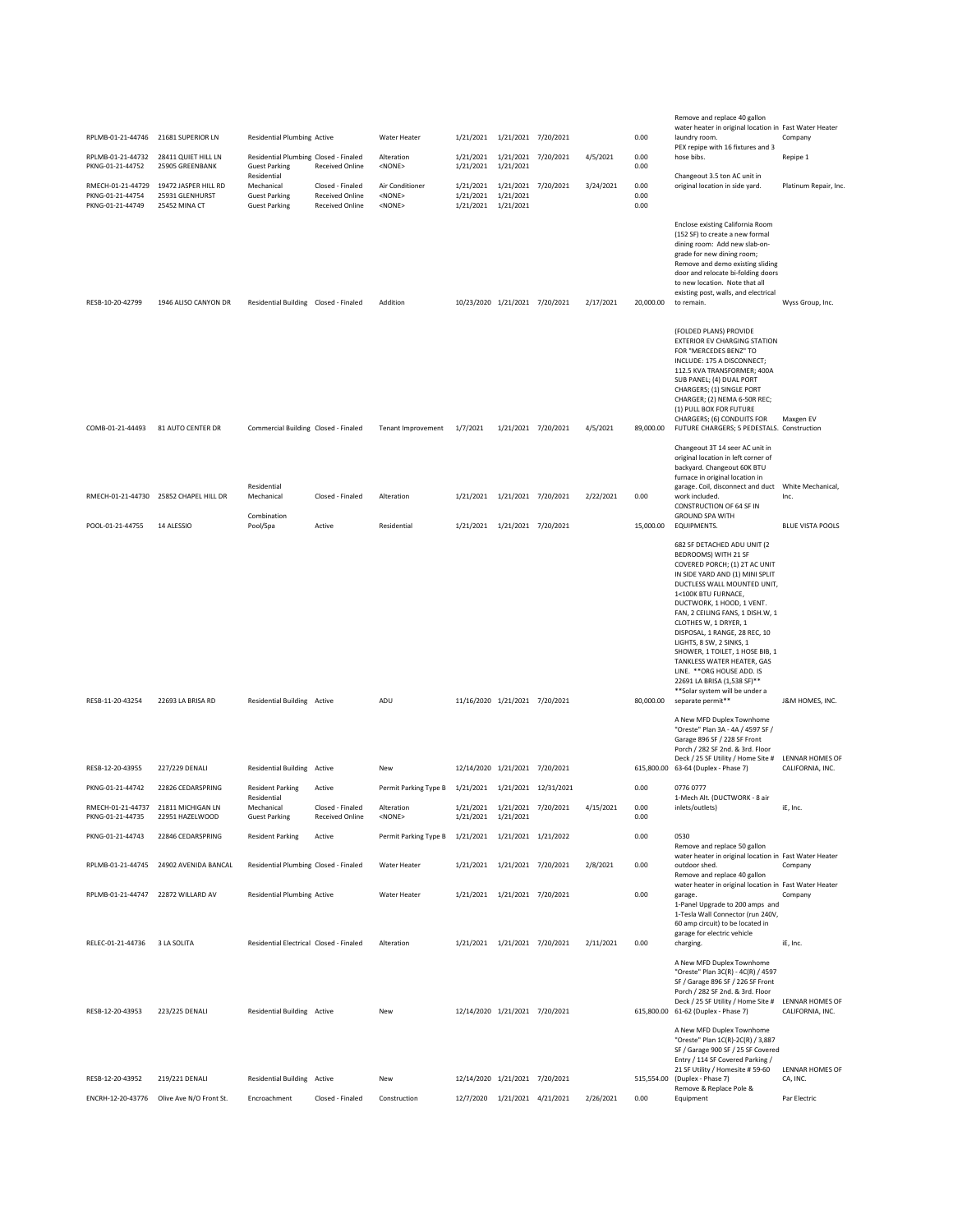|                                       |                                                                             |                                                                              |                                                               |                                                                                     |                                                                             |                        |           |           |                      | Remove and replace 40 gallon                                                                                                                                                                                                                                                                                                                                                                                                                                                                                               |                             |
|---------------------------------------|-----------------------------------------------------------------------------|------------------------------------------------------------------------------|---------------------------------------------------------------|-------------------------------------------------------------------------------------|-----------------------------------------------------------------------------|------------------------|-----------|-----------|----------------------|----------------------------------------------------------------------------------------------------------------------------------------------------------------------------------------------------------------------------------------------------------------------------------------------------------------------------------------------------------------------------------------------------------------------------------------------------------------------------------------------------------------------------|-----------------------------|
| RPLMB-01-21-44746                     | 21681 SUPERIOR LN                                                           | Residential Plumbing Active                                                  |                                                               | Water Heater                                                                        | 1/21/2021 1/21/2021 7/20/2021                                               |                        |           |           | 0.00                 | water heater in original location in Fast Water Heater<br>laundry room.<br>PEX repipe with 16 fixtures and 3                                                                                                                                                                                                                                                                                                                                                                                                               | Company                     |
| RPLMB-01-21-44732<br>PKNG-01-21-44752 | 28411 QUIET HILL LN<br>25905 GREENBANK                                      | Residential Plumbing Closed - Finaled<br><b>Guest Parking</b>                | Received Online                                               | Alteration<br>$<$ NONE $>$                                                          | 1/21/2021<br>1/21/2021                                                      | 1/21/2021<br>1/21/2021 | 7/20/2021 | 4/5/2021  | 0.00<br>0.00         | hose bibs.<br>Changeout 3.5 ton AC unit in                                                                                                                                                                                                                                                                                                                                                                                                                                                                                 | Repipe 1                    |
| PKNG-01-21-44754<br>PKNG-01-21-44749  | RMECH-01-21-44729 19472 JASPER HILL RD<br>25931 GLENHURST<br>25452 MINA CT  | Residential<br>Mechanical<br><b>Guest Parking</b><br><b>Guest Parking</b>    | Closed - Finaled<br><b>Received Online</b><br>Received Online | Air Conditioner<br>$<$ NONE $>$<br>$<$ NONE $>$                                     | 1/21/2021 1/21/2021 7/20/2021<br>1/21/2021 1/21/2021<br>1/21/2021 1/21/2021 |                        |           | 3/24/2021 | 0.00<br>0.00<br>0.00 | original location in side yard.                                                                                                                                                                                                                                                                                                                                                                                                                                                                                            | Platinum Repair, Inc.       |
| RESB-10-20-42799                      | 1946 ALISO CANYON DR                                                        | Residential Building Closed - Finaled                                        |                                                               | Addition                                                                            | 10/23/2020 1/21/2021 7/20/2021                                              |                        |           | 2/17/2021 | 20,000.00            | <b>Enclose existing California Room</b><br>(152 SF) to create a new formal<br>dining room: Add new slab-on-<br>grade for new dining room;<br>Remove and demo existing sliding<br>door and relocate bi-folding doors<br>to new location. Note that all<br>existing post, walls, and electrical<br>to remain.                                                                                                                                                                                                                | Wyss Group, Inc.            |
| COMB-01-21-44493                      | 81 AUTO CENTER DR                                                           | Commercial Building Closed - Finaled                                         |                                                               | Tenant Improvement                                                                  | 1/7/2021                                                                    | 1/21/2021 7/20/2021    |           | 4/5/2021  | 89,000.00            | (FOLDED PLANS) PROVIDE<br><b>EXTERIOR EV CHARGING STATION</b><br>FOR "MERCEDES BENZ" TO<br>INCLUDE: 175 A DISCONNECT;<br>112.5 KVA TRANSFORMER; 400A<br>SUB PANEL; (4) DUAL PORT<br>CHARGERS; (1) SINGLE PORT<br>CHARGER; (2) NEMA 6-50R REC;<br>(1) PULL BOX FOR FUTURE<br>CHARGERS; (6) CONDUITS FOR<br>FUTURE CHARGERS; 5 PEDESTALS. Construction                                                                                                                                                                       | Maxgen EV                   |
|                                       |                                                                             |                                                                              |                                                               |                                                                                     |                                                                             |                        |           |           |                      | Changeout 3T 14 seer AC unit in<br>original location in left corner of<br>backyard. Changeout 60K BTU<br>furnace in original location in                                                                                                                                                                                                                                                                                                                                                                                   |                             |
|                                       | RMECH-01-21-44730 25852 CHAPEL HILL DR                                      | Residential<br>Mechanical                                                    | Closed - Finaled                                              | Alteration                                                                          | 1/21/2021 1/21/2021 7/20/2021                                               |                        |           | 2/22/2021 | 0.00                 | garage. Coil, disconnect and duct     White Mechanical,<br>work included.<br>CONSTRUCTION OF 64 SF IN                                                                                                                                                                                                                                                                                                                                                                                                                      | Inc.                        |
| POOL-01-21-44755                      | 14 ALESSIO                                                                  | Combination<br>Pool/Spa                                                      | Active                                                        | Residential                                                                         | 1/21/2021 1/21/2021 7/20/2021                                               |                        |           |           | 15,000.00            | <b>GROUND SPA WITH</b><br>EQUIPMENTS.                                                                                                                                                                                                                                                                                                                                                                                                                                                                                      | <b>BLUE VISTA POOLS</b>     |
| RESB-11-20-43254                      | 22693 LA BRISA RD                                                           | Residential Building Active                                                  |                                                               | ADU                                                                                 | 11/16/2020 1/21/2021 7/20/2021                                              |                        |           |           | 80,000.00            | 682 SF DETACHED ADU UNIT (2<br>BEDROOMS) WITH 21 SF<br>COVERED PORCH; (1) 2T AC UNIT<br>IN SIDE YARD AND (1) MINI SPLIT<br>DUCTLESS WALL MOUNTED UNIT,<br>1<100K BTU FURNACE,<br>DUCTWORK, 1 HOOD, 1 VENT.<br>FAN, 2 CEILING FANS, 1 DISH.W, 1<br>CLOTHES W, 1 DRYER, 1<br>DISPOSAL, 1 RANGE, 28 REC, 10<br>LIGHTS, 8 SW, 2 SINKS, 1<br>SHOWER, 1 TOILET, 1 HOSE BIB, 1<br>TANKLESS WATER HEATER, GAS<br>LINE. ** ORG HOUSE ADD. IS<br>22691 LA BRISA (1,538 SF)**<br>** Solar system will be under a<br>separate permit** | J&M HOMES, INC.             |
|                                       |                                                                             |                                                                              |                                                               |                                                                                     |                                                                             |                        |           |           |                      | A New MFD Duplex Townhome<br>"Oreste" Plan 3A - 4A / 4597 SF /<br>Garage 896 SF / 228 SF Front<br>Porch / 282 SF 2nd. & 3rd. Floor<br>Deck / 25 SF Utility / Home Site # LENNAR HOMES OF                                                                                                                                                                                                                                                                                                                                   |                             |
| RESB-12-20-43955                      | 227/229 DENALI                                                              | Residential Building Active                                                  |                                                               | New                                                                                 | 12/14/2020 1/21/2021 7/20/2021                                              |                        |           |           |                      | 615,800.00 63-64 (Duplex - Phase 7)                                                                                                                                                                                                                                                                                                                                                                                                                                                                                        | CALIFORNIA, INC.            |
| PKNG-01-21-44742<br>PKNG-01-21-44735  | 22826 CEDARSPRING<br>RMECH-01-21-44737 21811 MICHIGAN LN<br>22951 HAZELWOOD | <b>Resident Parking</b><br>Residential<br>Mechanical<br><b>Guest Parking</b> | Active<br>Closed - Finaled<br><b>Received Online</b>          | Permit Parking Type B 1/21/2021 1/21/2021 12/31/2021<br>Alteration<br><none></none> | 1/21/2021 1/21/2021 7/20/2021<br>1/21/2021                                  | 1/21/2021              |           | 4/15/2021 | 0.00<br>0.00<br>0.00 | 0776 0777<br>1-Mech Alt. (DUCTWORK - 8 air<br>inlets/outlets)                                                                                                                                                                                                                                                                                                                                                                                                                                                              | iE, Inc.                    |
| PKNG-01-21-44743                      | 22846 CEDARSPRING                                                           | <b>Resident Parking</b>                                                      | Active                                                        | Permit Parking Type B                                                               | 1/21/2021                                                                   | 1/21/2021 1/21/2022    |           |           | 0.00                 | 0530<br>Remove and replace 50 gallon                                                                                                                                                                                                                                                                                                                                                                                                                                                                                       |                             |
| RPLMB-01-21-44745                     | 24902 AVENIDA BANCAL                                                        | Residential Plumbing Closed - Finaled                                        |                                                               | Water Heater                                                                        | 1/21/2021 1/21/2021 7/20/2021                                               |                        |           | 2/8/2021  | 0.00                 | water heater in original location in Fast Water Heater<br>outdoor shed.<br>Remove and replace 40 gallon                                                                                                                                                                                                                                                                                                                                                                                                                    | Company                     |
| RPLMB-01-21-44747                     | 22872 WILLARD AV                                                            | <b>Residential Plumbing Active</b>                                           |                                                               | Water Heater                                                                        | 1/21/2021 1/21/2021 7/20/2021                                               |                        |           |           | 0.00                 | water heater in original location in Fast Water Heater<br>garage.<br>1-Panel Upgrade to 200 amps and<br>1-Tesla Wall Connector (run 240V,<br>60 amp circuit) to be located in                                                                                                                                                                                                                                                                                                                                              | Company                     |
| RELEC-01-21-44736                     | 3 LA SOLITA                                                                 | Residential Electrical Closed - Finaled                                      |                                                               | Alteration                                                                          | 1/21/2021 1/21/2021 7/20/2021                                               |                        |           | 2/11/2021 | 0.00                 | garage for electric vehicle<br>charging.                                                                                                                                                                                                                                                                                                                                                                                                                                                                                   | iE, Inc.                    |
| RESB-12-20-43953                      | 223/225 DENALI                                                              | <b>Residential Building Active</b>                                           |                                                               | New                                                                                 | 12/14/2020 1/21/2021 7/20/2021                                              |                        |           |           |                      | A New MFD Duplex Townhome<br>"Oreste" Plan 3C(R) - 4C(R) / 4597<br>SF / Garage 896 SF / 226 SF Front<br>Porch / 282 SF 2nd. & 3rd. Floor<br>Deck / 25 SF Utility / Home Site # LENNAR HOMES OF<br>615,800.00 61-62 (Duplex - Phase 7)                                                                                                                                                                                                                                                                                      | CALIFORNIA, INC.            |
| RESB-12-20-43952                      | 219/221 DENALI                                                              | <b>Residential Building Active</b>                                           |                                                               | New                                                                                 | 12/14/2020 1/21/2021 7/20/2021                                              |                        |           |           |                      | A New MFD Duplex Townhome<br>"Oreste" Plan 1C(R)-2C(R) / 3,887<br>SF / Garage 900 SF / 25 SF Covered<br>Entry / 114 SF Covered Parking /<br>21 SF Utility / Homesite # 59-60<br>515,554.00 (Duplex - Phase 7)                                                                                                                                                                                                                                                                                                              | LENNAR HOMES OF<br>CA, INC. |
| ENCRH-12-20-43776                     | Olive Ave N/O Front St.                                                     | Encroachment                                                                 | Closed - Finaled                                              | Construction                                                                        | 12/7/2020 1/21/2021 4/21/2021                                               |                        |           | 2/26/2021 | 0.00                 | Remove & Replace Pole &<br>Equipment                                                                                                                                                                                                                                                                                                                                                                                                                                                                                       | Par Electric                |
|                                       |                                                                             |                                                                              |                                                               |                                                                                     |                                                                             |                        |           |           |                      |                                                                                                                                                                                                                                                                                                                                                                                                                                                                                                                            |                             |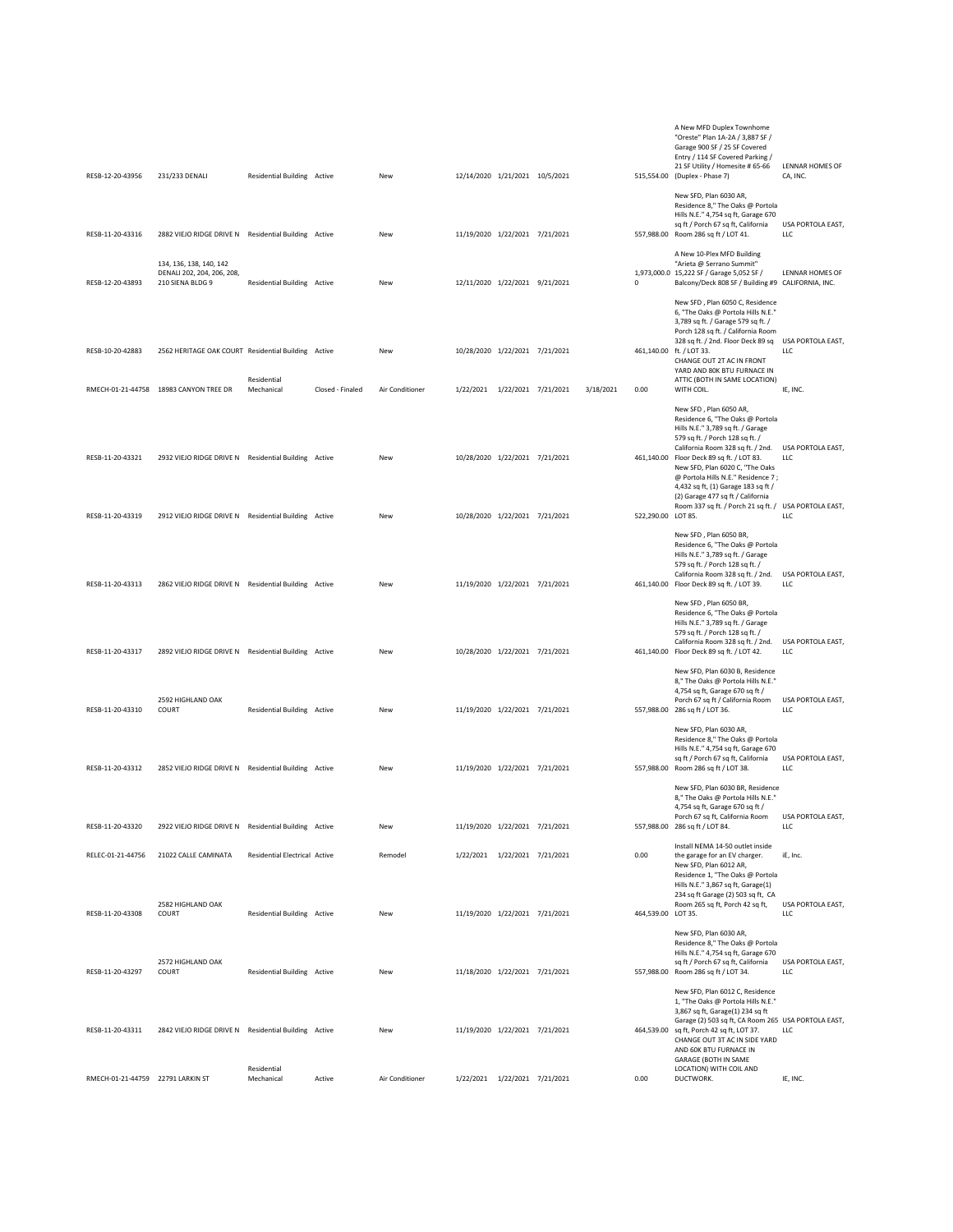| RESB-12-20-43956                  | 231/233 DENALI                                                            | Residential Building Active   |                  | New             | 12/14/2020 1/21/2021 10/5/2021 |  |           |                    | A New MFD Duplex Townhome<br>"Oreste" Plan 1A-2A / 3,887 SF /<br>Garage 900 SF / 25 SF Covered<br>Entry / 114 SF Covered Parking /<br>21 SF Utility / Homesite # 65-66<br>515,554.00 (Duplex - Phase 7)                                                                                                                                                                                                                                              | LENNAR HOMES OF<br>CA, INC. |
|-----------------------------------|---------------------------------------------------------------------------|-------------------------------|------------------|-----------------|--------------------------------|--|-----------|--------------------|------------------------------------------------------------------------------------------------------------------------------------------------------------------------------------------------------------------------------------------------------------------------------------------------------------------------------------------------------------------------------------------------------------------------------------------------------|-----------------------------|
| RESB-11-20-43316                  | 2882 VIEJO RIDGE DRIVE N Residential Building Active                      |                               |                  | New             | 11/19/2020 1/22/2021 7/21/2021 |  |           |                    | New SFD, Plan 6030 AR,<br>Residence 8," The Oaks @ Portola<br>Hills N.E." 4,754 sq ft, Garage 670<br>sq ft / Porch 67 sq ft, California<br>557,988.00 Room 286 sq ft / LOT 41.                                                                                                                                                                                                                                                                       | USA PORTOLA EAST.<br>LLC    |
| RESB-12-20-43893                  | 134, 136, 138, 140, 142<br>DENALI 202, 204, 206, 208,<br>210 SIENA BLDG 9 | Residential Building Active   |                  | New             | 12/11/2020 1/22/2021 9/21/2021 |  |           | 0                  | A New 10-Plex MFD Building<br>"Arieta @ Serrano Summit"<br>1,973,000.0 15,222 SF / Garage 5,052 SF /<br>Balcony/Deck 808 SF / Building #9 CALIFORNIA, INC.                                                                                                                                                                                                                                                                                           | LENNAR HOMES OF             |
| RESB-10-20-42883                  | 2562 HERITAGE OAK COURT Residential Building Active                       |                               |                  | New             | 10/28/2020 1/22/2021 7/21/2021 |  |           |                    | New SFD, Plan 6050 C, Residence<br>6, "The Oaks @ Portola Hills N.E."<br>3,789 sq ft. / Garage 579 sq ft. /<br>Porch 128 sq ft. / California Room<br>328 sq ft. / 2nd. Floor Deck 89 sq USA PORTOLA EAST,<br>461,140.00 ft. / LOT 33.<br>CHANGE OUT 2T AC IN FRONT<br>YARD AND 80K BTU FURNACE IN                                                                                                                                                    | LLC                         |
|                                   | RMECH-01-21-44758 18983 CANYON TREE DR                                    | Residential<br>Mechanical     | Closed - Finaled | Air Conditioner | 1/22/2021 1/22/2021 7/21/2021  |  | 3/18/2021 | 0.00               | ATTIC (BOTH IN SAME LOCATION)<br>WITH COIL.                                                                                                                                                                                                                                                                                                                                                                                                          | IE, INC.                    |
| RESB-11-20-43321                  | 2932 VIEJO RIDGE DRIVE N Residential Building Active                      |                               |                  | New             | 10/28/2020 1/22/2021 7/21/2021 |  |           |                    | New SFD, Plan 6050 AR,<br>Residence 6, "The Oaks @ Portola<br>Hills N.E." 3,789 sq ft. / Garage<br>579 sq ft. / Porch 128 sq ft. /<br>California Room 328 sq ft. / 2nd. USA PORTOLA EAST,<br>461,140.00 Floor Deck 89 sq ft. / LOT 83.<br>New SFD, Plan 6020 C, "The Oaks<br>@ Portola Hills N.E." Residence 7;<br>4,432 sq ft, (1) Garage 183 sq ft /<br>(2) Garage 477 sq ft / California<br>Room 337 sq ft. / Porch 21 sq ft. / USA PORTOLA EAST, | LLC                         |
| RESB-11-20-43319                  | 2912 VIEJO RIDGE DRIVE N Residential Building Active                      |                               |                  | New             | 10/28/2020 1/22/2021 7/21/2021 |  |           | 522,290.00 LOT 85. | New SFD, Plan 6050 BR,                                                                                                                                                                                                                                                                                                                                                                                                                               | LLC                         |
| RESB-11-20-43313                  | 2862 VIEJO RIDGE DRIVE N Residential Building Active                      |                               |                  | New             | 11/19/2020 1/22/2021 7/21/2021 |  |           |                    | Residence 6, "The Oaks @ Portola<br>Hills N.E." 3,789 sq ft. / Garage<br>579 sq ft. / Porch 128 sq ft. /<br>California Room 328 sq ft. / 2nd.<br>461,140.00 Floor Deck 89 sq ft. / LOT 39.                                                                                                                                                                                                                                                           | USA PORTOLA EAST,<br>LLC    |
| RESB-11-20-43317                  | 2892 VIEJO RIDGE DRIVE N Residential Building Active                      |                               |                  | New             | 10/28/2020 1/22/2021 7/21/2021 |  |           |                    | New SFD, Plan 6050 BR,<br>Residence 6, "The Oaks @ Portola<br>Hills N.E." 3,789 sq ft. / Garage<br>579 sq ft. / Porch 128 sq ft. /<br>California Room 328 sq ft. / 2nd.<br>461,140.00 Floor Deck 89 sq ft. / LOT 42.                                                                                                                                                                                                                                 | USA PORTOLA EAST,<br>LLC    |
| RESB-11-20-43310                  | 2592 HIGHLAND OAK<br>COURT                                                | Residential Building Active   |                  | New             | 11/19/2020 1/22/2021 7/21/2021 |  |           |                    | New SFD, Plan 6030 B, Residence<br>8," The Oaks @ Portola Hills N.E."<br>4,754 sq ft, Garage 670 sq ft /<br>Porch 67 sq ft / California Room<br>557,988.00 286 sq ft / LOT 36.                                                                                                                                                                                                                                                                       | USA PORTOLA EAST,<br>LLC    |
| RESB-11-20-43312                  | 2852 VIEJO RIDGE DRIVE N Residential Building Active                      |                               |                  | New             | 11/19/2020 1/22/2021 7/21/2021 |  |           |                    | New SFD, Plan 6030 AR,<br>Residence 8," The Oaks @ Portola<br>Hills N.E." 4,754 sq ft, Garage 670<br>sq ft / Porch 67 sq ft, California<br>557,988.00 Room 286 sq ft / LOT 38.                                                                                                                                                                                                                                                                       | USA PORTOLA EAST,<br>LLC    |
| RESB-11-20-43320                  | 2922 VIEJO RIDGE DRIVE N Residential Building Active                      |                               |                  | New             | 11/19/2020 1/22/2021 7/21/2021 |  |           |                    | New SFD, Plan 6030 BR, Residence<br>8," The Oaks @ Portola Hills N.E."<br>4,754 sq ft, Garage 670 sq ft /<br>Porch 67 sq ft, California Room<br>557,988.00 286 sq ft / LOT 84.                                                                                                                                                                                                                                                                       | USA PORTOLA EAST,<br>LLC    |
| RELEC-01-21-44756                 | 21022 CALLE CAMINATA                                                      | Residential Electrical Active |                  | Remodel         | 1/22/2021 1/22/2021 7/21/2021  |  |           | 0.00               | Install NEMA 14-50 outlet inside<br>the garage for an EV charger.                                                                                                                                                                                                                                                                                                                                                                                    | iE, Inc.                    |
| RESB-11-20-43308                  | 2582 HIGHLAND OAK<br>COURT                                                | Residential Building Active   |                  | New             | 11/19/2020 1/22/2021 7/21/2021 |  |           | 464,539.00 LOT 35. | New SFD, Plan 6012 AR,<br>Residence 1, "The Oaks @ Portola<br>Hills N.E." 3,867 sq ft, Garage(1)<br>234 sq ft Garage (2) 503 sq ft, CA<br>Room 265 sq ft, Porch 42 sq ft,                                                                                                                                                                                                                                                                            | USA PORTOLA EAST,<br>LLC    |
| RESB-11-20-43297                  | 2572 HIGHLAND OAK<br>COURT                                                | Residential Building Active   |                  | New             | 11/18/2020 1/22/2021 7/21/2021 |  |           |                    | New SFD, Plan 6030 AR,<br>Residence 8," The Oaks @ Portola<br>Hills N.E." 4,754 sq ft, Garage 670<br>sq ft / Porch 67 sq ft, California<br>557,988.00 Room 286 sq ft / LOT 34.                                                                                                                                                                                                                                                                       | USA PORTOLA EAST,<br>LLC    |
| RESB-11-20-43311                  | 2842 VIEJO RIDGE DRIVE N Residential Building Active                      |                               |                  | New             | 11/19/2020 1/22/2021 7/21/2021 |  |           |                    | New SFD, Plan 6012 C, Residence<br>1, "The Oaks @ Portola Hills N.E."<br>3,867 sq ft, Garage(1) 234 sq ft<br>Garage (2) 503 sq ft, CA Room 265 USA PORTOLA EAST,<br>464,539.00 sq ft, Porch 42 sq ft, LOT 37.<br>CHANGE OUT 3T AC IN SIDE YARD<br>AND 60K BTU FURNACE IN<br>GARAGE (BOTH IN SAME                                                                                                                                                     | LLC                         |
| RMECH-01-21-44759 22791 LARKIN ST |                                                                           | Residential<br>Mechanical     | Active           | Air Conditioner | 1/22/2021 1/22/2021 7/21/2021  |  |           | 0.00               | LOCATION) WITH COIL AND<br>DUCTWORK.                                                                                                                                                                                                                                                                                                                                                                                                                 | IE, INC.                    |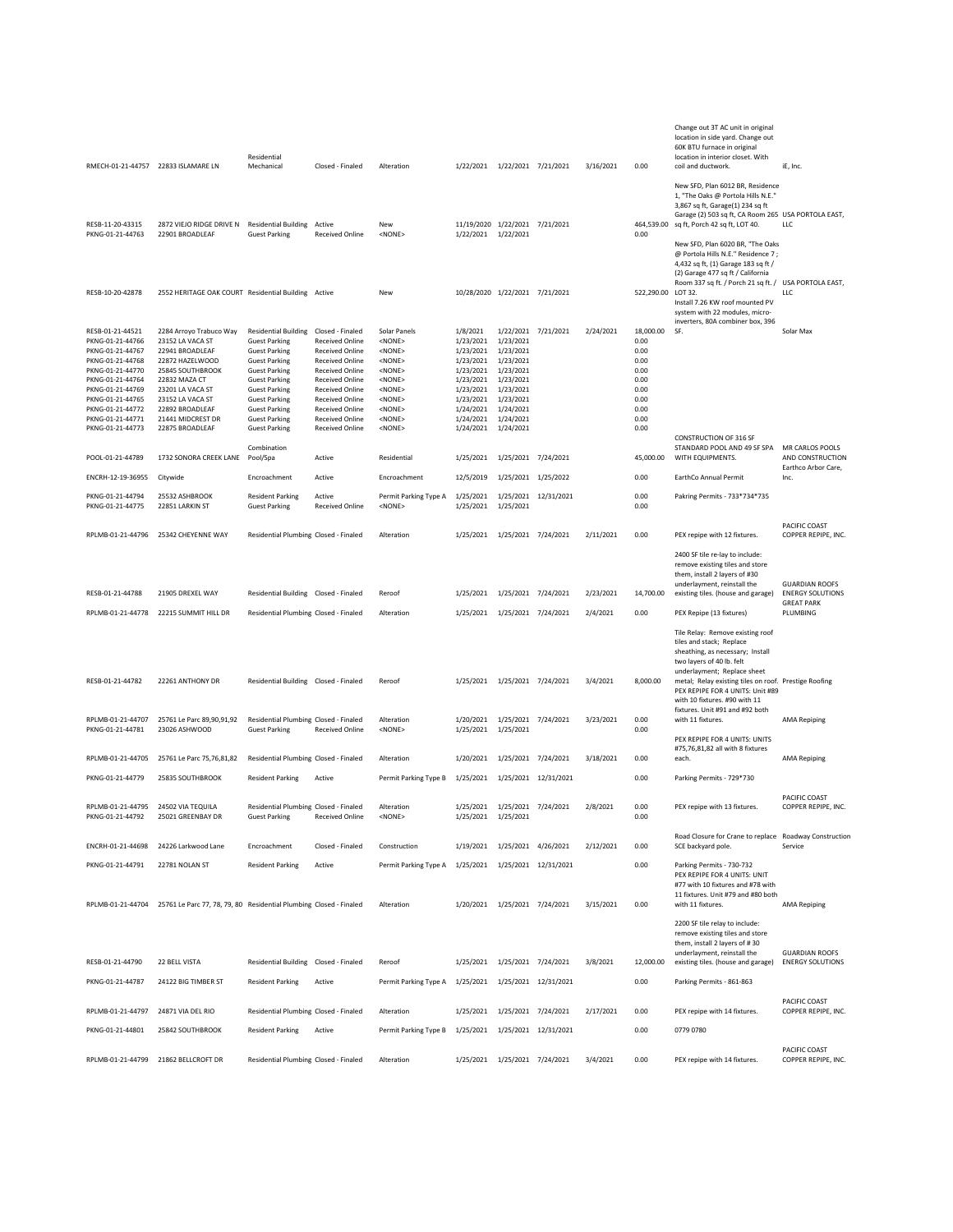| RMECH-01-21-44757 22833 ISLAMARE LN                                                                                                                                                                                      |                                                                                                                                                                                                                           | Residential<br>Mechanical                                                                                                                                                                                                                                                   | Closed - Finaled                                                                                                                                                                                                                           | Alteration                                                                                                                                                                                                                                                                                          | 1/22/2021 1/22/2021 7/21/2021                                                                                                              |                                                                                                                                                       |                      | 3/16/2021 | 0.00                                                                                      | Change out 3T AC unit in original<br>location in side yard. Change out<br>60K BTU furnace in original<br>location in interior closet. With<br>coil and ductwork.                                                                                                                                                              | iE, Inc.                                         |
|--------------------------------------------------------------------------------------------------------------------------------------------------------------------------------------------------------------------------|---------------------------------------------------------------------------------------------------------------------------------------------------------------------------------------------------------------------------|-----------------------------------------------------------------------------------------------------------------------------------------------------------------------------------------------------------------------------------------------------------------------------|--------------------------------------------------------------------------------------------------------------------------------------------------------------------------------------------------------------------------------------------|-----------------------------------------------------------------------------------------------------------------------------------------------------------------------------------------------------------------------------------------------------------------------------------------------------|--------------------------------------------------------------------------------------------------------------------------------------------|-------------------------------------------------------------------------------------------------------------------------------------------------------|----------------------|-----------|-------------------------------------------------------------------------------------------|-------------------------------------------------------------------------------------------------------------------------------------------------------------------------------------------------------------------------------------------------------------------------------------------------------------------------------|--------------------------------------------------|
|                                                                                                                                                                                                                          |                                                                                                                                                                                                                           |                                                                                                                                                                                                                                                                             |                                                                                                                                                                                                                                            |                                                                                                                                                                                                                                                                                                     |                                                                                                                                            |                                                                                                                                                       |                      |           |                                                                                           | New SFD, Plan 6012 BR, Residence<br>1, "The Oaks @ Portola Hills N.E."<br>3,867 sq ft, Garage(1) 234 sq ft<br>Garage (2) 503 sq ft, CA Room 265 USA PORTOLA EAST,                                                                                                                                                             |                                                  |
| RESB-11-20-43315<br>PKNG-01-21-44763                                                                                                                                                                                     | 2872 VIFIO RIDGE DRIVE N<br>22901 BROADLEAF                                                                                                                                                                               | <b>Residential Building</b><br><b>Guest Parking</b>                                                                                                                                                                                                                         | Active<br><b>Received Online</b>                                                                                                                                                                                                           | New<br><none></none>                                                                                                                                                                                                                                                                                | 11/19/2020 1/22/2021 7/21/2021<br>1/22/2021 1/22/2021                                                                                      |                                                                                                                                                       |                      |           | 464,539.00<br>0.00                                                                        | sq ft, Porch 42 sq ft, LOT 40.<br>New SFD, Plan 6020 BR, "The Oaks<br>@ Portola Hills N.E." Residence 7 ;                                                                                                                                                                                                                     | LLC                                              |
|                                                                                                                                                                                                                          |                                                                                                                                                                                                                           |                                                                                                                                                                                                                                                                             |                                                                                                                                                                                                                                            |                                                                                                                                                                                                                                                                                                     |                                                                                                                                            |                                                                                                                                                       |                      |           |                                                                                           | 4,432 sq ft, (1) Garage 183 sq ft /<br>(2) Garage 477 sq ft / California<br>Room 337 sq ft. / Porch 21 sq ft. / USA PORTOLA EAST,                                                                                                                                                                                             |                                                  |
| RESB-10-20-42878                                                                                                                                                                                                         | 2552 HERITAGE OAK COURT Residential Building Active                                                                                                                                                                       |                                                                                                                                                                                                                                                                             |                                                                                                                                                                                                                                            | New                                                                                                                                                                                                                                                                                                 | 10/28/2020 1/22/2021 7/21/2021                                                                                                             |                                                                                                                                                       |                      |           | 522,290.00                                                                                | LOT 32.<br>Install 7.26 KW roof mounted PV<br>system with 22 modules, micro-<br>inverters, 80A combiner box, 396                                                                                                                                                                                                              | LLC                                              |
| RESB-01-21-44521<br>PKNG-01-21-44766<br>PKNG-01-21-44767<br>PKNG-01-21-44768<br>PKNG-01-21-44770<br>PKNG-01-21-44764<br>PKNG-01-21-44769<br>PKNG-01-21-44765<br>PKNG-01-21-44772<br>PKNG-01-21-44771<br>PKNG-01-21-44773 | 2284 Arroyo Trabuco Way<br>23152 LA VACA ST<br>22941 BROADLEAF<br>22872 HAZELWOOD<br>25845 SOUTHBROOK<br>22832 MAZA CT<br>23201 LA VACA ST<br>23152 LA VACA ST<br>22892 BROADLEAF<br>21441 MIDCREST DR<br>22875 BROADLEAF | <b>Residential Building</b><br><b>Guest Parking</b><br><b>Guest Parking</b><br><b>Guest Parking</b><br><b>Guest Parking</b><br><b>Guest Parking</b><br><b>Guest Parking</b><br><b>Guest Parking</b><br><b>Guest Parking</b><br><b>Guest Parking</b><br><b>Guest Parking</b> | Closed - Finaled<br><b>Received Online</b><br><b>Received Online</b><br>Received Online<br>Received Online<br>Received Online<br><b>Received Online</b><br>Received Online<br>Received Online<br>Received Online<br><b>Received Online</b> | Solar Panels<br><none><br/><none><br/><none><br/><none><br/><math>&lt;</math>NONE<math>&gt;</math><br/><math>&lt;</math>NONE<math>&gt;</math><br/><none><br/><math>&lt;</math>NONE<math>&gt;</math><br/><math>&lt;</math>NONE<math>&gt;</math><br/><none></none></none></none></none></none></none> | 1/8/2021<br>1/23/2021<br>1/23/2021<br>1/23/2021<br>1/23/2021<br>1/23/2021<br>1/23/2021<br>1/23/2021<br>1/24/2021<br>1/24/2021<br>1/24/2021 | 1/22/2021 7/21/2021<br>1/23/2021<br>1/23/2021<br>1/23/2021<br>1/23/2021<br>1/23/2021<br>1/23/2021<br>1/23/2021<br>1/24/2021<br>1/24/2021<br>1/24/2021 |                      | 2/24/2021 | 18,000.00<br>0.00<br>0.00<br>0.00<br>0.00<br>0.00<br>0.00<br>0.00<br>0.00<br>0.00<br>0.00 | SF.                                                                                                                                                                                                                                                                                                                           | Solar Max                                        |
| POOL-01-21-44789                                                                                                                                                                                                         | 1732 SONORA CREEK LANE Pool/Spa                                                                                                                                                                                           | Combination                                                                                                                                                                                                                                                                 | Active                                                                                                                                                                                                                                     | Residential                                                                                                                                                                                                                                                                                         | 1/25/2021                                                                                                                                  | 1/25/2021 7/24/2021                                                                                                                                   |                      |           | 45,000.00                                                                                 | CONSTRUCTION OF 316 SF<br>STANDARD POOL AND 49 SF SPA<br>WITH EQUIPMENTS.                                                                                                                                                                                                                                                     | MR CARLOS POOLS<br>AND CONSTRUCTION              |
| ENCRH-12-19-36955                                                                                                                                                                                                        | Citywide                                                                                                                                                                                                                  | Encroachment                                                                                                                                                                                                                                                                | Active                                                                                                                                                                                                                                     | Encroachment                                                                                                                                                                                                                                                                                        | 12/5/2019                                                                                                                                  | 1/25/2021 1/25/2022                                                                                                                                   |                      |           | 0.00                                                                                      | EarthCo Annual Permit                                                                                                                                                                                                                                                                                                         | Earthco Arbor Care,<br>Inc.                      |
| PKNG-01-21-44794<br>PKNG-01-21-44775                                                                                                                                                                                     | 25532 ASHBROOK<br>22851 LARKIN ST                                                                                                                                                                                         | <b>Resident Parking</b><br><b>Guest Parking</b>                                                                                                                                                                                                                             | Active<br>Received Online                                                                                                                                                                                                                  | Permit Parking Type A<br><none></none>                                                                                                                                                                                                                                                              | 1/25/2021<br>1/25/2021                                                                                                                     | 1/25/2021                                                                                                                                             | 1/25/2021 12/31/2021 |           | 0.00<br>0.00                                                                              | Pakring Permits - 733*734*735                                                                                                                                                                                                                                                                                                 |                                                  |
| RPLMB-01-21-44796                                                                                                                                                                                                        | 25342 CHEYENNE WAY                                                                                                                                                                                                        | Residential Plumbing Closed - Finaled                                                                                                                                                                                                                                       |                                                                                                                                                                                                                                            | Alteration                                                                                                                                                                                                                                                                                          | 1/25/2021 1/25/2021 7/24/2021                                                                                                              |                                                                                                                                                       |                      | 2/11/2021 | 0.00                                                                                      | PEX repipe with 12 fixtures.                                                                                                                                                                                                                                                                                                  | PACIFIC COAST<br>COPPER REPIPE, INC.             |
| RESB-01-21-44788                                                                                                                                                                                                         | 21905 DREXEL WAY                                                                                                                                                                                                          | Residential Building Closed - Finaled                                                                                                                                                                                                                                       |                                                                                                                                                                                                                                            | Reroof                                                                                                                                                                                                                                                                                              | 1/25/2021                                                                                                                                  | 1/25/2021 7/24/2021                                                                                                                                   |                      | 2/23/2021 | 14,700.00                                                                                 | 2400 SF tile re-lay to include:<br>remove existing tiles and store<br>them, install 2 layers of #30<br>underlayment, reinstall the<br>existing tiles. (house and garage)                                                                                                                                                      | <b>GUARDIAN ROOFS</b><br><b>ENERGY SOLUTIONS</b> |
| RPLMB-01-21-44778                                                                                                                                                                                                        | 22215 SUMMIT HILL DR                                                                                                                                                                                                      | Residential Plumbing Closed - Finaled                                                                                                                                                                                                                                       |                                                                                                                                                                                                                                            | Alteration                                                                                                                                                                                                                                                                                          | 1/25/2021                                                                                                                                  | 1/25/2021 7/24/2021                                                                                                                                   |                      | 2/4/2021  | 0.00                                                                                      | PEX Repipe (13 fixtures)                                                                                                                                                                                                                                                                                                      | <b>GREAT PARK</b><br>PLUMBING                    |
| RESB-01-21-44782                                                                                                                                                                                                         | 22261 ANTHONY DR                                                                                                                                                                                                          | Residential Building Closed - Finaled                                                                                                                                                                                                                                       |                                                                                                                                                                                                                                            | Reroof                                                                                                                                                                                                                                                                                              | 1/25/2021                                                                                                                                  | 1/25/2021 7/24/2021                                                                                                                                   |                      | 3/4/2021  | 8,000.00                                                                                  | Tile Relay: Remove existing roof<br>tiles and stack; Replace<br>sheathing, as necessary; Install<br>two layers of 40 lb. felt<br>underlayment; Replace sheet<br>metal; Relay existing tiles on roof. Prestige Roofing<br>PEX REPIPE FOR 4 UNITS: Unit #89<br>with 10 fixtures, #90 with 11<br>fixtures. Unit #91 and #92 both |                                                  |
| RPLMB-01-21-44707<br>PKNG-01-21-44781                                                                                                                                                                                    | 25761 Le Parc 89,90,91,92<br>23026 ASHWOOD                                                                                                                                                                                | Residential Plumbing Closed - Finaled<br><b>Guest Parking</b>                                                                                                                                                                                                               | <b>Received Online</b>                                                                                                                                                                                                                     | Alteration<br><none></none>                                                                                                                                                                                                                                                                         | 1/20/2021<br>1/25/2021                                                                                                                     | 1/25/2021 7/24/2021<br>1/25/2021                                                                                                                      |                      | 3/23/2021 | 0.00<br>0.00                                                                              | with 11 fixtures.<br>PEX REPIPE FOR 4 UNITS: UNITS<br>#75,76,81,82 all with 8 fixtures                                                                                                                                                                                                                                        | <b>AMA Repiping</b>                              |
| RPI MB-01-21-44705                                                                                                                                                                                                       | 25761 Le Parc 75,76,81,82                                                                                                                                                                                                 | Residential Plumbing Closed - Finaled                                                                                                                                                                                                                                       |                                                                                                                                                                                                                                            | Alteration                                                                                                                                                                                                                                                                                          | 1/20/2021                                                                                                                                  | 1/25/2021 7/24/2021                                                                                                                                   |                      | 3/18/2021 | 0.00                                                                                      | each.                                                                                                                                                                                                                                                                                                                         | <b>AMA Repiping</b>                              |
| PKNG-01-21-44779                                                                                                                                                                                                         | 25835 SOUTHBROOK                                                                                                                                                                                                          | <b>Resident Parking</b>                                                                                                                                                                                                                                                     | Active                                                                                                                                                                                                                                     | Permit Parking Type B                                                                                                                                                                                                                                                                               | 1/25/2021                                                                                                                                  |                                                                                                                                                       | 1/25/2021 12/31/2021 |           | 0.00                                                                                      | Parking Permits - 729*730                                                                                                                                                                                                                                                                                                     |                                                  |
| RPLMB-01-21-44795<br>PKNG-01-21-44792                                                                                                                                                                                    | 24502 VIA TEQUILA<br>25021 GREENBAY DR                                                                                                                                                                                    | Residential Plumbing Closed - Finaled<br><b>Guest Parking</b>                                                                                                                                                                                                               | <b>Received Online</b>                                                                                                                                                                                                                     | Alteration<br>$<$ NONE $>$                                                                                                                                                                                                                                                                          | 1/25/2021 1/25/2021 7/24/2021<br>1/25/2021                                                                                                 | 1/25/2021                                                                                                                                             |                      | 2/8/2021  | 0.00<br>0.00                                                                              | PEX repipe with 13 fixtures.                                                                                                                                                                                                                                                                                                  | PACIFIC COAST<br>COPPER REPIPE, INC.             |
| ENCRH-01-21-44698                                                                                                                                                                                                        | 24226 Larkwood Lane                                                                                                                                                                                                       | Encroachment                                                                                                                                                                                                                                                                | Closed - Finaled                                                                                                                                                                                                                           | Construction                                                                                                                                                                                                                                                                                        | 1/19/2021 1/25/2021 4/26/2021                                                                                                              |                                                                                                                                                       |                      | 2/12/2021 | 0.00                                                                                      | Road Closure for Crane to replace Roadway Construction<br>SCE backyard pole.                                                                                                                                                                                                                                                  | Service                                          |
| PKNG-01-21-44791                                                                                                                                                                                                         | 22781 NOLAN ST                                                                                                                                                                                                            | <b>Resident Parking</b>                                                                                                                                                                                                                                                     | Active                                                                                                                                                                                                                                     | Permit Parking Type A 1/25/2021 1/25/2021 12/31/2021                                                                                                                                                                                                                                                |                                                                                                                                            |                                                                                                                                                       |                      |           | 0.00                                                                                      | Parking Permits - 730-732<br>PEX REPIPE FOR 4 UNITS: UNIT                                                                                                                                                                                                                                                                     |                                                  |
| RPLMB-01-21-44704                                                                                                                                                                                                        | 25761 Le Parc 77, 78, 79, 80 Residential Plumbing Closed - Finaled                                                                                                                                                        |                                                                                                                                                                                                                                                                             |                                                                                                                                                                                                                                            | Alteration                                                                                                                                                                                                                                                                                          | 1/20/2021 1/25/2021 7/24/2021                                                                                                              |                                                                                                                                                       |                      | 3/15/2021 | 0.00                                                                                      | #77 with 10 fixtures and #78 with<br>11 fixtures. Unit #79 and #80 both<br>with 11 fixtures.                                                                                                                                                                                                                                  | <b>AMA Repiping</b>                              |
| RESB-01-21-44790                                                                                                                                                                                                         | 22 BELL VISTA                                                                                                                                                                                                             | <b>Residential Building</b>                                                                                                                                                                                                                                                 | Closed - Finaled                                                                                                                                                                                                                           | Reroof                                                                                                                                                                                                                                                                                              | 1/25/2021                                                                                                                                  | 1/25/2021 7/24/2021                                                                                                                                   |                      | 3/8/2021  | 12,000.00                                                                                 | 2200 SF tile relay to include:<br>remove existing tiles and store<br>them, install 2 layers of #30<br>underlayment, reinstall the<br>existing tiles. (house and garage)                                                                                                                                                       | <b>GUARDIAN ROOFS</b><br><b>ENERGY SOLUTIONS</b> |
| PKNG-01-21-44787                                                                                                                                                                                                         | 24122 BIG TIMBER ST                                                                                                                                                                                                       | <b>Resident Parking</b>                                                                                                                                                                                                                                                     | Active                                                                                                                                                                                                                                     | Permit Parking Type A                                                                                                                                                                                                                                                                               | 1/25/2021                                                                                                                                  |                                                                                                                                                       | 1/25/2021 12/31/2021 |           | 0.00                                                                                      | Parking Permits - 861-863                                                                                                                                                                                                                                                                                                     |                                                  |
| RPI MB-01-21-44797                                                                                                                                                                                                       | 24871 VIA DEL RIO                                                                                                                                                                                                         | Residential Plumbing Closed - Finaled                                                                                                                                                                                                                                       |                                                                                                                                                                                                                                            | Alteration                                                                                                                                                                                                                                                                                          | 1/25/2021                                                                                                                                  | 1/25/2021 7/24/2021                                                                                                                                   |                      | 2/17/2021 | 0.00                                                                                      | PEX repipe with 14 fixtures.                                                                                                                                                                                                                                                                                                  | PACIFIC COAST<br>COPPER REPIPE, INC.             |
| PKNG-01-21-44801                                                                                                                                                                                                         | 25842 SOUTHBROOK                                                                                                                                                                                                          | <b>Resident Parking</b>                                                                                                                                                                                                                                                     | Active                                                                                                                                                                                                                                     | Permit Parking Type B                                                                                                                                                                                                                                                                               | 1/25/2021                                                                                                                                  |                                                                                                                                                       | 1/25/2021 12/31/2021 |           | 0.00                                                                                      | 0779 0780                                                                                                                                                                                                                                                                                                                     |                                                  |
| RPLMB-01-21-44799                                                                                                                                                                                                        | 21862 BELLCROFT DR                                                                                                                                                                                                        | Residential Plumbing Closed - Finaled                                                                                                                                                                                                                                       |                                                                                                                                                                                                                                            | Alteration                                                                                                                                                                                                                                                                                          | 1/25/2021                                                                                                                                  | 1/25/2021 7/24/2021                                                                                                                                   |                      | 3/4/2021  | 0.00                                                                                      | PEX repipe with 14 fixtures.                                                                                                                                                                                                                                                                                                  | PACIFIC COAST<br>COPPER REPIPE, INC.             |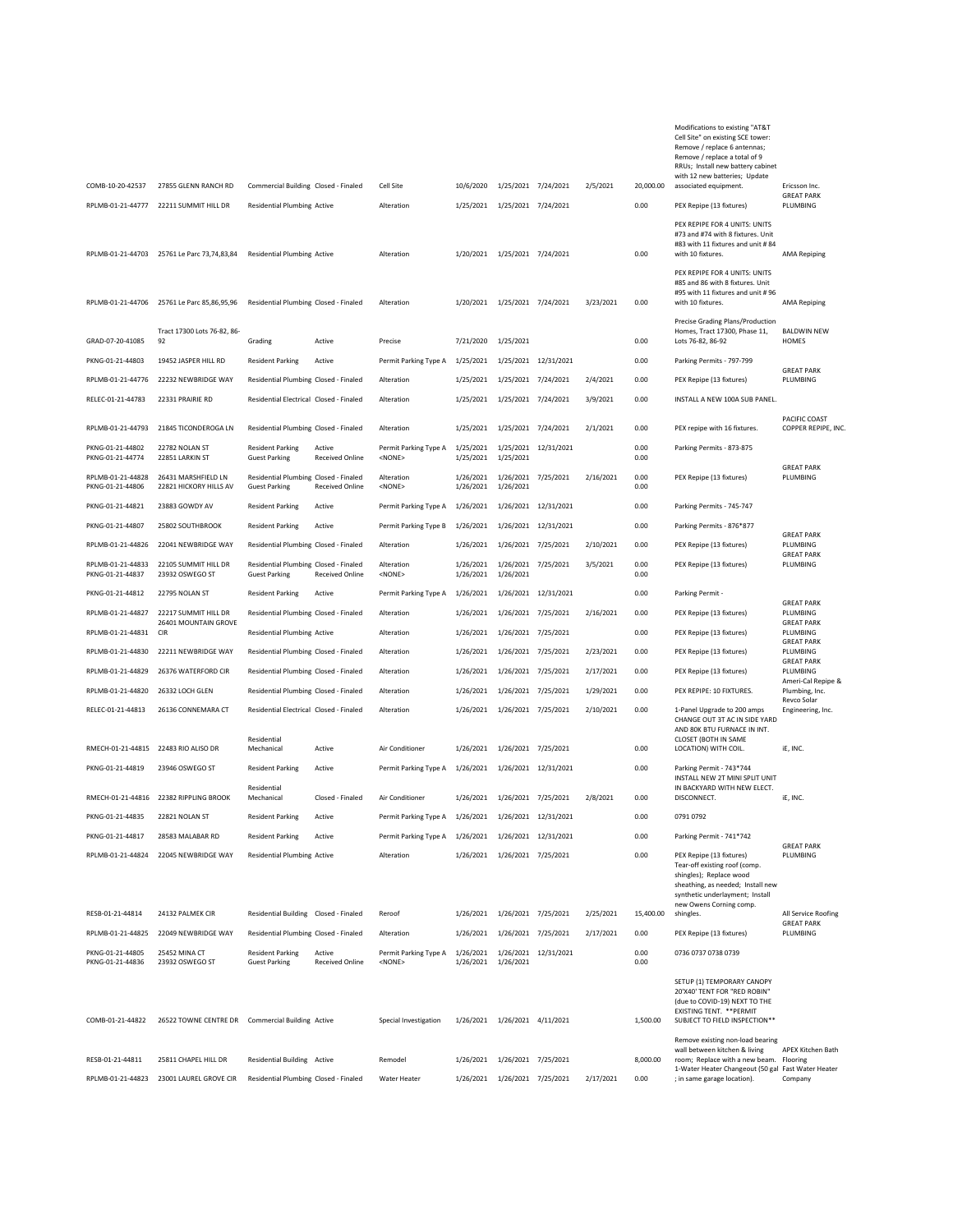|                                       |                                                  |                                                               |                                  |                                                      |                                |                                  |                                |           |              | Modifications to existing "AT&T<br>Cell Site" on existing SCE tower:<br>Remove / replace 6 antennas;<br>Remove / replace a total of 9<br>RRUs; Install new battery cabinet<br>with 12 new batteries; Update |                                      |
|---------------------------------------|--------------------------------------------------|---------------------------------------------------------------|----------------------------------|------------------------------------------------------|--------------------------------|----------------------------------|--------------------------------|-----------|--------------|-------------------------------------------------------------------------------------------------------------------------------------------------------------------------------------------------------------|--------------------------------------|
| COMB-10-20-42537                      | 27855 GLENN RANCH RD                             | Commercial Building Closed - Finaled                          |                                  | Cell Site                                            | 10/6/2020                      |                                  | 1/25/2021 7/24/2021            | 2/5/2021  | 20,000.00    | associated equipment.                                                                                                                                                                                       | Ericsson Inc.<br><b>GREAT PARK</b>   |
| RPLMB-01-21-44777                     | 22211 SUMMIT HILL DR                             | <b>Residential Plumbing Active</b>                            |                                  | Alteration                                           |                                | 1/25/2021 1/25/2021 7/24/2021    |                                |           | 0.00         | PEX Repipe (13 fixtures)                                                                                                                                                                                    | PLUMBING                             |
|                                       | RPLMB-01-21-44703 25761 Le Parc 73,74,83,84      | <b>Residential Plumbing Active</b>                            |                                  | Alteration                                           |                                | 1/20/2021 1/25/2021 7/24/2021    |                                |           | 0.00         | PEX REPIPE FOR 4 UNITS: UNITS<br>#73 and #74 with 8 fixtures. Unit<br>#83 with 11 fixtures and unit #84<br>with 10 fixtures.                                                                                | <b>AMA Repiping</b>                  |
| RPLMB-01-21-44706                     | 25761 Le Parc 85,86,95,96                        | Residential Plumbing Closed - Finaled                         |                                  | Alteration                                           |                                | 1/20/2021 1/25/2021 7/24/2021    |                                | 3/23/2021 | 0.00         | PEX REPIPE FOR 4 UNITS: UNITS<br>#85 and 86 with 8 fixtures. Unit<br>#95 with 11 fixtures and unit #96<br>with 10 fixtures.                                                                                 | <b>AMA Repiping</b>                  |
| GRAD-07-20-41085                      | Tract 17300 Lots 76-82, 86-<br>92                | Grading                                                       | Active                           | Precise                                              | 7/21/2020                      | 1/25/2021                        |                                |           | 0.00         | Precise Grading Plans/Production<br>Homes, Tract 17300, Phase 11,<br>Lots 76-82, 86-92                                                                                                                      | <b>BALDWIN NEW</b><br>HOMES          |
| PKNG-01-21-44803                      | 19452 JASPER HILL RD                             | <b>Resident Parking</b>                                       | Active                           | Permit Parking Type A                                |                                |                                  | 1/25/2021 1/25/2021 12/31/2021 |           | 0.00         | Parking Permits - 797-799                                                                                                                                                                                   |                                      |
| RPLMB-01-21-44776                     | 22232 NEWBRIDGE WAY                              | Residential Plumbing Closed - Finaled                         |                                  | Alteration                                           | 1/25/2021                      | 1/25/2021 7/24/2021              |                                | 2/4/2021  | 0.00         | PEX Repipe (13 fixtures)                                                                                                                                                                                    | <b>GREAT PARK</b><br>PLUMBING        |
| RELEC-01-21-44783                     | 22331 PRAIRIE RD                                 | Residential Electrical Closed - Finaled                       |                                  | Alteration                                           | 1/25/2021                      | 1/25/2021 7/24/2021              |                                | 3/9/2021  | 0.00         | INSTALL A NEW 100A SUB PANEL.                                                                                                                                                                               |                                      |
|                                       |                                                  |                                                               |                                  |                                                      |                                |                                  |                                |           |              |                                                                                                                                                                                                             | PACIFIC COAST                        |
| RPLMB-01-21-44793                     | 21845 TICONDEROGA LN                             | Residential Plumbing Closed - Finaled                         |                                  | Alteration                                           | 1/25/2021                      | 1/25/2021 7/24/2021              |                                | 2/1/2021  | 0.00         | PEX repipe with 16 fixtures.                                                                                                                                                                                | COPPER REPIPE, INC.                  |
| PKNG-01-21-44802<br>PKNG-01-21-44774  | 22782 NOLAN ST<br>22851 LARKIN ST                | <b>Resident Parking</b><br><b>Guest Parking</b>               | Active<br><b>Received Online</b> | Permit Parking Type A<br><none></none>               | 1/25/2021<br>1/25/2021         | 1/25/2021                        | 1/25/2021 12/31/2021           |           | 0.00<br>0.00 | Parking Permits - 873-875                                                                                                                                                                                   | <b>GREAT PARK</b>                    |
| RPLMB-01-21-44828<br>PKNG-01-21-44806 | 26431 MARSHFIELD LN<br>22821 HICKORY HILLS AV    | Residential Plumbing Closed - Finaled<br><b>Guest Parking</b> | <b>Received Online</b>           | Alteration<br><none></none>                          | 1/26/2021<br>1/26/2021         | 1/26/2021 7/25/2021<br>1/26/2021 |                                | 2/16/2021 | 0.00<br>0.00 | PEX Repipe (13 fixtures)                                                                                                                                                                                    | PLUMBING                             |
| PKNG-01-21-44821                      | 23883 GOWDY AV                                   | <b>Resident Parking</b>                                       | Active                           | Permit Parking Type A                                | 1/26/2021                      |                                  | 1/26/2021 12/31/2021           |           | 0.00         | Parking Permits - 745-747                                                                                                                                                                                   |                                      |
| PKNG-01-21-44807                      | 25802 SOUTHBROOK                                 | <b>Resident Parking</b>                                       | Active                           | Permit Parking Type B                                | 1/26/2021                      |                                  | 1/26/2021 12/31/2021           |           | 0.00         | Parking Permits - 876*877                                                                                                                                                                                   |                                      |
| RPLMB-01-21-44826                     | 22041 NEWBRIDGE WAY                              | Residential Plumbing Closed - Finaled                         |                                  | Alteration                                           | 1/26/2021                      | 1/26/2021 7/25/2021              |                                | 2/10/2021 | 0.00         | PEX Repipe (13 fixtures)                                                                                                                                                                                    | <b>GREAT PARK</b><br>PLUMBING        |
| RPLMB-01-21-44833<br>PKNG-01-21-44837 | 22105 SUMMIT HILL DR<br>23932 OSWEGO ST          | Residential Plumbing Closed - Finaled<br><b>Guest Parking</b> | <b>Received Online</b>           | Alteration<br><none></none>                          | 1/26/2021<br>1/26/2021         | 1/26/2021 7/25/2021<br>1/26/2021 |                                | 3/5/2021  | 0.00<br>0.00 | PEX Repipe (13 fixtures)                                                                                                                                                                                    | <b>GREAT PARK</b><br>PLUMBING        |
| PKNG-01-21-44812                      | 22795 NOLAN ST                                   | <b>Resident Parking</b>                                       | Active                           | Permit Parking Type A                                | 1/26/2021                      |                                  | 1/26/2021 12/31/2021           |           | 0.00         | Parking Permit -                                                                                                                                                                                            |                                      |
| RPLMB-01-21-44827                     | 22217 SUMMIT HILL DR                             | Residential Plumbing Closed - Finaled                         |                                  | Alteration                                           | 1/26/2021                      |                                  | 1/26/2021 7/25/2021            | 2/16/2021 | 0.00         | PEX Repipe (13 fixtures)                                                                                                                                                                                    | <b>GREAT PARK</b><br>PLUMBING        |
| RPLMB-01-21-44831                     | 26401 MOUNTAIN GROVE<br><b>CIR</b>               | <b>Residential Plumbing Active</b>                            |                                  | Alteration                                           | 1/26/2021                      | 1/26/2021 7/25/2021              |                                |           | 0.00         | PEX Repipe (13 fixtures)                                                                                                                                                                                    | <b>GREAT PARK</b><br>PLUMBING        |
| RPLMB-01-21-44830                     | 22211 NEWBRIDGE WAY                              | Residential Plumbing Closed - Finaled                         |                                  | Alteration                                           | 1/26/2021                      | 1/26/2021 7/25/2021              |                                | 2/23/2021 | 0.00         | PEX Repipe (13 fixtures)                                                                                                                                                                                    | <b>GREAT PARK</b><br>PLUMBING        |
| RPLMB-01-21-44829                     | 26376 WATERFORD CIR                              | Residential Plumbing Closed - Finaled                         |                                  | Alteration                                           | 1/26/2021                      | 1/26/2021 7/25/2021              |                                | 2/17/2021 | 0.00         | PEX Repipe (13 fixtures)                                                                                                                                                                                    | <b>GREAT PARK</b><br>PLUMBING        |
| RPLMB-01-21-44820                     | 26332 LOCH GLEN                                  | Residential Plumbing Closed - Finaled                         |                                  | Alteration                                           | 1/26/2021                      | 1/26/2021 7/25/2021              |                                | 1/29/2021 | 0.00         | PEX REPIPE: 10 FIXTURES.                                                                                                                                                                                    | Ameri-Cal Repipe &<br>Plumbing, Inc. |
| RELEC-01-21-44813                     | 26136 CONNEMARA CT                               | Residential Electrical Closed - Finaled                       |                                  | Alteration                                           | 1/26/2021                      | 1/26/2021 7/25/2021              |                                | 2/10/2021 | 0.00         | 1-Panel Upgrade to 200 amps                                                                                                                                                                                 | Revco Solar<br>Engineering, Inc.     |
|                                       |                                                  | Residential                                                   |                                  |                                                      |                                |                                  |                                |           |              | CHANGE OUT 3T AC IN SIDE YARD<br>AND 80K BTU FURNACE IN INT.<br>CLOSET (BOTH IN SAME                                                                                                                        |                                      |
| RMECH-01-21-44815 22483 RIO ALISO DR  |                                                  | Mechanical                                                    | Active                           | Air Conditioner                                      |                                | 1/26/2021 1/26/2021 7/25/2021    |                                |           | 0.00         | LOCATION) WITH COIL.                                                                                                                                                                                        | iE, INC.                             |
| PKNG-01-21-44819                      | 23946 OSWEGO ST                                  | <b>Resident Parking</b><br>Residential                        | Active                           | Permit Parking Type A                                | 1/26/2021 1/26/2021 12/31/2021 |                                  |                                |           | 0.00         | Parking Permit - 743*744<br>INSTALL NEW 2T MINI SPLIT UNIT<br>IN BACKYARD WITH NEW ELECT.                                                                                                                   |                                      |
|                                       | RMECH-01-21-44816 22382 RIPPLING BROOK           | Mechanical                                                    | Closed - Finaled                 | Air Conditioner                                      |                                | 1/26/2021 1/26/2021 7/25/2021    |                                | 2/8/2021  | 0.00         | DISCONNECT.                                                                                                                                                                                                 | iE, INC.                             |
| PKNG-01-21-44835                      | 22821 NOLAN ST                                   | <b>Resident Parking</b>                                       | Active                           | Permit Parking Type A                                | 1/26/2021                      |                                  | 1/26/2021 12/31/2021           |           | 0.00         | 0791 0792                                                                                                                                                                                                   |                                      |
| PKNG-01-21-44817                      | 28583 MALABAR RD                                 | <b>Resident Parking</b>                                       | Active                           | Permit Parking Type A 1/26/2021 1/26/2021 12/31/2021 |                                |                                  |                                |           | 0.00         | Parking Permit - 741*742                                                                                                                                                                                    | <b>GREAT PARK</b>                    |
| RPLMB-01-21-44824                     | 22045 NEWBRIDGE WAY                              | <b>Residential Plumbing Active</b>                            |                                  | Alteration                                           |                                | 1/26/2021 1/26/2021 7/25/2021    |                                |           | 0.00         | PEX Repipe (13 fixtures)<br>Tear-off existing roof (comp.<br>shingles); Replace wood<br>sheathing, as needed; Install new<br>synthetic underlayment; Install<br>new Owens Corning comp.                     | PLUMBING                             |
| RESB-01-21-44814                      | 24132 PALMEK CIR                                 | Residential Building Closed - Finaled                         |                                  | Reroof                                               | 1/26/2021                      | 1/26/2021 7/25/2021              |                                | 2/25/2021 | 15,400.00    | shingles.                                                                                                                                                                                                   | All Service Roofing                  |
| RPLMB-01-21-44825                     | 22049 NEWBRIDGE WAY                              | Residential Plumbing Closed - Finaled                         |                                  | Alteration                                           |                                | 1/26/2021 1/26/2021 7/25/2021    |                                | 2/17/2021 | 0.00         | PEX Repipe (13 fixtures)                                                                                                                                                                                    | <b>GREAT PARK</b><br>PLUMBING        |
| PKNG-01-21-44805<br>PKNG-01-21-44836  | 25452 MINA CT<br>23932 OSWEGO ST                 | <b>Resident Parking</b><br><b>Guest Parking</b>               | Active<br><b>Received Online</b> | Permit Parking Type A<br><none></none>               |                                | 1/26/2021 1/26/2021              | 1/26/2021 1/26/2021 12/31/2021 |           | 0.00<br>0.00 | 0736 0737 0738 0739                                                                                                                                                                                         |                                      |
| COMB-01-21-44822                      | 26522 TOWNE CENTRE DR Commercial Building Active |                                                               |                                  | Special Investigation                                |                                | 1/26/2021 1/26/2021 4/11/2021    |                                |           | 1,500.00     | SETUP (1) TEMPORARY CANOPY<br>20'X40' TENT FOR "RED ROBIN"<br>(due to COVID-19) NEXT TO THE<br>EXISTING TENT. ** PERMIT<br>SUBJECT TO FIELD INSPECTION**                                                    |                                      |
|                                       |                                                  |                                                               |                                  |                                                      |                                |                                  |                                |           |              | Remove existing non-load bearing<br>wall between kitchen & living                                                                                                                                           | APEX Kitchen Bath                    |
| RESB-01-21-44811                      | 25811 CHAPEL HILL DR                             | Residential Building Active                                   |                                  | Remodel                                              | 1/26/2021                      | 1/26/2021 7/25/2021              |                                |           | 8,000.00     | room; Replace with a new beam.<br>1-Water Heater Changeout (50 gal Fast Water Heater                                                                                                                        | Flooring                             |
| RPLMB-01-21-44823                     | 23001 LAUREL GROVE CIR                           | Residential Plumbing Closed - Finaled                         |                                  | Water Heater                                         |                                | 1/26/2021 1/26/2021 7/25/2021    |                                | 2/17/2021 | 0.00         | ; in same garage location).                                                                                                                                                                                 | Company                              |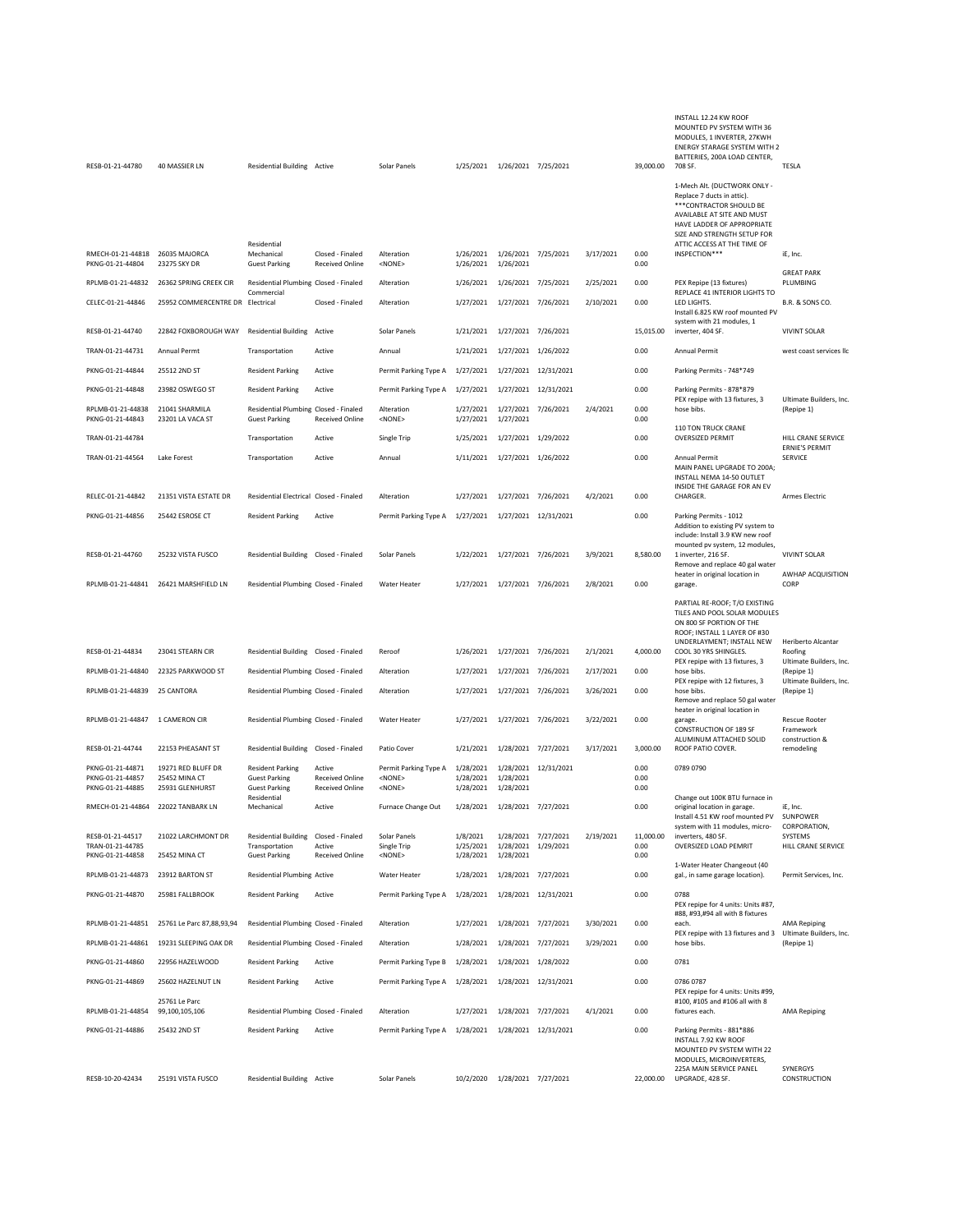|                                                          |                                                        | Residential Building Active                                             |                                                            | Solar Panels                                             |                                     |                                                         |                      |           | 39,000.00                 | INSTALL 12.24 KW ROOF<br>MOUNTED PV SYSTEM WITH 36<br>MODULES, 1 INVERTER, 27KWH<br>ENERGY STARAGE SYSTEM WITH 2<br>BATTERIES, 200A LOAD CENTER,                                             |                                                     |
|----------------------------------------------------------|--------------------------------------------------------|-------------------------------------------------------------------------|------------------------------------------------------------|----------------------------------------------------------|-------------------------------------|---------------------------------------------------------|----------------------|-----------|---------------------------|----------------------------------------------------------------------------------------------------------------------------------------------------------------------------------------------|-----------------------------------------------------|
| RESB-01-21-44780                                         | 40 MASSIER LN                                          |                                                                         |                                                            |                                                          |                                     | 1/25/2021 1/26/2021 7/25/2021                           |                      |           |                           | 708 SF.<br>1-Mech Alt. (DUCTWORK ONLY -<br>Replace 7 ducts in attic).<br>*** CONTRACTOR SHOULD BE<br>AVAILABLE AT SITE AND MUST<br>HAVE LADDER OF APPROPRIATE<br>SIZE AND STRENGTH SETUP FOR | TESLA                                               |
| RMECH-01-21-44818 26035 MAJORCA<br>PKNG-01-21-44804      | 23275 SKY DR                                           | Residential<br>Mechanical<br><b>Guest Parking</b>                       | Closed - Finaled<br><b>Received Online</b>                 | Alteration<br><none></none>                              | 1/26/2021                           | 1/26/2021 1/26/2021 7/25/2021<br>1/26/2021              |                      | 3/17/2021 | 0.00<br>0.00              | ATTIC ACCESS AT THE TIME OF<br>INSPECTION***                                                                                                                                                 | iE, Inc.                                            |
| RPLMB-01-21-44832                                        | 26362 SPRING CREEK CIR                                 | Residential Plumbing Closed - Finaled                                   |                                                            | Alteration                                               | 1/26/2021                           | 1/26/2021 7/25/2021                                     |                      | 2/25/2021 | 0.00                      | PEX Repipe (13 fixtures)                                                                                                                                                                     | <b>GREAT PARK</b><br>PLUMBING                       |
| CELEC-01-21-44846                                        | 25952 COMMERCENTRE DR Electrical                       | Commercial                                                              | Closed - Finaled                                           | Alteration                                               | 1/27/2021                           | 1/27/2021 7/26/2021                                     |                      | 2/10/2021 | 0.00                      | REPLACE 41 INTERIOR LIGHTS TO<br><b>IFD LIGHTS.</b><br>Install 6.825 KW roof mounted PV<br>system with 21 modules, 1                                                                         | <b>B.R. &amp; SONS CO.</b>                          |
| RESB-01-21-44740                                         | 22842 FOXBOROUGH WAY Residential Building              |                                                                         | Active                                                     | Solar Panels                                             | 1/21/2021                           | 1/27/2021 7/26/2021                                     |                      |           | 15,015.00                 | inverter, 404 SF.                                                                                                                                                                            | <b>VIVINT SOLAR</b>                                 |
| TRAN-01-21-44731                                         | <b>Annual Permt</b>                                    | Transportation                                                          | Active                                                     | Annual                                                   |                                     | 1/21/2021 1/27/2021 1/26/2022                           |                      |           | 0.00                      | <b>Annual Permit</b>                                                                                                                                                                         | west coast services llo                             |
| PKNG-01-21-44844                                         | 25512 2ND ST                                           | <b>Resident Parking</b>                                                 | Active                                                     | Permit Parking Type A                                    | 1/27/2021 1/27/2021 12/31/2021      |                                                         |                      |           | 0.00                      | Parking Permits - 748*749                                                                                                                                                                    |                                                     |
| PKNG-01-21-44848                                         | 23982 OSWEGO ST                                        | <b>Resident Parking</b>                                                 | Active                                                     | Permit Parking Type A                                    | 1/27/2021                           |                                                         | 1/27/2021 12/31/2021 |           | 0.00                      | Parking Permits - 878*879                                                                                                                                                                    |                                                     |
| RPLMB-01-21-44838<br>PKNG-01-21-44843                    | 21041 SHARMILA<br>23201 LA VACA ST                     | Residential Plumbing Closed - Finaled<br><b>Guest Parking</b>           | <b>Received Online</b>                                     | Alteration<br>$<$ NONE $>$                               | 1/27/2021<br>1/27/2021              | 1/27/2021 7/26/2021<br>1/27/2021                        |                      | 2/4/2021  | 0.00<br>0.00              | PEX repipe with 13 fixtures, 3<br>hose bibs.<br>110 TON TRUCK CRANE                                                                                                                          | Ultimate Builders, Inc.<br>(Repipe 1)               |
| TRAN-01-21-44784                                         |                                                        | Transportation                                                          | Active                                                     | Single Trip                                              | 1/25/2021                           | 1/27/2021 1/29/2022                                     |                      |           | 0.00                      | <b>OVERSIZED PERMIT</b>                                                                                                                                                                      | HILL CRANE SERVICE<br><b>ERNIE'S PERMIT</b>         |
| TRAN-01-21-44564                                         | Lake Forest                                            | Transportation                                                          | Active                                                     | Annual                                                   |                                     | 1/11/2021 1/27/2021 1/26/2022                           |                      |           | 0.00                      | Annual Permit<br>MAIN PANEL UPGRADE TO 200A;<br>INSTALL NEMA 14-50 OUTLET                                                                                                                    | SERVICE                                             |
| RELEC-01-21-44842                                        | 21351 VISTA ESTATE DR                                  | Residential Electrical Closed - Finaled                                 |                                                            | Alteration                                               | 1/27/2021                           | 1/27/2021 7/26/2021                                     |                      | 4/2/2021  | 0.00                      | INSIDE THE GARAGE FOR AN EV<br>CHARGER.                                                                                                                                                      | Armes Electric                                      |
| PKNG-01-21-44856                                         | 25442 ESROSE CT                                        | <b>Resident Parking</b>                                                 | Active                                                     | Permit Parking Type A 1/27/2021 1/27/2021 12/31/2021     |                                     |                                                         |                      |           | 0.00                      | Parking Permits - 1012<br>Addition to existing PV system to                                                                                                                                  |                                                     |
| RESB-01-21-44760                                         | 25232 VISTA FUSCO                                      | Residential Building Closed - Finaled                                   |                                                            | Solar Panels                                             |                                     | 1/22/2021 1/27/2021 7/26/2021                           |                      | 3/9/2021  | 8,580.00                  | include: Install 3.9 KW new roof<br>mounted pv system, 12 modules,<br>1 inverter, 216 SF.<br>Remove and replace 40 gal water                                                                 | <b>VIVINT SOLAR</b>                                 |
| RPLMB-01-21-44841                                        | 26421 MARSHFIELD LN                                    | Residential Plumbing Closed - Finaled                                   |                                                            | Water Heater                                             |                                     | 1/27/2021 1/27/2021 7/26/2021                           |                      | 2/8/2021  | 0.00                      | heater in original location in<br>garage.                                                                                                                                                    | AWHAP ACQUISITION<br>CORP                           |
|                                                          |                                                        |                                                                         |                                                            |                                                          |                                     |                                                         |                      |           |                           | PARTIAL RE-ROOF; T/O EXISTING<br>TILES AND POOL SOLAR MODULES<br>ON 800 SF PORTION OF THE<br>ROOF; INSTALL 1 LAYER OF #30<br>UNDERLAYMENT; INSTALL NEW                                       | Heriberto Alcantar                                  |
| RESB-01-21-44834                                         | 23041 STEARN CIR                                       | Residential Building Closed - Finaled                                   |                                                            | Reroof                                                   | 1/26/2021                           | 1/27/2021 7/26/2021                                     |                      | 2/1/2021  | 4,000.00                  | COOL 30 YRS SHINGLES.<br>PEX repipe with 13 fixtures, 3                                                                                                                                      | Roofing<br>Ultimate Builders, Inc.                  |
| RPLMB-01-21-44840                                        | 22325 PARKWOOD ST                                      | Residential Plumbing Closed - Finaled                                   |                                                            | Alteration                                               | 1/27/2021                           | 1/27/2021 7/26/2021                                     |                      | 2/17/2021 | 0.00                      | hose bibs.<br>PEX repipe with 12 fixtures, 3                                                                                                                                                 | (Repipe 1)<br>Ultimate Builders, Inc.               |
| RPLMB-01-21-44839                                        | 25 CANTORA                                             | Residential Plumbing Closed - Finaled                                   |                                                            | Alteration                                               | 1/27/2021                           | 1/27/2021                                               | 7/26/2021            | 3/26/2021 | 0.00                      | hose bibs.<br>Remove and replace 50 gal water<br>heater in original location in                                                                                                              | (Repipe 1)                                          |
| RPLMB-01-21-44847                                        | 1 CAMERON CIR                                          | Residential Plumbing Closed - Finaled                                   |                                                            | <b>Water Heater</b>                                      |                                     | 1/27/2021 1/27/2021 7/26/2021                           |                      | 3/22/2021 | 0.00                      | garage.<br>CONSTRUCTION OF 189 SF<br>ALUMINUM ATTACHED SOLID                                                                                                                                 | <b>Rescue Rooter</b><br>Framework<br>construction & |
| RESB-01-21-44744                                         | 22153 PHEASANT ST                                      | Residential Building Closed - Finaled                                   |                                                            | Patio Cover                                              | 1/21/2021                           | 1/28/2021 7/27/2021                                     |                      | 3/17/2021 | 3,000.00                  | ROOF PATIO COVER.                                                                                                                                                                            | remodeling                                          |
| PKNG-01-21-44871<br>PKNG-01-21-44857<br>PKNG-01-21-44885 | 19271 RED BLUFF DR<br>25452 MINA CT<br>25931 GLENHURST | <b>Resident Parking</b><br><b>Guest Parking</b><br><b>Guest Parking</b> | Active<br><b>Received Online</b><br><b>Received Online</b> | Permit Parking Type A<br><none><br/><none></none></none> | 1/28/2021<br>1/28/2021<br>1/28/2021 | 1/28/2021<br>1/28/2021                                  | 1/28/2021 12/31/2021 |           | 0.00<br>0.00<br>0.00      | 0789 0790                                                                                                                                                                                    |                                                     |
| RMECH-01-21-44864 22022 TANBARK LN                       |                                                        | Residential<br>Mechanical                                               | Active                                                     | Furnace Change Out                                       |                                     | 1/28/2021 1/28/2021 7/27/2021                           |                      |           | 0.00                      | Change out 100K BTU furnace in<br>original location in garage.<br>Install 4.51 KW roof mounted PV                                                                                            | iE, Inc.<br>SUNPOWER                                |
| RESB-01-21-44517<br>TRAN-01-21-44785<br>PKNG-01-21-44858 | 21022 LARCHMONT DR<br>25452 MINA CT                    | <b>Residential Building</b><br>Transportation<br><b>Guest Parking</b>   | Closed - Finaled<br>Active<br>Received Online              | Solar Panels<br>Single Trip<br><none></none>             | 1/8/2021<br>1/25/2021<br>1/28/2021  | 1/28/2021 7/27/2021<br>1/28/2021 1/29/2021<br>1/28/2021 |                      | 2/19/2021 | 11,000.00<br>0.00<br>0.00 | system with 11 modules, micro-<br>inverters, 480 SF.<br>OVERSIZED LOAD PEMRIT                                                                                                                | CORPORATION,<br>SYSTEMS<br>HILL CRANE SERVICE       |
| RPLMB-01-21-44873                                        | 23912 BARTON ST                                        | <b>Residential Plumbing Active</b>                                      |                                                            | Water Heater                                             | 1/28/2021                           | 1/28/2021 7/27/2021                                     |                      |           | 0.00                      | 1-Water Heater Changeout (40<br>gal., in same garage location).                                                                                                                              | Permit Services, Inc.                               |
| PKNG-01-21-44870                                         | 25981 FALLBROOK                                        | <b>Resident Parking</b>                                                 | Active                                                     | Permit Parking Type A                                    | 1/28/2021                           |                                                         | 1/28/2021 12/31/2021 |           | 0.00                      | 0788<br>PEX repipe for 4 units: Units #87,                                                                                                                                                   |                                                     |
| RPLMB-01-21-44851                                        | 25761 Le Parc 87,88,93,94                              | Residential Plumbing Closed - Finaled                                   |                                                            | Alteration                                               | 1/27/2021                           | 1/28/2021 7/27/2021                                     |                      | 3/30/2021 | 0.00                      | #88, #93,#94 all with 8 fixtures<br>each.                                                                                                                                                    | <b>AMA Repiping</b>                                 |
| RPLMB-01-21-44861                                        | 19231 SLEEPING OAK DR                                  | Residential Plumbing Closed - Finaled                                   |                                                            | Alteration                                               | 1/28/2021                           | 1/28/2021 7/27/2021                                     |                      | 3/29/2021 | 0.00                      | PEX repipe with 13 fixtures and 3<br>hose bibs.                                                                                                                                              | Ultimate Builders, Inc.<br>(Repipe 1)               |
| PKNG-01-21-44860                                         | 22956 HAZELWOOD                                        | <b>Resident Parking</b>                                                 | Active                                                     | Permit Parking Type B                                    | 1/28/2021                           | 1/28/2021 1/28/2022                                     |                      |           | 0.00                      | 0781                                                                                                                                                                                         |                                                     |
| PKNG-01-21-44869                                         | 25602 HAZELNUT LN                                      | <b>Resident Parking</b>                                                 | Active                                                     | Permit Parking Type A                                    | 1/28/2021                           |                                                         | 1/28/2021 12/31/2021 |           | 0.00                      | 0786 0787                                                                                                                                                                                    |                                                     |
| RPLMB-01-21-44854                                        | 25761 Le Parc<br>99,100,105,106                        | Residential Plumbing Closed - Finaled                                   |                                                            | Alteration                                               | 1/27/2021                           | 1/28/2021 7/27/2021                                     |                      | 4/1/2021  | 0.00                      | PEX repipe for 4 units: Units #99,<br>#100, #105 and #106 all with 8<br>fixtures each.                                                                                                       | <b>AMA Repiping</b>                                 |
| PKNG-01-21-44886                                         | 25432 2ND ST                                           | <b>Resident Parking</b>                                                 | Active                                                     | Permit Parking Type A 1/28/2021 1/28/2021 12/31/2021     |                                     |                                                         |                      |           | 0.00                      | Parking Permits - 881*886<br>INSTALL 7.92 KW ROOF<br>MOUNTED PV SYSTEM WITH 22<br>MODULES, MICROINVERTERS,                                                                                   |                                                     |
| RESB-10-20-42434                                         | 25191 VISTA FUSCO                                      | <b>Residential Building Active</b>                                      |                                                            | Solar Panels                                             | 10/2/2020                           | 1/28/2021 7/27/2021                                     |                      |           | 22,000.00                 | 225A MAIN SERVICE PANEL<br>UPGRADE, 428 SF.                                                                                                                                                  | SYNERGYS<br>CONSTRUCTION                            |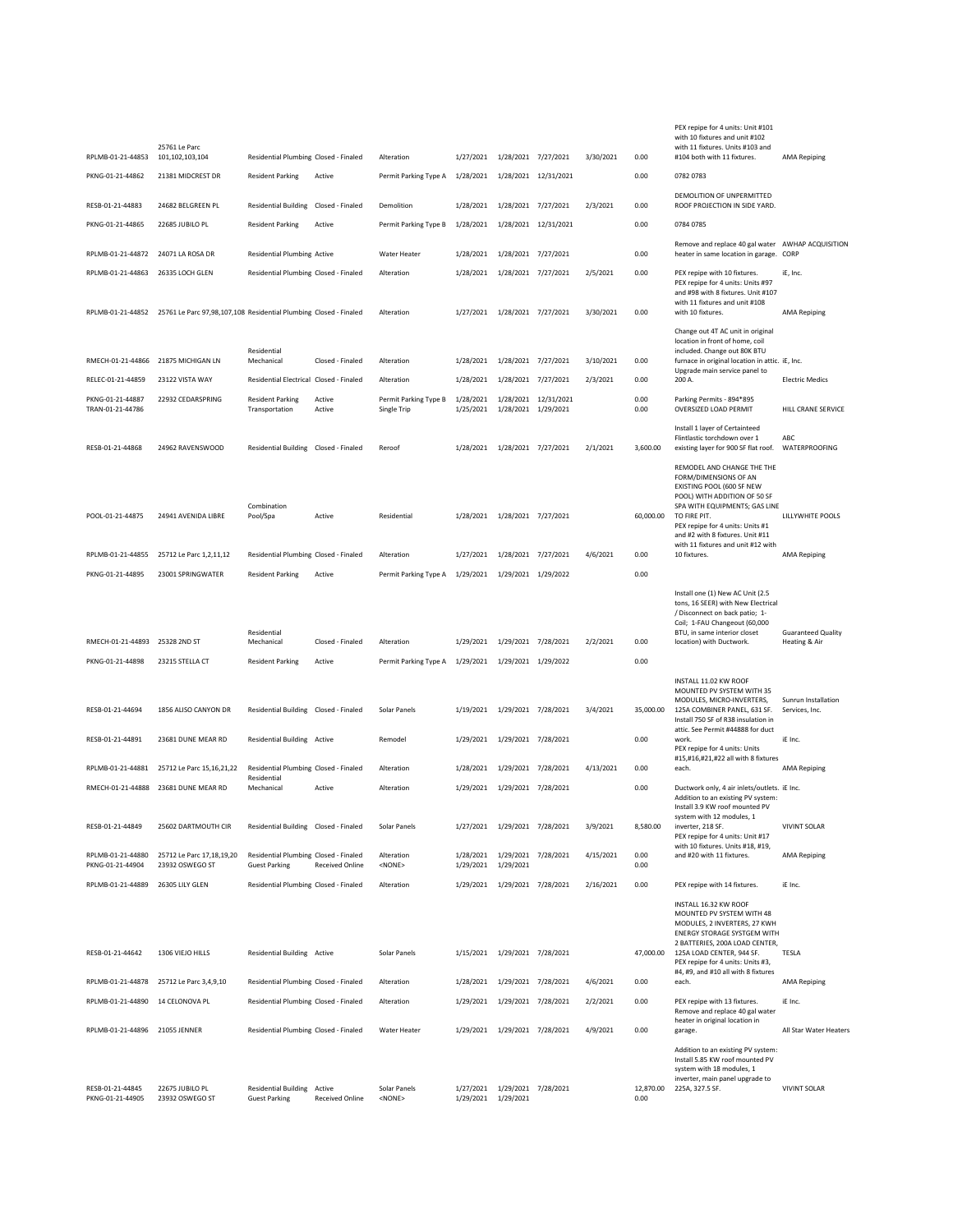| RPLMB-01-21-44853                     | 25761 Le Parc<br>101, 102, 103, 104                               | Residential Plumbing Closed - Finaled                         |                                  | Alteration                                          | 1/27/2021                                  | 1/28/2021 7/27/2021                         |                      | 3/30/2021 | 0.00              | PEX repipe for 4 units: Unit #101<br>with 10 fixtures and unit #102<br>with 11 fixtures. Units #103 and<br>#104 both with 11 fixtures. | <b>AMA Repiping</b>                        |
|---------------------------------------|-------------------------------------------------------------------|---------------------------------------------------------------|----------------------------------|-----------------------------------------------------|--------------------------------------------|---------------------------------------------|----------------------|-----------|-------------------|----------------------------------------------------------------------------------------------------------------------------------------|--------------------------------------------|
| PKNG-01-21-44862                      | 21381 MIDCREST DR                                                 | <b>Resident Parking</b>                                       | Active                           | Permit Parking Type A                               | 1/28/2021                                  | 1/28/2021 12/31/2021                        |                      |           | 0.00              | 0782 0783                                                                                                                              |                                            |
| RESB-01-21-44883                      | 24682 BELGREEN PL                                                 | Residential Building Closed - Finaled                         |                                  | Demolition                                          | 1/28/2021                                  | 1/28/2021 7/27/2021                         |                      | 2/3/2021  | 0.00              | DEMOLITION OF UNPERMITTED<br>ROOF PROJECTION IN SIDE YARD.                                                                             |                                            |
| PKNG-01-21-44865                      | 22685 JUBILO PL                                                   | <b>Resident Parking</b>                                       | Active                           | Permit Parking Type B                               | 1/28/2021                                  |                                             | 1/28/2021 12/31/2021 |           | 0.00              | 0784 0785                                                                                                                              |                                            |
| RPLMB-01-21-44872                     | 24071 LA ROSA DR                                                  | <b>Residential Plumbing Active</b>                            |                                  | Water Heater                                        | 1/28/2021                                  | 1/28/2021 7/27/2021                         |                      |           | 0.00              | Remove and replace 40 gal water AWHAP ACQUISITION<br>heater in same location in garage. CORP                                           |                                            |
| RPLMB-01-21-44863                     | 26335 LOCH GLEN                                                   | Residential Plumbing Closed - Finaled                         |                                  | Alteration                                          | 1/28/2021                                  | 1/28/2021 7/27/2021                         |                      | 2/5/2021  | 0.00              | PEX repipe with 10 fixtures.                                                                                                           | iE, Inc.                                   |
|                                       |                                                                   |                                                               |                                  |                                                     |                                            |                                             |                      |           |                   | PEX repipe for 4 units: Units #97<br>and #98 with 8 fixtures. Unit #107<br>with 11 fixtures and unit #108                              |                                            |
| RPLMB-01-21-44852                     | 25761 Le Parc 97,98,107,108 Residential Plumbing Closed - Finaled |                                                               |                                  | Alteration                                          | 1/27/2021                                  | 1/28/2021 7/27/2021                         |                      | 3/30/2021 | 0.00              | with 10 fixtures.                                                                                                                      | <b>AMA Repiping</b>                        |
|                                       |                                                                   | Residential                                                   |                                  |                                                     |                                            |                                             |                      |           |                   | Change out 4T AC unit in original<br>location in front of home, coil<br>included. Change out 80K BTU                                   |                                            |
| RMECH-01-21-44866                     | 21875 MICHIGAN LN                                                 | Mechanical                                                    | Closed - Finaled                 | Alteration                                          | 1/28/2021                                  | 1/28/2021 7/27/2021                         |                      | 3/10/2021 | 0.00              | furnace in original location in attic. iE, Inc.<br>Upgrade main service panel to                                                       |                                            |
| RELEC-01-21-44859                     | 23122 VISTA WAY                                                   | Residential Electrical Closed - Finaled                       |                                  | Alteration                                          | 1/28/2021                                  | 1/28/2021 7/27/2021                         |                      | 2/3/2021  | 0.00              | 200 A.                                                                                                                                 | <b>Electric Medics</b>                     |
| PKNG-01-21-44887<br>TRAN-01-21-44786  | 22932 CEDARSPRING                                                 | <b>Resident Parking</b><br>Transportation                     | Active<br>Active                 | Permit Parking Type B<br>Single Trip                | 1/28/2021<br>1/25/2021                     | 1/28/2021 12/31/2021<br>1/28/2021 1/29/2021 |                      |           | 0.00<br>0.00      | Parking Permits - 894*895<br>OVERSIZED LOAD PERMIT                                                                                     | HILL CRANE SERVICE                         |
|                                       |                                                                   |                                                               |                                  |                                                     |                                            |                                             |                      |           |                   | Install 1 layer of Certainteed<br>Flintlastic torchdown over 1                                                                         | ABC                                        |
| RESB-01-21-44868                      | 24962 RAVENSWOOD                                                  | Residential Building Closed - Finaled                         |                                  | Reroof                                              | 1/28/2021 1/28/2021 7/27/2021              |                                             |                      | 2/1/2021  | 3,600.00          | existing layer for 900 SF flat roof.                                                                                                   | WATERPROOFING                              |
|                                       |                                                                   |                                                               |                                  |                                                     |                                            |                                             |                      |           |                   | REMODEL AND CHANGE THE THE<br>FORM/DIMENSIONS OF AN<br>EXISTING POOL (600 SF NEW                                                       |                                            |
|                                       |                                                                   | Combination                                                   |                                  |                                                     |                                            |                                             |                      |           |                   | POOL) WITH ADDITION OF 50 SF<br>SPA WITH EQUIPMENTS; GAS LINE                                                                          |                                            |
| POOL-01-21-44875                      | 24941 AVENIDA LIBRE                                               | Pool/Spa                                                      | Active                           | Residential                                         | 1/28/2021 1/28/2021 7/27/2021              |                                             |                      |           | 60,000.00         | TO FIRE PIT.<br>PEX repipe for 4 units: Units #1                                                                                       | LILLYWHITE POOLS                           |
| RPLMB-01-21-44855                     | 25712 Le Parc 1.2.11.12                                           | Residential Plumbing Closed - Finaled                         |                                  | Alteration                                          | 1/27/2021                                  | 1/28/2021 7/27/2021                         |                      | 4/6/2021  | 0.00              | and #2 with 8 fixtures. Unit #11<br>with 11 fixtures and unit #12 with<br>10 fixtures.                                                 | <b>AMA Repiping</b>                        |
| PKNG-01-21-44895                      | 23001 SPRINGWATER                                                 | <b>Resident Parking</b>                                       | Active                           | Permit Parking Type A 1/29/2021                     |                                            | 1/29/2021 1/29/2022                         |                      |           | 0.00              |                                                                                                                                        |                                            |
|                                       |                                                                   |                                                               |                                  |                                                     |                                            |                                             |                      |           |                   | Install one (1) New AC Unit (2.5                                                                                                       |                                            |
|                                       |                                                                   |                                                               |                                  |                                                     |                                            |                                             |                      |           |                   | tons, 16 SEER) with New Electrical<br>/ Disconnect on back patio; 1-<br>Coil; 1-FAU Changeout (60,000                                  |                                            |
| RMECH-01-21-44893                     | 25328 2ND ST                                                      | Residential<br>Mechanical                                     | Closed - Finaled                 | Alteration                                          | 1/29/2021                                  | 1/29/2021 7/28/2021                         |                      | 2/2/2021  | 0.00              | BTU, in same interior closet<br>location) with Ductwork.                                                                               | <b>Guaranteed Quality</b><br>Heating & Air |
| PKNG-01-21-44898                      | 23215 STELLA CT                                                   | <b>Resident Parking</b>                                       | Active                           | Permit Parking Type A 1/29/2021 1/29/2021 1/29/2022 |                                            |                                             |                      |           | 0.00              |                                                                                                                                        |                                            |
|                                       |                                                                   |                                                               |                                  |                                                     |                                            |                                             |                      |           |                   | INSTALL 11.02 KW ROOF<br>MOUNTED PV SYSTEM WITH 35                                                                                     |                                            |
| RESB-01-21-44694                      | 1856 ALISO CANYON DR                                              | Residential Building Closed - Finaled                         |                                  | Solar Panels                                        | 1/19/2021                                  | 1/29/2021 7/28/2021                         |                      | 3/4/2021  | 35,000.00         | MODULES, MICRO-INVERTERS,<br>125A COMBINER PANEL, 631 SF.                                                                              | Sunrun Installation<br>Services, Inc.      |
|                                       |                                                                   |                                                               |                                  |                                                     |                                            |                                             |                      |           |                   | Install 750 SF of R38 insulation in<br>attic. See Permit #44888 for duct                                                               |                                            |
| RESB-01-21-44891                      | 23681 DUNE MEAR RD                                                | Residential Building Active                                   |                                  | Remodel                                             | 1/29/2021 1/29/2021 7/28/2021              |                                             |                      |           | 0.00              | work.<br>PEX repipe for 4 units: Units<br>#15,#16,#21,#22 all with 8 fixtures                                                          | iE Inc.                                    |
| RPLMB-01-21-44881                     | 25712 Le Parc 15,16,21,22                                         | Residential Plumbing Closed - Finaled<br>Residential          |                                  | Alteration                                          | 1/28/2021                                  | 1/29/2021 7/28/2021                         |                      | 4/13/2021 | 0.00              | each.                                                                                                                                  | <b>AMA Repiping</b>                        |
| RMECH-01-21-44888                     | 23681 DUNE MEAR RD                                                | Mechanical                                                    | Active                           | Alteration                                          | 1/29/2021                                  | 1/29/2021 7/28/2021                         |                      |           | 0.00              | Ductwork only, 4 air inlets/outlets. iE Inc.<br>Addition to an existing PV system:<br>Install 3.9 KW roof mounted PV                   |                                            |
| RESB-01-21-44849                      | 25602 DARTMOUTH CIR                                               | Residential Building Closed - Finaled                         |                                  | Solar Panels                                        | 1/27/2021                                  | 1/29/2021 7/28/2021                         |                      | 3/9/2021  | 8,580.00          | system with 12 modules, 1<br>inverter, 218 SF.                                                                                         | <b>VIVINT SOLAR</b>                        |
|                                       |                                                                   |                                                               |                                  |                                                     |                                            |                                             |                      |           |                   | PEX repipe for 4 units: Unit #17<br>with 10 fixtures. Units #18, #19,                                                                  |                                            |
| RPLMB-01-21-44880<br>PKNG-01-21-44904 | 25712 Le Parc 17,18,19,20<br>23932 OSWEGO ST                      | Residential Plumbing Closed - Finaled<br><b>Guest Parking</b> | Received Online                  | Alteration<br>$<$ NONE $>$                          | 1/28/2021<br>1/29/2021                     | 1/29/2021 7/28/2021<br>1/29/2021            |                      | 4/15/2021 | 0.00<br>0.00      | and #20 with 11 fixtures.                                                                                                              | <b>AMA Repiping</b>                        |
| RPLMB-01-21-44889                     | 26305 LILY GLEN                                                   | Residential Plumbing Closed - Finaled                         |                                  | Alteration                                          | 1/29/2021 1/29/2021 7/28/2021              |                                             |                      | 2/16/2021 | 0.00              | PEX repipe with 14 fixtures.                                                                                                           | iE Inc.                                    |
|                                       |                                                                   |                                                               |                                  |                                                     |                                            |                                             |                      |           |                   | INSTALL 16.32 KW ROOF<br>MOUNTED PV SYSTEM WITH 48                                                                                     |                                            |
|                                       |                                                                   |                                                               |                                  |                                                     |                                            |                                             |                      |           |                   | MODULES, 2 INVERTERS, 27 KWH<br><b>ENERGY STORAGE SYSTGEM WITH</b><br>2 BATTERIES, 200A LOAD CENTER,                                   |                                            |
| RESB-01-21-44642                      | 1306 VIEJO HILLS                                                  | Residential Building Active                                   |                                  | Solar Panels                                        | 1/15/2021 1/29/2021 7/28/2021              |                                             |                      |           | 47,000.00         | 125A LOAD CENTER, 944 SF.<br>PEX repipe for 4 units: Units #3,                                                                         | TESLA                                      |
| RPLMB-01-21-44878                     | 25712 Le Parc 3,4,9,10                                            | Residential Plumbing Closed - Finaled                         |                                  | Alteration                                          | 1/28/2021 1/29/2021 7/28/2021              |                                             |                      | 4/6/2021  | 0.00              | #4, #9, and #10 all with 8 fixtures<br>each.                                                                                           | <b>AMA Repiping</b>                        |
| RPLMB-01-21-44890                     | 14 CELONOVA PL                                                    | Residential Plumbing Closed - Finaled                         |                                  | Alteration                                          | 1/29/2021                                  | 1/29/2021 7/28/2021                         |                      | 2/2/2021  | 0.00              | PEX repipe with 13 fixtures.<br>Remove and replace 40 gal water                                                                        | iE Inc.                                    |
| RPLMB-01-21-44896                     | 21055 JENNER                                                      | Residential Plumbing Closed - Finaled                         |                                  | <b>Water Heater</b>                                 | 1/29/2021                                  | 1/29/2021 7/28/2021                         |                      | 4/9/2021  | 0.00              | heater in original location in<br>garage.                                                                                              | All Star Water Heaters                     |
|                                       |                                                                   |                                                               |                                  |                                                     |                                            |                                             |                      |           |                   | Addition to an existing PV system:                                                                                                     |                                            |
|                                       |                                                                   |                                                               |                                  |                                                     |                                            |                                             |                      |           |                   | Install 5.85 KW roof mounted PV<br>system with 18 modules, 1<br>inverter, main panel upgrade to                                        |                                            |
| RESB-01-21-44845<br>PKNG-01-21-44905  | 22675 JUBILO PL<br>23932 OSWEGO ST                                | <b>Residential Building</b><br><b>Guest Parking</b>           | Active<br><b>Received Online</b> | Solar Panels<br><none></none>                       | 1/27/2021 1/29/2021 7/28/2021<br>1/29/2021 | 1/29/2021                                   |                      |           | 12,870.00<br>0.00 | 225A, 327.5 SF.                                                                                                                        | <b>VIVINT SOLAR</b>                        |
|                                       |                                                                   |                                                               |                                  |                                                     |                                            |                                             |                      |           |                   |                                                                                                                                        |                                            |